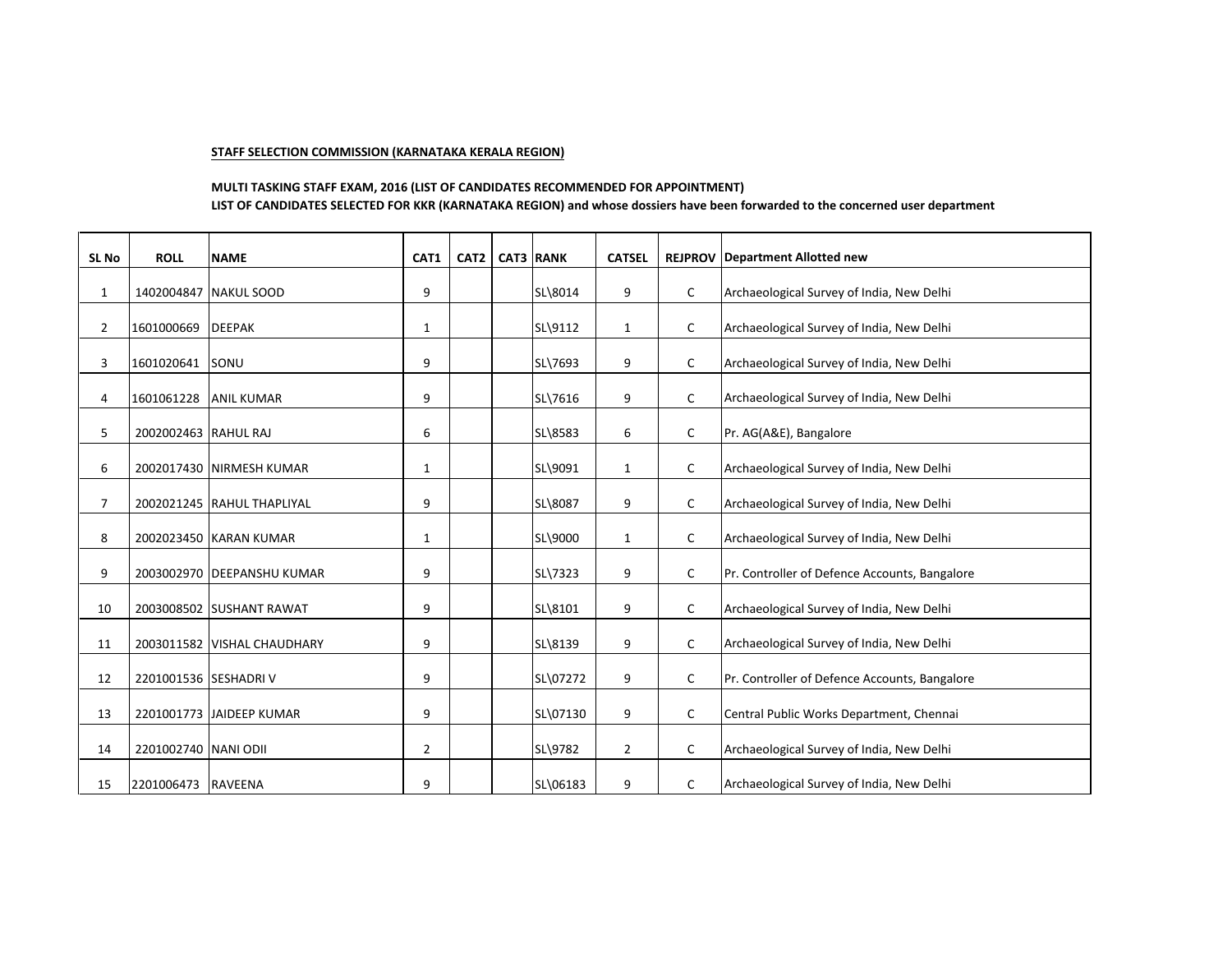## **STAFF SELECTION COMMISSION (KARNATAKA KERALA REGION)**

### **MULTI TASKING STAFF EXAM, 2016 (LIST OF CANDIDATES RECOMMENDED FOR APPOINTMENT) LIST OF CANDIDATES SELECTED FOR KKR (KARNATAKA REGION) and whose dossiers have been forwarded to the concerned user department**

| SL No          | <b>ROLL</b>          | <b>NAME</b>                 | CAT1           | CAT <sub>2</sub> | <b>CAT3 RANK</b> |          | <b>CATSEL</b>  |              | <b>REJPROV</b> Department Allotted new        |
|----------------|----------------------|-----------------------------|----------------|------------------|------------------|----------|----------------|--------------|-----------------------------------------------|
| $\mathbf{1}$   |                      | 1402004847 NAKUL SOOD       | 9              |                  |                  | SL\8014  | 9              | C            | Archaeological Survey of India, New Delhi     |
| $\overline{2}$ | 1601000669           | <b>DEEPAK</b>               | $\mathbf{1}$   |                  |                  | SL\9112  | $\mathbf{1}$   | C            | Archaeological Survey of India, New Delhi     |
| 3              | 1601020641           | SONU                        | 9              |                  |                  | SL\7693  | 9              | $\mathsf{C}$ | Archaeological Survey of India, New Delhi     |
| 4              | 1601061228           | <b>ANIL KUMAR</b>           | 9              |                  |                  | SL\7616  | 9              | С            | Archaeological Survey of India, New Delhi     |
| 5              | 2002002463 RAHUL RAJ |                             | 6              |                  |                  | SL\8583  | 6              | C            | Pr. AG(A&E), Bangalore                        |
| 6              |                      | 2002017430 NIRMESH KUMAR    | 1              |                  |                  | SL\9091  | $\mathbf{1}$   | C            | Archaeological Survey of India, New Delhi     |
| 7              |                      | 2002021245 RAHUL THAPLIYAL  | 9              |                  |                  | SL\8087  | 9              | C            | Archaeological Survey of India, New Delhi     |
| 8              |                      | 2002023450 KARAN KUMAR      | $\mathbf{1}$   |                  |                  | SL\9000  | $\mathbf{1}$   | C            | Archaeological Survey of India, New Delhi     |
| 9              |                      | 2003002970 DEEPANSHU KUMAR  | 9              |                  |                  | SL\7323  | 9              | C            | Pr. Controller of Defence Accounts, Bangalore |
| 10             |                      | 2003008502 SUSHANT RAWAT    | 9              |                  |                  | SL\8101  | 9              | C            | Archaeological Survey of India, New Delhi     |
| 11             |                      | 2003011582 VISHAL CHAUDHARY | 9              |                  |                  | SL\8139  | 9              | C            | Archaeological Survey of India, New Delhi     |
| 12             | 2201001536 SESHADRIV |                             | 9              |                  |                  | SL\07272 | 9              | C            | Pr. Controller of Defence Accounts, Bangalore |
| 13             |                      | 2201001773 JAIDEEP KUMAR    | 9              |                  |                  | SL\07130 | 9              | C            | Central Public Works Department, Chennai      |
| 14             | 2201002740 NANI ODII |                             | $\overline{2}$ |                  |                  | SL\9782  | $\overline{2}$ | C            | Archaeological Survey of India, New Delhi     |
| 15             | 2201006473 RAVEENA   |                             | 9              |                  |                  | SL\06183 | 9              | C            | Archaeological Survey of India, New Delhi     |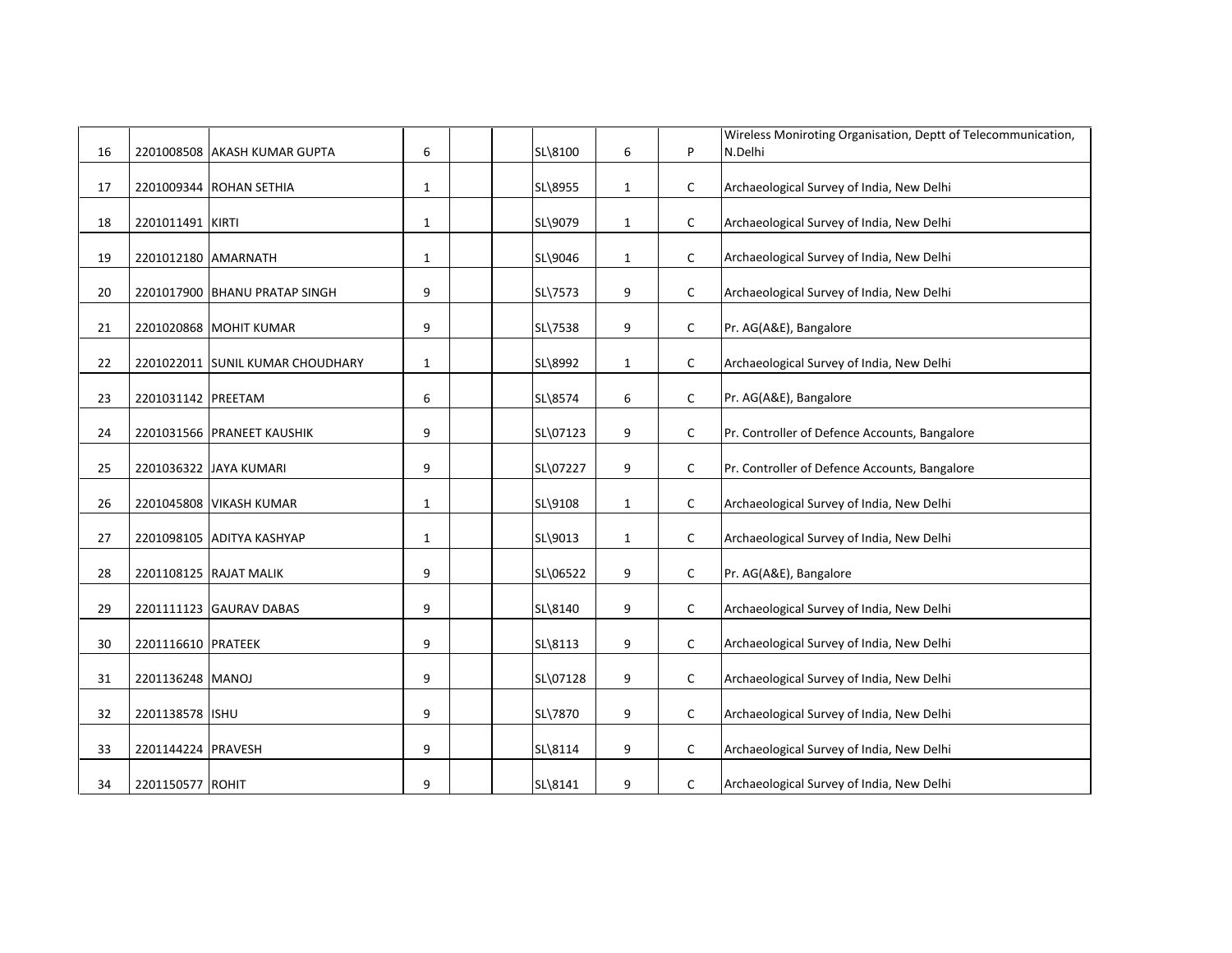|    |                     |                                  |              |          |              |              | Wireless Moniroting Organisation, Deptt of Telecommunication, |
|----|---------------------|----------------------------------|--------------|----------|--------------|--------------|---------------------------------------------------------------|
| 16 |                     | 2201008508 AKASH KUMAR GUPTA     | 6            | SL\8100  | 6            | P            | N.Delhi                                                       |
| 17 |                     | 2201009344 ROHAN SETHIA          | $\mathbf{1}$ | SL\8955  | $\mathbf{1}$ | $\mathsf{C}$ | Archaeological Survey of India, New Delhi                     |
| 18 | 2201011491 KIRTI    |                                  | $\mathbf{1}$ | SL\9079  | $\mathbf{1}$ | $\mathsf{C}$ | Archaeological Survey of India, New Delhi                     |
| 19 | 2201012180 AMARNATH |                                  | $\mathbf{1}$ | SL\9046  | $\mathbf{1}$ | C            | Archaeological Survey of India, New Delhi                     |
| 20 |                     | 2201017900 BHANU PRATAP SINGH    | 9            | SL\7573  | 9            | $\mathsf{C}$ | Archaeological Survey of India, New Delhi                     |
| 21 |                     | 2201020868 MOHIT KUMAR           | 9            | SL\7538  | 9            | C            | Pr. AG(A&E), Bangalore                                        |
| 22 |                     | 2201022011 SUNIL KUMAR CHOUDHARY | $\mathbf{1}$ | SL\8992  | $\mathbf{1}$ | C            | Archaeological Survey of India, New Delhi                     |
| 23 | 2201031142 PREETAM  |                                  | 6            | SL\8574  | 6            | C            | Pr. AG(A&E), Bangalore                                        |
| 24 |                     | 2201031566 PRANEET KAUSHIK       | 9            | SL\07123 | 9            | C            | Pr. Controller of Defence Accounts, Bangalore                 |
| 25 |                     | 2201036322 JAYA KUMARI           | 9            | SL\07227 | 9            | C            | Pr. Controller of Defence Accounts, Bangalore                 |
| 26 |                     | 2201045808 VIKASH KUMAR          | $\mathbf{1}$ | SL\9108  | $\mathbf{1}$ | C            | Archaeological Survey of India, New Delhi                     |
| 27 |                     | 2201098105 ADITYA KASHYAP        | $\mathbf{1}$ | SL\9013  | $\mathbf{1}$ | C            | Archaeological Survey of India, New Delhi                     |
| 28 |                     | 2201108125 RAJAT MALIK           | 9            | SL\06522 | 9            | C            | Pr. AG(A&E), Bangalore                                        |
| 29 |                     | 2201111123 GAURAV DABAS          | 9            | SL\8140  | 9            | C            | Archaeological Survey of India, New Delhi                     |
| 30 | 2201116610 PRATEEK  |                                  | 9            | SL\8113  | 9            | C            | Archaeological Survey of India, New Delhi                     |
| 31 | 2201136248 MANOJ    |                                  | 9            | SL\07128 | 9            | C            | Archaeological Survey of India, New Delhi                     |
| 32 | 2201138578 ISHU     |                                  | 9            | SL\7870  | 9            | C            | Archaeological Survey of India, New Delhi                     |
| 33 | 2201144224 PRAVESH  |                                  | 9            | SL\8114  | 9            | C            | Archaeological Survey of India, New Delhi                     |
| 34 | 2201150577 ROHIT    |                                  | 9            | SL\8141  | 9            | C            | Archaeological Survey of India, New Delhi                     |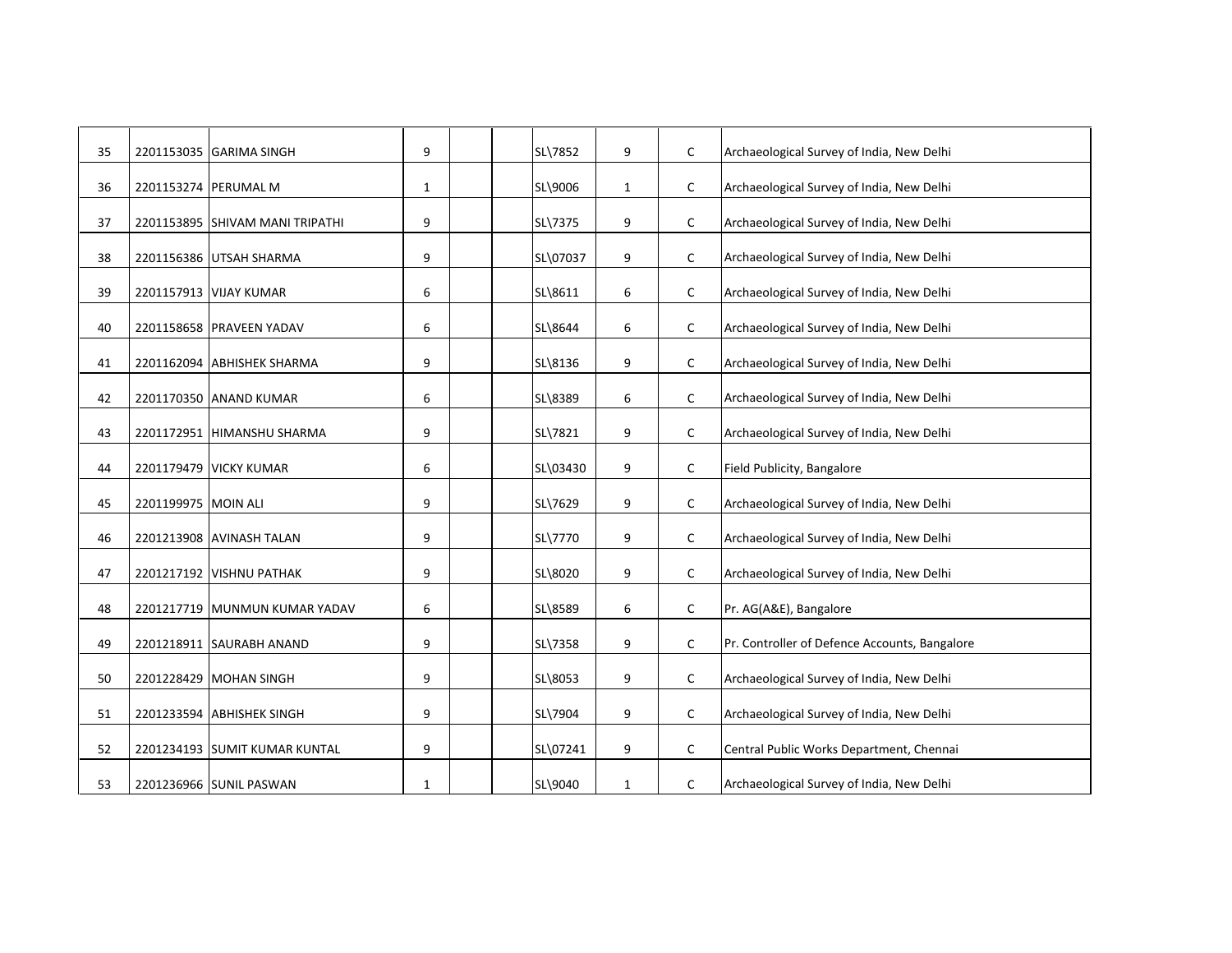| 35 |                      | 2201153035 GARIMA SINGH         | 9 | SL\7852  | 9            | C | Archaeological Survey of India, New Delhi     |
|----|----------------------|---------------------------------|---|----------|--------------|---|-----------------------------------------------|
| 36 | 2201153274 PERUMAL M |                                 | 1 | SL\9006  | $\mathbf{1}$ | C | Archaeological Survey of India, New Delhi     |
|    |                      |                                 |   |          |              |   |                                               |
| 37 |                      | 2201153895 SHIVAM MANI TRIPATHI | 9 | SL\7375  | 9            | C | Archaeological Survey of India, New Delhi     |
| 38 |                      | 2201156386 UTSAH SHARMA         | 9 | SL\07037 | 9            | C | Archaeological Survey of India, New Delhi     |
| 39 |                      | 2201157913 VIJAY KUMAR          | 6 | SL\8611  | 6            | C | Archaeological Survey of India, New Delhi     |
| 40 |                      | 2201158658 PRAVEEN YADAV        | 6 | SL\8644  | 6            | C | Archaeological Survey of India, New Delhi     |
| 41 |                      | 2201162094 ABHISHEK SHARMA      | 9 | SL\8136  | 9            | C | Archaeological Survey of India, New Delhi     |
| 42 |                      | 2201170350 ANAND KUMAR          | 6 | SL\8389  | 6            | C | Archaeological Survey of India, New Delhi     |
| 43 |                      | 2201172951 HIMANSHU SHARMA      | 9 | SL\7821  | 9            | C | Archaeological Survey of India, New Delhi     |
| 44 |                      | 2201179479 VICKY KUMAR          | 6 | SL\03430 | 9            | C | Field Publicity, Bangalore                    |
| 45 | 2201199975 MOIN ALI  |                                 | 9 | SL\7629  | 9            | C | Archaeological Survey of India, New Delhi     |
| 46 |                      | 2201213908 AVINASH TALAN        | 9 | SL\7770  | 9            | C | Archaeological Survey of India, New Delhi     |
| 47 |                      | 2201217192 VISHNU PATHAK        | 9 | SL\8020  | 9            | C | Archaeological Survey of India, New Delhi     |
| 48 |                      | 2201217719 MUNMUN KUMAR YADAV   | 6 | SL\8589  | 6            | C | Pr. AG(A&E), Bangalore                        |
| 49 |                      | 2201218911 SAURABH ANAND        | 9 | SL\7358  | 9            | C | Pr. Controller of Defence Accounts, Bangalore |
| 50 |                      | 2201228429 MOHAN SINGH          | 9 | SL\8053  | 9            | C | Archaeological Survey of India, New Delhi     |
| 51 |                      | 2201233594 ABHISHEK SINGH       | 9 | SL\7904  | 9            | C | Archaeological Survey of India, New Delhi     |
| 52 |                      | 2201234193 SUMIT KUMAR KUNTAL   | 9 | SL\07241 | 9            | C | Central Public Works Department, Chennai      |
| 53 |                      | 2201236966 SUNIL PASWAN         | 1 | SL\9040  | $\mathbf{1}$ | C | Archaeological Survey of India, New Delhi     |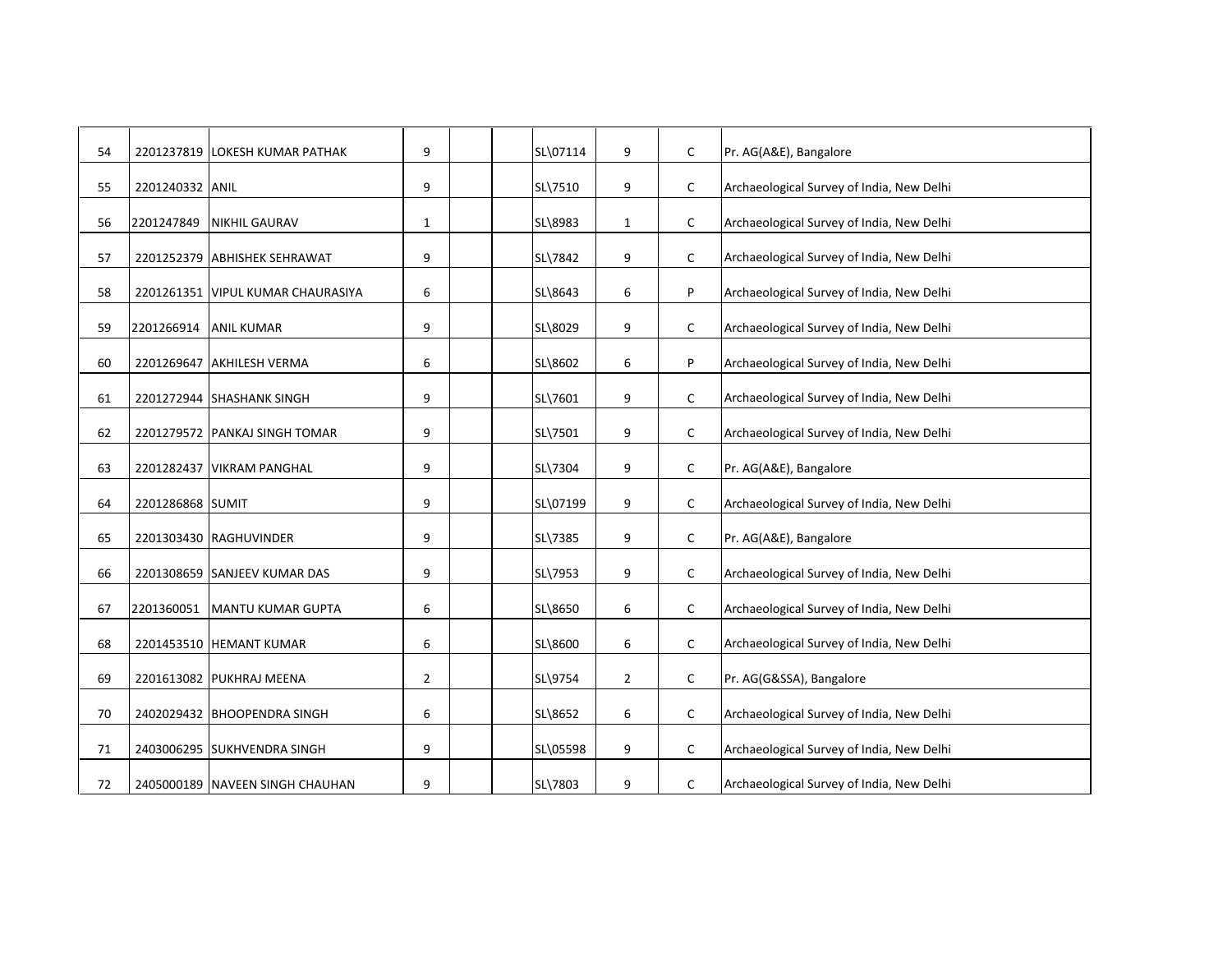| 54 |                       | 2201237819  LOKESH KUMAR PATHAK   | 9              | SL\07114 | 9              | C | Pr. AG(A&E), Bangalore                    |
|----|-----------------------|-----------------------------------|----------------|----------|----------------|---|-------------------------------------------|
| 55 | 2201240332 ANIL       |                                   | 9              | SL\7510  | 9              | C | Archaeological Survey of India, New Delhi |
| 56 | 2201247849            | <b>NIKHIL GAURAV</b>              | $\mathbf{1}$   | SL\8983  | $\mathbf{1}$   | C | Archaeological Survey of India, New Delhi |
| 57 |                       | 2201252379 ABHISHEK SEHRAWAT      | 9              | SL\7842  | 9              | C | Archaeological Survey of India, New Delhi |
| 58 |                       | 2201261351 VIPUL KUMAR CHAURASIYA | 6              | SL\8643  | 6              | P | Archaeological Survey of India, New Delhi |
| 59 | 2201266914 ANIL KUMAR |                                   | 9              | SL\8029  | 9              | C | Archaeological Survey of India, New Delhi |
| 60 |                       | 2201269647 AKHILESH VERMA         | 6              | SL\8602  | 6              | P | Archaeological Survey of India, New Delhi |
| 61 |                       | 2201272944 SHASHANK SINGH         | 9              | SL\7601  | 9              | C | Archaeological Survey of India, New Delhi |
| 62 |                       | 2201279572 PANKAJ SINGH TOMAR     | 9              | SL\7501  | 9              | C | Archaeological Survey of India, New Delhi |
| 63 |                       | 2201282437 VIKRAM PANGHAL         | 9              | SL\7304  | 9              | C | Pr. AG(A&E), Bangalore                    |
| 64 | 2201286868 SUMIT      |                                   | 9              | SL\07199 | 9              | C | Archaeological Survey of India, New Delhi |
| 65 |                       | 2201303430 RAGHUVINDER            | 9              | SL\7385  | 9              | C | Pr. AG(A&E), Bangalore                    |
| 66 |                       | 2201308659 SANJEEV KUMAR DAS      | 9              | SL\7953  | 9              | C | Archaeological Survey of India, New Delhi |
| 67 |                       | 2201360051   MANTU KUMAR GUPTA    | 6              | SL\8650  | 6              | C | Archaeological Survey of India, New Delhi |
| 68 |                       | 2201453510 HEMANT KUMAR           | 6              | SL\8600  | 6              | С | Archaeological Survey of India, New Delhi |
| 69 |                       | 2201613082 PUKHRAJ MEENA          | $\overline{2}$ | SL\9754  | $\overline{2}$ | C | Pr. AG(G&SSA), Bangalore                  |
| 70 |                       | 2402029432 BHOOPENDRA SINGH       | 6              | SL\8652  | 6              | C | Archaeological Survey of India, New Delhi |
| 71 |                       | 2403006295 SUKHVENDRA SINGH       | 9              | SL\05598 | 9              | C | Archaeological Survey of India, New Delhi |
| 72 |                       | 2405000189 NAVEEN SINGH CHAUHAN   | 9              | SL\7803  | 9              | C | Archaeological Survey of India, New Delhi |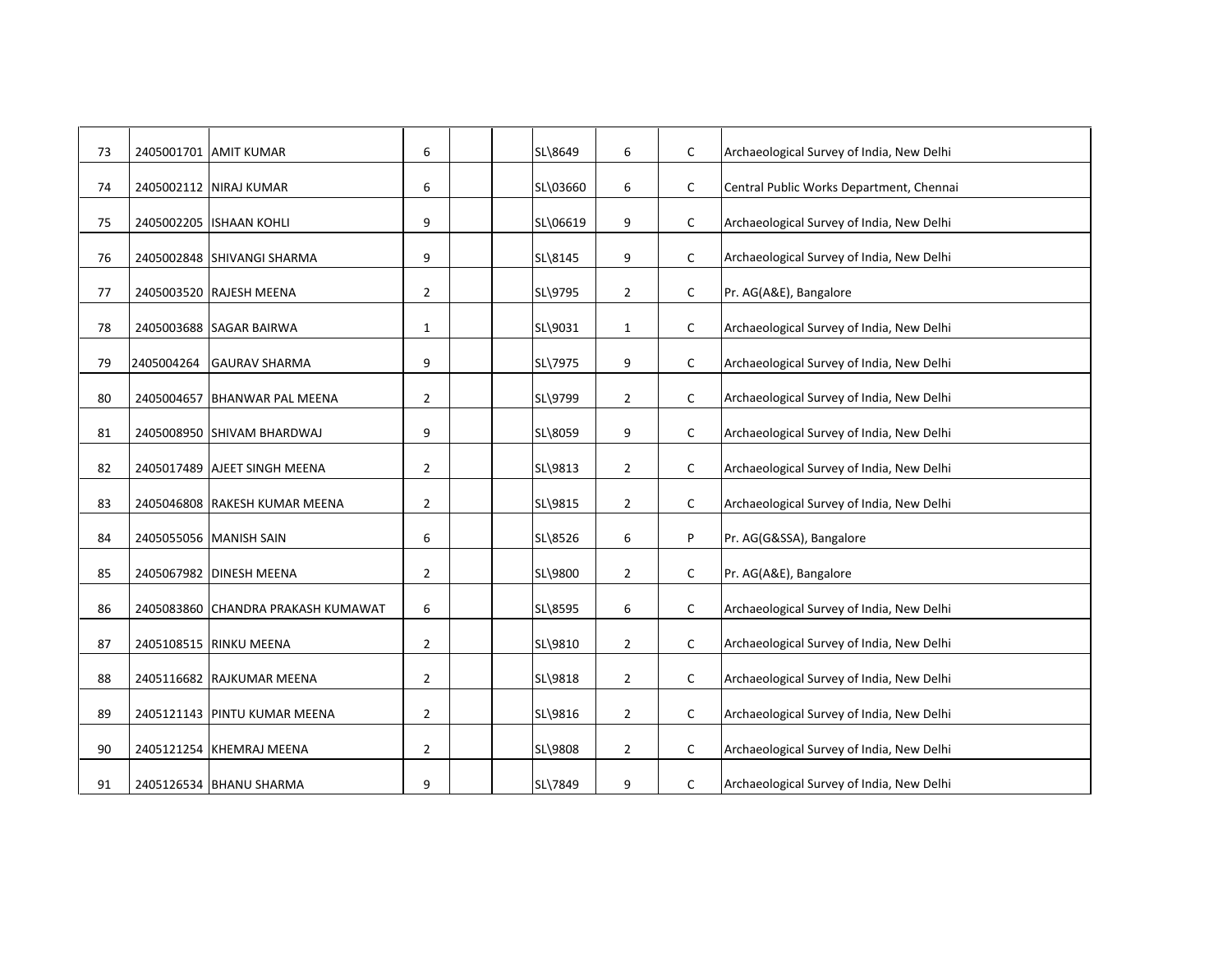| 73 | 2405001701 AMIT KUMAR              | 6              | SL\8649  | 6              | C | Archaeological Survey of India, New Delhi |
|----|------------------------------------|----------------|----------|----------------|---|-------------------------------------------|
| 74 | 2405002112 NIRAJ KUMAR             | 6              | SL\03660 | 6              | C | Central Public Works Department, Chennai  |
| 75 | 2405002205 ISHAAN KOHLI            | 9              | SL\06619 | 9              | C | Archaeological Survey of India, New Delhi |
| 76 | 2405002848 SHIVANGI SHARMA         | 9              | SL\8145  | 9              | C | Archaeological Survey of India, New Delhi |
| 77 | 2405003520 RAJESH MEENA            | $\overline{2}$ | SL\9795  | $\overline{2}$ | C | Pr. AG(A&E), Bangalore                    |
| 78 | 2405003688 SAGAR BAIRWA            | $\mathbf{1}$   | SL\9031  | $\mathbf{1}$   | C | Archaeological Survey of India, New Delhi |
| 79 | 2405004264 GAURAV SHARMA           | 9              | SL\7975  | 9              | C | Archaeological Survey of India, New Delhi |
| 80 | 2405004657 BHANWAR PAL MEENA       | $\overline{2}$ | SL\9799  | $\overline{2}$ | C | Archaeological Survey of India, New Delhi |
| 81 | 2405008950 SHIVAM BHARDWAJ         | 9              | SL\8059  | 9              | С | Archaeological Survey of India, New Delhi |
| 82 | 2405017489 AJEET SINGH MEENA       | 2              | SL\9813  | $\overline{2}$ | C | Archaeological Survey of India, New Delhi |
| 83 | 2405046808 RAKESH KUMAR MEENA      | $\overline{2}$ | SL\9815  | $\overline{2}$ | C | Archaeological Survey of India, New Delhi |
| 84 | 2405055056 MANISH SAIN             | 6              | SL\8526  | 6              | P | Pr. AG(G&SSA), Bangalore                  |
| 85 | 2405067982 DINESH MEENA            | 2              | SL\9800  | $\overline{2}$ | C | Pr. AG(A&E), Bangalore                    |
| 86 | 2405083860 CHANDRA PRAKASH KUMAWAT | 6              | SL\8595  | 6              | C | Archaeological Survey of India, New Delhi |
| 87 | 2405108515 RINKU MEENA             | $\overline{2}$ | SL\9810  | $\overline{2}$ | С | Archaeological Survey of India, New Delhi |
| 88 | 2405116682 RAJKUMAR MEENA          | $\overline{2}$ | SL\9818  | $\overline{2}$ | C | Archaeological Survey of India, New Delhi |
| 89 | 2405121143 PINTU KUMAR MEENA       | $\overline{2}$ | SL\9816  | $\overline{2}$ | C | Archaeological Survey of India, New Delhi |
| 90 | 2405121254 KHEMRAJ MEENA           | $\overline{2}$ | SL\9808  | $\overline{2}$ | C | Archaeological Survey of India, New Delhi |
| 91 | 2405126534 BHANU SHARMA            | 9              | SL\7849  | 9              | C | Archaeological Survey of India, New Delhi |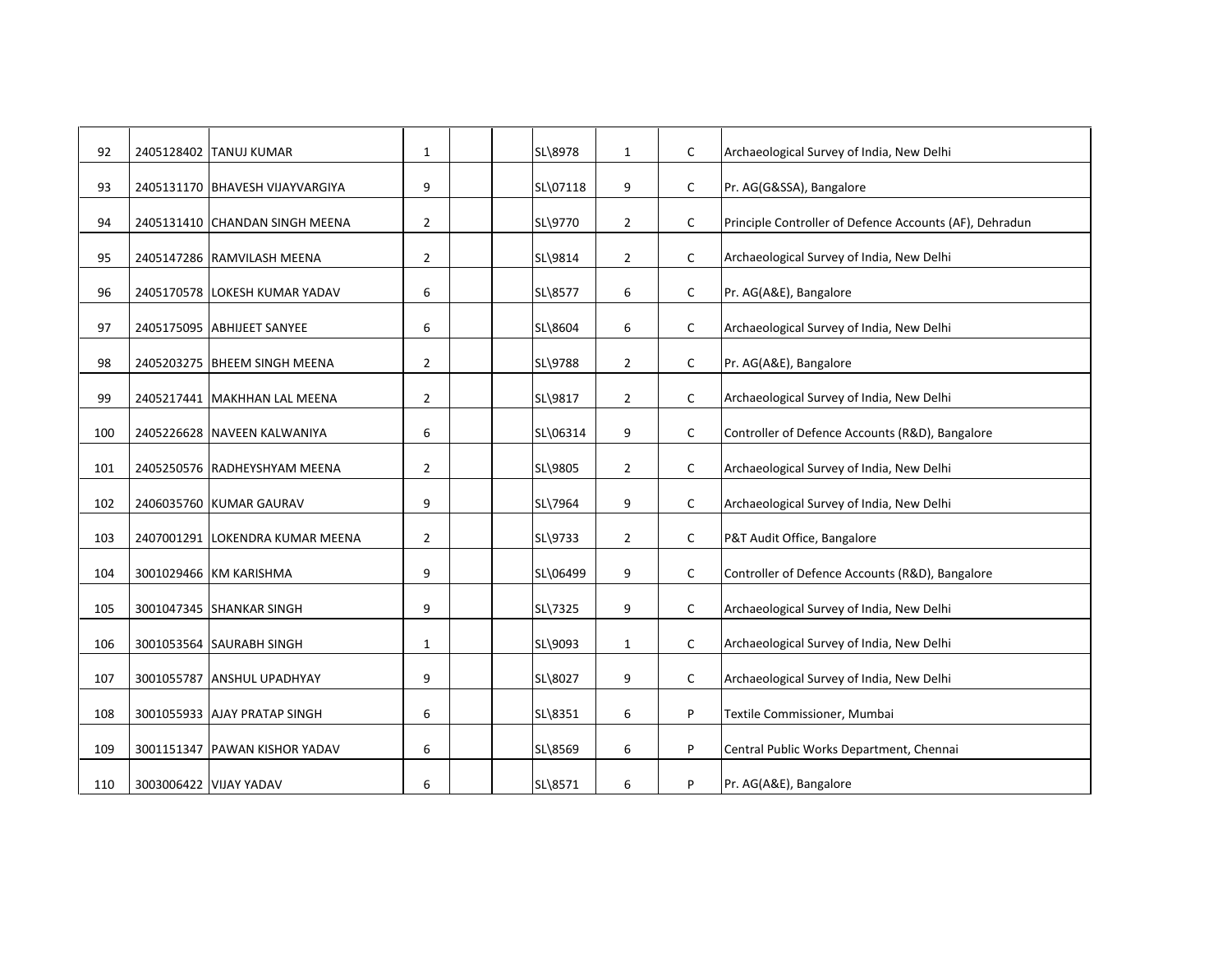| 92  |                        | 2405128402 TANUJ KUMAR          | 1              | SL\8978  | $\mathbf{1}$   | C | Archaeological Survey of India, New Delhi               |
|-----|------------------------|---------------------------------|----------------|----------|----------------|---|---------------------------------------------------------|
| 93  |                        | 2405131170 BHAVESH VIJAYVARGIYA | 9              | SL\07118 | 9              | C | Pr. AG(G&SSA), Bangalore                                |
| 94  |                        | 2405131410 CHANDAN SINGH MEENA  | $\overline{2}$ | SL\9770  | $\overline{2}$ | C | Principle Controller of Defence Accounts (AF), Dehradun |
| 95  |                        | 2405147286 RAMVILASH MEENA      | $\overline{2}$ | SL\9814  | $\overline{2}$ | C | Archaeological Survey of India, New Delhi               |
| 96  |                        | 2405170578 LOKESH KUMAR YADAV   | 6              | SL\8577  | 6              | C | Pr. AG(A&E), Bangalore                                  |
| 97  |                        | 2405175095 ABHIJEET SANYEE      | 6              | SL\8604  | 6              | C | Archaeological Survey of India, New Delhi               |
| 98  |                        | 2405203275 BHEEM SINGH MEENA    | $\overline{2}$ | SL\9788  | $\overline{2}$ | C | Pr. AG(A&E), Bangalore                                  |
| 99  |                        | 2405217441 MAKHHAN LAL MEENA    | $\overline{2}$ | SL\9817  | $\overline{2}$ | C | Archaeological Survey of India, New Delhi               |
| 100 |                        | 2405226628 NAVEEN KALWANIYA     | 6              | SL\06314 | 9              | C | Controller of Defence Accounts (R&D), Bangalore         |
| 101 |                        | 2405250576 RADHEYSHYAM MEENA    | 2              | SL\9805  | $\overline{2}$ | C | Archaeological Survey of India, New Delhi               |
| 102 |                        | 2406035760 KUMAR GAURAV         | 9              | SL\7964  | 9              | C | Archaeological Survey of India, New Delhi               |
| 103 |                        | 2407001291 LOKENDRA KUMAR MEENA | $\overline{2}$ | SL\9733  | $\overline{2}$ | C | P&T Audit Office, Bangalore                             |
| 104 |                        | 3001029466 KM KARISHMA          | 9              | SL\06499 | 9              | C | Controller of Defence Accounts (R&D), Bangalore         |
| 105 |                        | 3001047345 SHANKAR SINGH        | 9              | SL\7325  | 9              | C | Archaeological Survey of India, New Delhi               |
| 106 |                        | 3001053564 SAURABH SINGH        | $\mathbf{1}$   | SL\9093  | $\mathbf{1}$   | C | Archaeological Survey of India, New Delhi               |
| 107 |                        | 3001055787 ANSHUL UPADHYAY      | 9              | SL\8027  | 9              | C | Archaeological Survey of India, New Delhi               |
| 108 |                        | 3001055933 AJAY PRATAP SINGH    | 6              | SL\8351  | 6              | P | Textile Commissioner, Mumbai                            |
| 109 |                        | 3001151347 PAWAN KISHOR YADAV   | 6              | SL\8569  | 6              | P | Central Public Works Department, Chennai                |
| 110 | 3003006422 VIJAY YADAV |                                 | 6              | SL\8571  | 6              | P | Pr. AG(A&E), Bangalore                                  |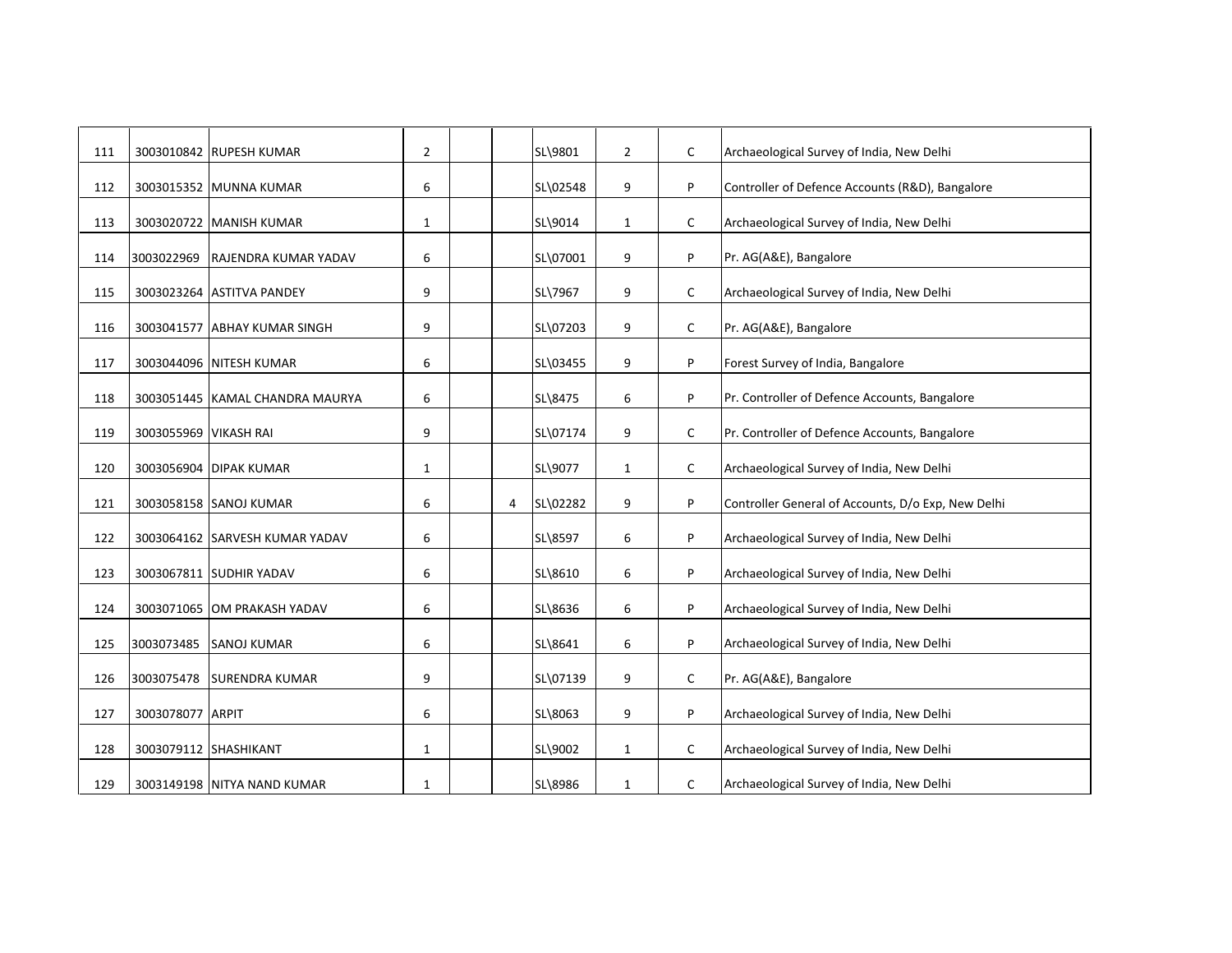| 111 |                       | 3003010842 RUPESH KUMAR         | $\overline{2}$ |   | SL\9801  | $\overline{2}$ | C | Archaeological Survey of India, New Delhi          |
|-----|-----------------------|---------------------------------|----------------|---|----------|----------------|---|----------------------------------------------------|
| 112 |                       | 3003015352 MUNNA KUMAR          | 6              |   | SL\02548 | 9              | P | Controller of Defence Accounts (R&D), Bangalore    |
| 113 |                       | 3003020722 MANISH KUMAR         | $\mathbf{1}$   |   | SL\9014  | $\mathbf{1}$   | C | Archaeological Survey of India, New Delhi          |
| 114 | 3003022969            | RAJENDRA KUMAR YADAV            | 6              |   | SL\07001 | 9              | P | Pr. AG(A&E), Bangalore                             |
| 115 |                       | 3003023264 ASTITVA PANDEY       | 9              |   | SL\7967  | 9              | C | Archaeological Survey of India, New Delhi          |
| 116 |                       | 3003041577 ABHAY KUMAR SINGH    | 9              |   | SL\07203 | 9              | C | Pr. AG(A&E), Bangalore                             |
| 117 |                       | 3003044096 NITESH KUMAR         | 6              |   | SL\03455 | 9              | P | Forest Survey of India, Bangalore                  |
| 118 |                       | 3003051445 KAMAL CHANDRA MAURYA | 6              |   | SL\8475  | 6              | P | Pr. Controller of Defence Accounts, Bangalore      |
| 119 | 3003055969 VIKASH RAI |                                 | 9              |   | SL\07174 | 9              | C | Pr. Controller of Defence Accounts, Bangalore      |
| 120 |                       | 3003056904 DIPAK KUMAR          | 1              |   | SL\9077  | $\mathbf{1}$   | C | Archaeological Survey of India, New Delhi          |
| 121 |                       | 3003058158 SANOJ KUMAR          | 6              | 4 | SL\02282 | 9              | P | Controller General of Accounts, D/o Exp, New Delhi |
| 122 |                       | 3003064162 SARVESH KUMAR YADAV  | 6              |   | SL\8597  | 6              | P | Archaeological Survey of India, New Delhi          |
| 123 |                       | 3003067811 SUDHIR YADAV         | 6              |   | SL\8610  | 6              | P | Archaeological Survey of India, New Delhi          |
| 124 |                       | 3003071065 OM PRAKASH YADAV     | 6              |   | SL\8636  | 6              | P | Archaeological Survey of India, New Delhi          |
| 125 | 3003073485            | <b>SANOJ KUMAR</b>              | 6              |   | SL\8641  | 6              | P | Archaeological Survey of India, New Delhi          |
| 126 | 3003075478            | <b>SURENDRA KUMAR</b>           | 9              |   | SL\07139 | 9              | C | Pr. AG(A&E), Bangalore                             |
| 127 | 3003078077 ARPIT      |                                 | 6              |   | SL\8063  | 9              | P | Archaeological Survey of India, New Delhi          |
| 128 |                       | 3003079112 SHASHIKANT           | $\mathbf{1}$   |   | SL\9002  | $\mathbf{1}$   | C | Archaeological Survey of India, New Delhi          |
| 129 |                       | 3003149198 NITYA NAND KUMAR     | 1              |   | SL\8986  | $\mathbf{1}$   | C | Archaeological Survey of India, New Delhi          |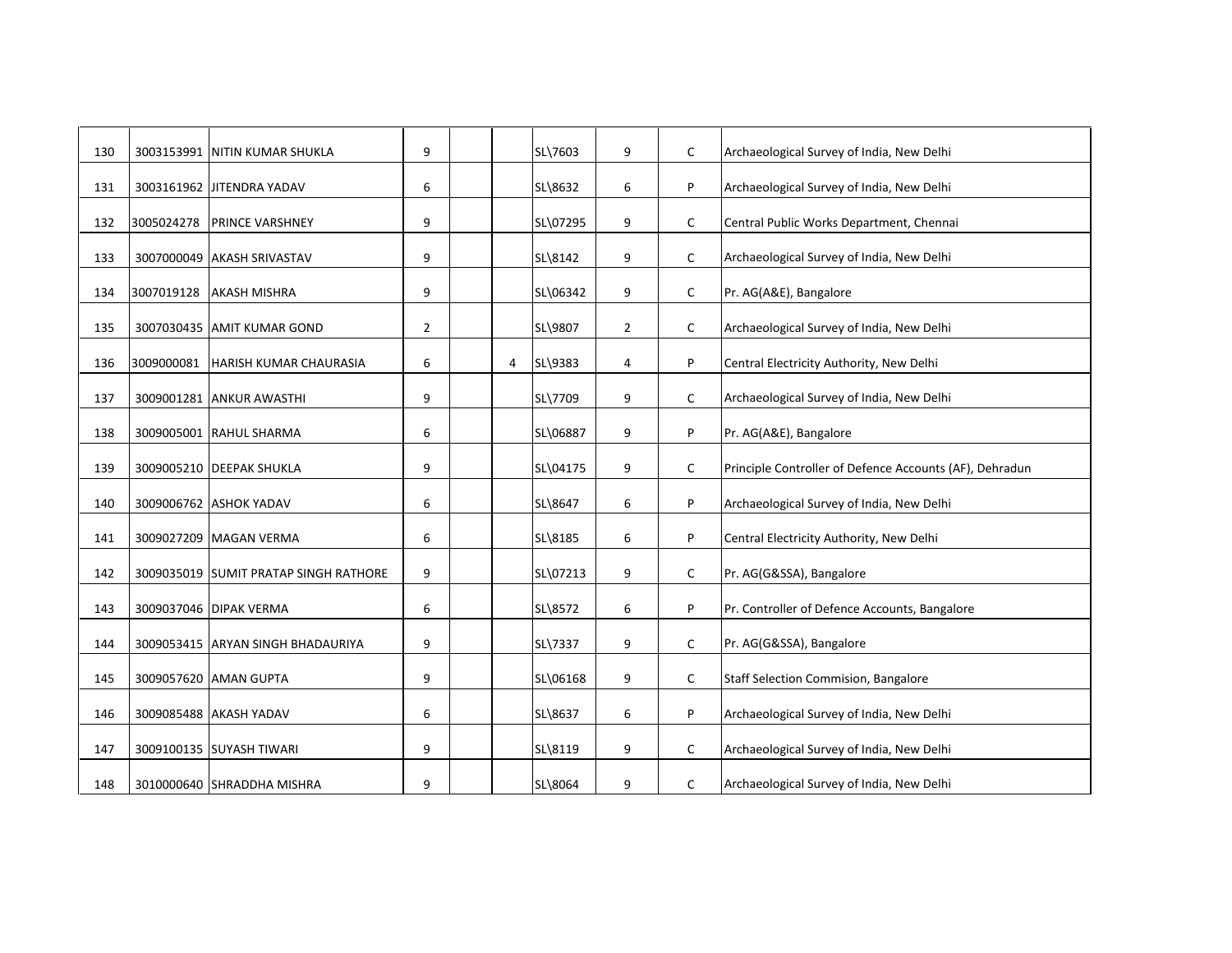| 130 |            | 3003153991 NITIN KUMAR SHUKLA         | 9              |   | SL\7603  | 9              | C | Archaeological Survey of India, New Delhi               |
|-----|------------|---------------------------------------|----------------|---|----------|----------------|---|---------------------------------------------------------|
|     |            |                                       |                |   |          |                |   |                                                         |
| 131 |            | 3003161962 JITENDRA YADAV             | 6              |   | SL\8632  | 6              | P | Archaeological Survey of India, New Delhi               |
| 132 | 3005024278 | <b>PRINCE VARSHNEY</b>                | 9              |   | SL\07295 | 9              | C | Central Public Works Department, Chennai                |
| 133 |            | 3007000049 AKASH SRIVASTAV            | 9              |   | SL\8142  | 9              | C | Archaeological Survey of India, New Delhi               |
| 134 |            | 3007019128 AKASH MISHRA               | 9              |   | SL\06342 | 9              | C | Pr. AG(A&E), Bangalore                                  |
| 135 |            | 3007030435 AMIT KUMAR GOND            | $\overline{2}$ |   | SL\9807  | $\overline{2}$ | C | Archaeological Survey of India, New Delhi               |
| 136 | 3009000081 | <b>HARISH KUMAR CHAURASIA</b>         | 6              | 4 | SL\9383  | 4              | P | Central Electricity Authority, New Delhi                |
| 137 |            | 3009001281 ANKUR AWASTHI              | 9              |   | SL\7709  | 9              | C | Archaeological Survey of India, New Delhi               |
| 138 |            | 3009005001 RAHUL SHARMA               | 6              |   | SL\06887 | 9              | P | Pr. AG(A&E), Bangalore                                  |
| 139 |            | 3009005210 DEEPAK SHUKLA              | 9              |   | SL\04175 | 9              | C | Principle Controller of Defence Accounts (AF), Dehradun |
| 140 |            | 3009006762 ASHOK YADAV                | 6              |   | SL\8647  | 6              | P | Archaeological Survey of India, New Delhi               |
| 141 |            | 3009027209 MAGAN VERMA                | 6              |   | SL\8185  | 6              | P | Central Electricity Authority, New Delhi                |
| 142 |            | 3009035019 SUMIT PRATAP SINGH RATHORE | 9              |   | SL\07213 | 9              | C | Pr. AG(G&SSA), Bangalore                                |
| 143 |            | 3009037046 DIPAK VERMA                | 6              |   | SL\8572  | 6              | P | Pr. Controller of Defence Accounts, Bangalore           |
| 144 |            | 3009053415 ARYAN SINGH BHADAURIYA     | 9              |   | SL\7337  | 9              | C | Pr. AG(G&SSA), Bangalore                                |
| 145 |            | 3009057620 AMAN GUPTA                 | 9              |   | SL\06168 | 9              | C | <b>Staff Selection Commision, Bangalore</b>             |
| 146 |            | 3009085488 AKASH YADAV                | 6              |   | SL\8637  | 6              | P | Archaeological Survey of India, New Delhi               |
| 147 |            | 3009100135 SUYASH TIWARI              | 9              |   | SL\8119  | 9              | C | Archaeological Survey of India, New Delhi               |
| 148 |            | 3010000640 SHRADDHA MISHRA            | 9              |   | SL\8064  | 9              | C | Archaeological Survey of India, New Delhi               |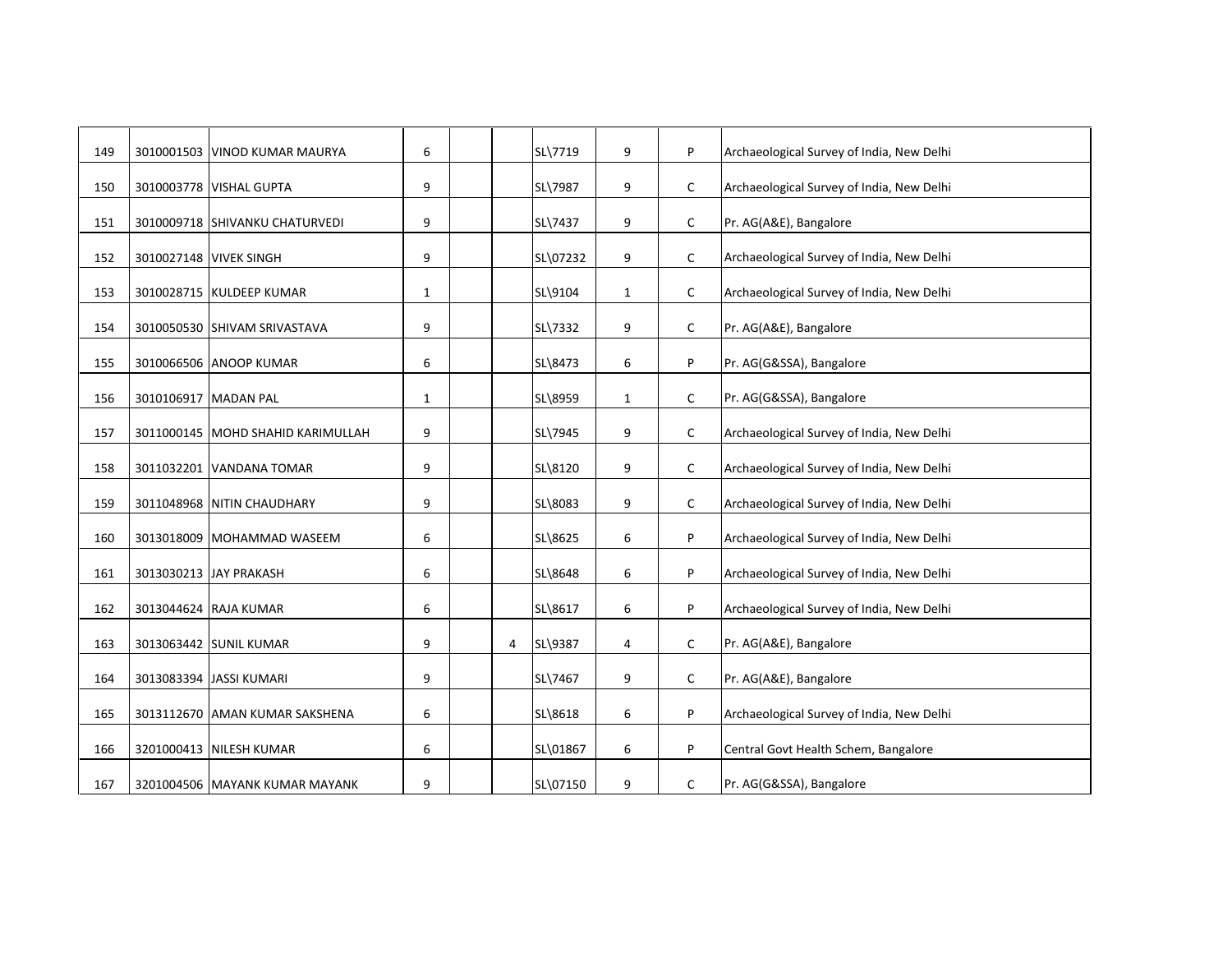| 149 |                      | 3010001503 VINOD KUMAR MAURYA     | 6            |                | SL\7719  | 9            | P | Archaeological Survey of India, New Delhi |
|-----|----------------------|-----------------------------------|--------------|----------------|----------|--------------|---|-------------------------------------------|
| 150 |                      | 3010003778 VISHAL GUPTA           | 9            |                | SL\7987  | 9            | C | Archaeological Survey of India, New Delhi |
| 151 |                      | 3010009718 SHIVANKU CHATURVEDI    | 9            |                | SL\7437  | 9            | C | Pr. AG(A&E), Bangalore                    |
| 152 |                      | 3010027148 VIVEK SINGH            | 9            |                | SL\07232 | 9            | C | Archaeological Survey of India, New Delhi |
| 153 |                      | 3010028715 KULDEEP KUMAR          | $\mathbf{1}$ |                | SL\9104  | $\mathbf{1}$ | С | Archaeological Survey of India, New Delhi |
| 154 |                      | 3010050530 SHIVAM SRIVASTAVA      | 9            |                | SL\7332  | 9            | C | Pr. AG(A&E), Bangalore                    |
| 155 |                      | 3010066506 ANOOP KUMAR            | 6            |                | SL\8473  | 6            | P | Pr. AG(G&SSA), Bangalore                  |
| 156 | 3010106917 MADAN PAL |                                   | $\mathbf{1}$ |                | SL\8959  | $\mathbf{1}$ | C | Pr. AG(G&SSA), Bangalore                  |
| 157 |                      | 3011000145 MOHD SHAHID KARIMULLAH | 9            |                | SL\7945  | 9            | C | Archaeological Survey of India, New Delhi |
| 158 |                      | 3011032201 VANDANA TOMAR          | 9            |                | SL\8120  | 9            | C | Archaeological Survey of India, New Delhi |
| 159 |                      | 3011048968 NITIN CHAUDHARY        | 9            |                | SL\8083  | 9            | C | Archaeological Survey of India, New Delhi |
| 160 |                      | 3013018009 MOHAMMAD WASEEM        | 6            |                | SL\8625  | 6            | P | Archaeological Survey of India, New Delhi |
| 161 |                      | 3013030213 JAY PRAKASH            | 6            |                | SL\8648  | 6            | P | Archaeological Survey of India, New Delhi |
| 162 |                      | 3013044624 RAJA KUMAR             | 6            |                | SL\8617  | 6            | P | Archaeological Survey of India, New Delhi |
| 163 |                      | 3013063442 SUNIL KUMAR            | 9            | $\overline{4}$ | SL\9387  | 4            | C | Pr. AG(A&E), Bangalore                    |
| 164 |                      | 3013083394 JASSI KUMARI           | 9            |                | SL\7467  | 9            | C | Pr. AG(A&E), Bangalore                    |
| 165 |                      | 3013112670 AMAN KUMAR SAKSHENA    | 6            |                | SL\8618  | 6            | P | Archaeological Survey of India, New Delhi |
| 166 |                      | 3201000413 NILESH KUMAR           | 6            |                | SL\01867 | 6            | P | Central Govt Health Schem, Bangalore      |
| 167 |                      | 3201004506 MAYANK KUMAR MAYANK    | 9            |                | SL\07150 | 9            | C | Pr. AG(G&SSA), Bangalore                  |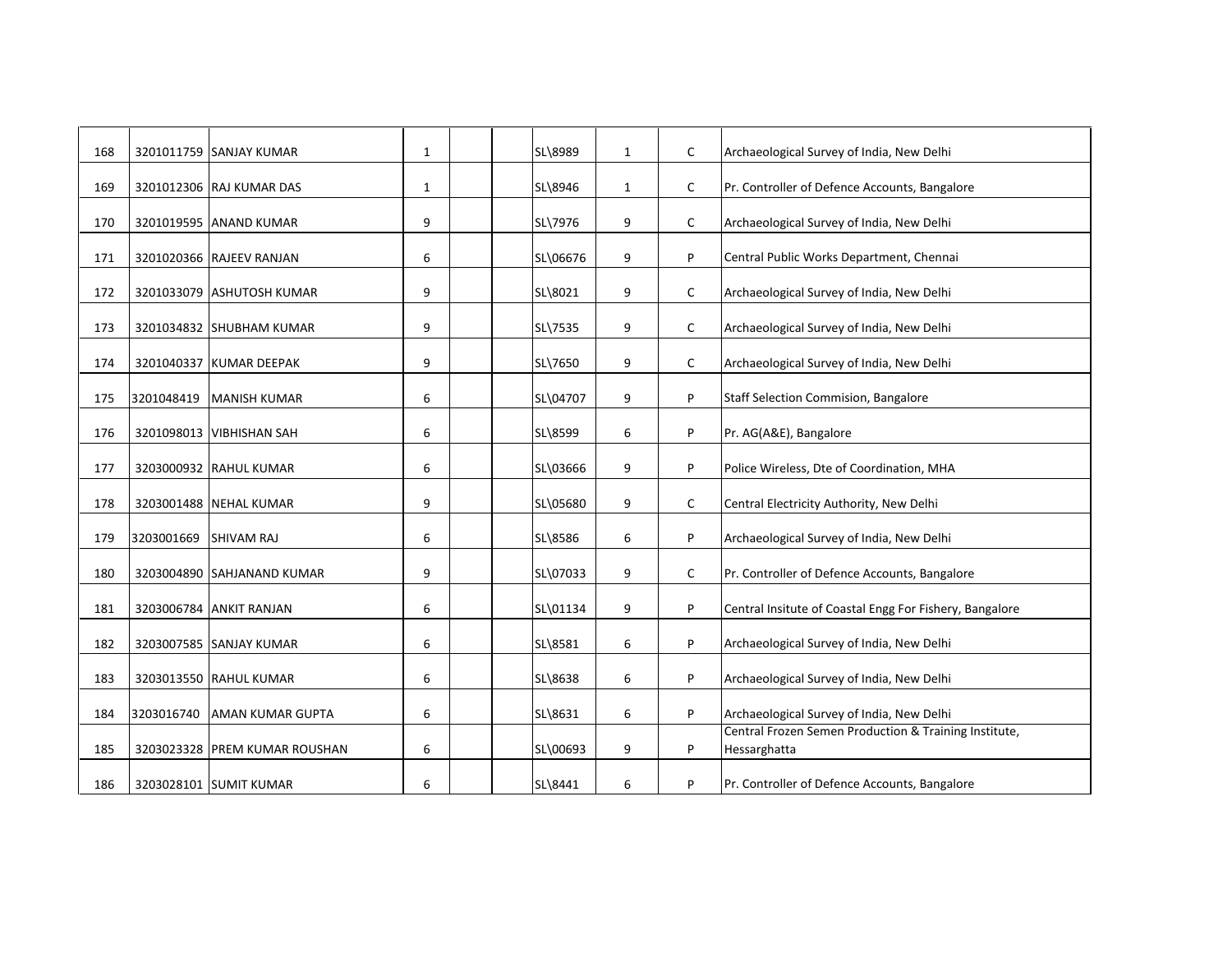| 168 |            | 3201011759 SANJAY KUMAR       | $\mathbf{1}$ | SL\8989  | $\mathbf{1}$ | C            | Archaeological Survey of India, New Delhi                             |
|-----|------------|-------------------------------|--------------|----------|--------------|--------------|-----------------------------------------------------------------------|
| 169 |            | 3201012306 RAJ KUMAR DAS      | 1            | SL\8946  | $\mathbf{1}$ | $\mathsf{C}$ | Pr. Controller of Defence Accounts, Bangalore                         |
| 170 |            | 3201019595 ANAND KUMAR        | 9            | SL\7976  | 9            | C            | Archaeological Survey of India, New Delhi                             |
| 171 |            | 3201020366 RAJEEV RANJAN      | 6            | SL\06676 | 9            | P            | Central Public Works Department, Chennai                              |
| 172 |            | 3201033079 ASHUTOSH KUMAR     | 9            | SL\8021  | 9            | C            | Archaeological Survey of India, New Delhi                             |
| 173 |            | 3201034832 SHUBHAM KUMAR      | 9            | SL\7535  | 9            | C            | Archaeological Survey of India, New Delhi                             |
| 174 |            | 3201040337 KUMAR DEEPAK       | 9            | SL\7650  | 9            | C            | Archaeological Survey of India, New Delhi                             |
| 175 |            | 3201048419   MANISH KUMAR     | 6            | SL\04707 | 9            | P            | <b>Staff Selection Commision, Bangalore</b>                           |
| 176 |            | 3201098013 VIBHISHAN SAH      | 6            | SL\8599  | 6            | P            | Pr. AG(A&E), Bangalore                                                |
| 177 |            | 3203000932 RAHUL KUMAR        | 6            | SL\03666 | 9            | P            | Police Wireless, Dte of Coordination, MHA                             |
| 178 |            | 3203001488 NEHAL KUMAR        | 9            | SL\05680 | 9            | C            | Central Electricity Authority, New Delhi                              |
| 179 | 3203001669 | <b>SHIVAM RAJ</b>             | 6            | SL\8586  | 6            | P            | Archaeological Survey of India, New Delhi                             |
| 180 |            | 3203004890 SAHJANAND KUMAR    | 9            | SL\07033 | 9            | C            | Pr. Controller of Defence Accounts, Bangalore                         |
| 181 |            | 3203006784 ANKIT RANJAN       | 6            | SL\01134 | 9            | P            | Central Insitute of Coastal Engg For Fishery, Bangalore               |
| 182 |            | 3203007585 SANJAY KUMAR       | 6            | SL\8581  | 6            | P            | Archaeological Survey of India, New Delhi                             |
| 183 |            | 3203013550 RAHUL KUMAR        | 6            | SL\8638  | 6            | P            | Archaeological Survey of India, New Delhi                             |
| 184 |            | 3203016740 AMAN KUMAR GUPTA   | 6            | SL\8631  | 6            | P            | Archaeological Survey of India, New Delhi                             |
| 185 |            | 3203023328 PREM KUMAR ROUSHAN | 6            | SL\00693 | 9            | P            | Central Frozen Semen Production & Training Institute,<br>Hessarghatta |
| 186 |            | 3203028101 SUMIT KUMAR        | 6            | SL\8441  | 6            | P            | Pr. Controller of Defence Accounts, Bangalore                         |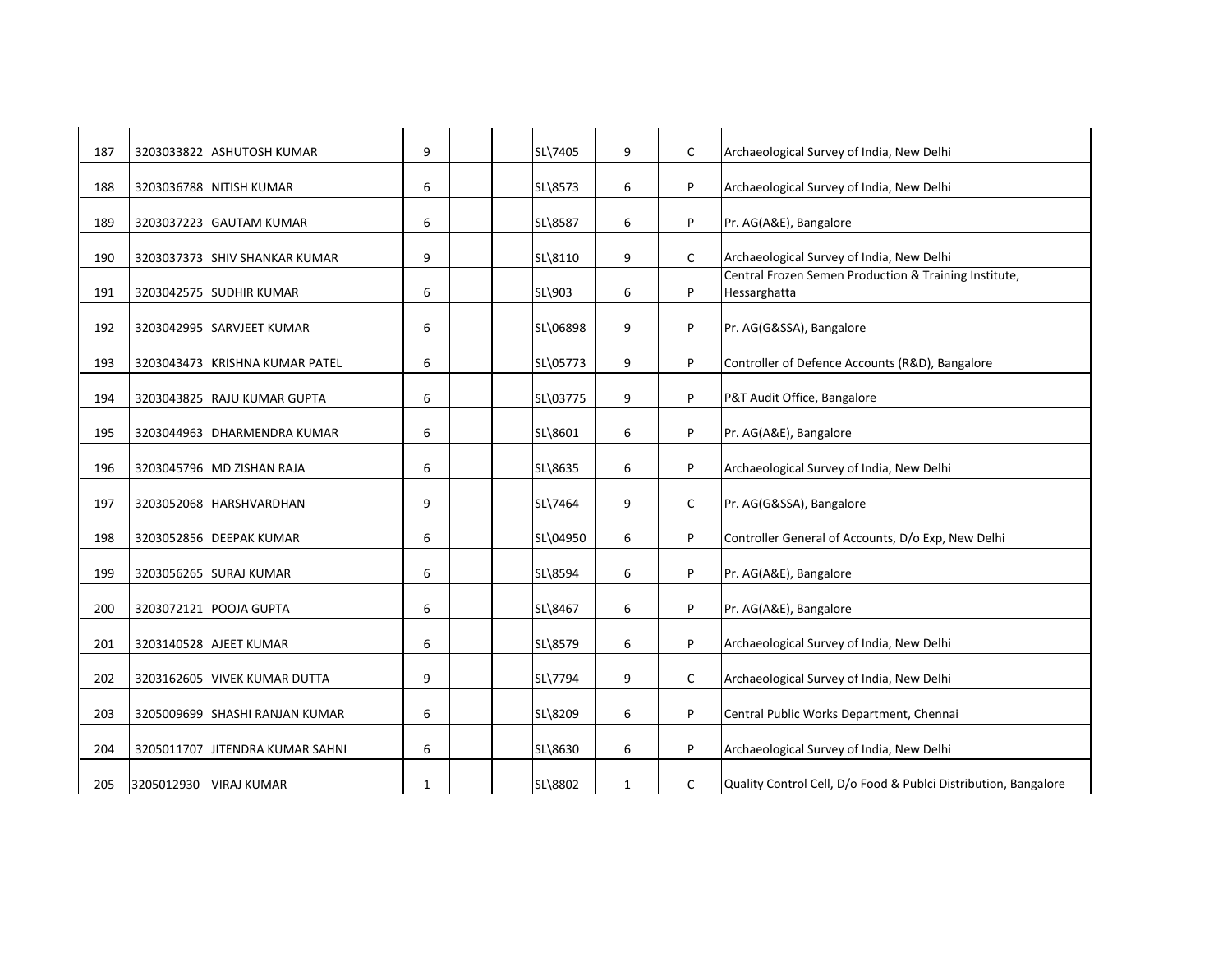| 187 | 3203033822 ASHUTOSH KUMAR       | 9 | SL\7405  | 9            | C | Archaeological Survey of India, New Delhi                             |
|-----|---------------------------------|---|----------|--------------|---|-----------------------------------------------------------------------|
| 188 | 3203036788 NITISH KUMAR         | 6 | SL\8573  | 6            | P | Archaeological Survey of India, New Delhi                             |
| 189 | 3203037223 GAUTAM KUMAR         | 6 | SL\8587  | 6            | P | Pr. AG(A&E), Bangalore                                                |
| 190 | 3203037373 SHIV SHANKAR KUMAR   | 9 | SL\8110  | 9            | C | Archaeological Survey of India, New Delhi                             |
| 191 | 3203042575 SUDHIR KUMAR         | 6 | SL\903   | 6            | P | Central Frozen Semen Production & Training Institute,<br>Hessarghatta |
| 192 | 3203042995 SARVJEET KUMAR       | 6 | SL\06898 | 9            | P | Pr. AG(G&SSA), Bangalore                                              |
| 193 | 3203043473 KRISHNA KUMAR PATEL  | 6 | SL\05773 | 9            | P | Controller of Defence Accounts (R&D), Bangalore                       |
| 194 | 3203043825 RAJU KUMAR GUPTA     | 6 | SL\03775 | 9            | P | P&T Audit Office, Bangalore                                           |
| 195 | 3203044963 DHARMENDRA KUMAR     | 6 | SL\8601  | 6            | P | Pr. AG(A&E), Bangalore                                                |
| 196 | 3203045796 MD ZISHAN RAJA       | 6 | SL\8635  | 6            | P | Archaeological Survey of India, New Delhi                             |
| 197 | 3203052068 HARSHVARDHAN         | 9 | SL\7464  | 9            | C | Pr. AG(G&SSA), Bangalore                                              |
| 198 | 3203052856 DEEPAK KUMAR         | 6 | SL\04950 | 6            | P | Controller General of Accounts, D/o Exp, New Delhi                    |
| 199 | 3203056265 SURAJ KUMAR          | 6 | SL\8594  | 6            | P | Pr. AG(A&E), Bangalore                                                |
| 200 | 3203072121 POOJA GUPTA          | 6 | SL\8467  | 6            | P | Pr. AG(A&E), Bangalore                                                |
| 201 | 3203140528 AJEET KUMAR          | 6 | SL\8579  | 6            | P | Archaeological Survey of India, New Delhi                             |
| 202 | 3203162605 VIVEK KUMAR DUTTA    | 9 | SL\7794  | 9            | C | Archaeological Survey of India, New Delhi                             |
| 203 | 3205009699 SHASHI RANJAN KUMAR  | 6 | SL\8209  | 6            | P | Central Public Works Department, Chennai                              |
| 204 | 3205011707 JITENDRA KUMAR SAHNI | 6 | SL\8630  | 6            | P | Archaeological Survey of India, New Delhi                             |
| 205 | 3205012930 VIRAJ KUMAR          | 1 | SL\8802  | $\mathbf{1}$ | C | Quality Control Cell, D/o Food & Publci Distribution, Bangalore       |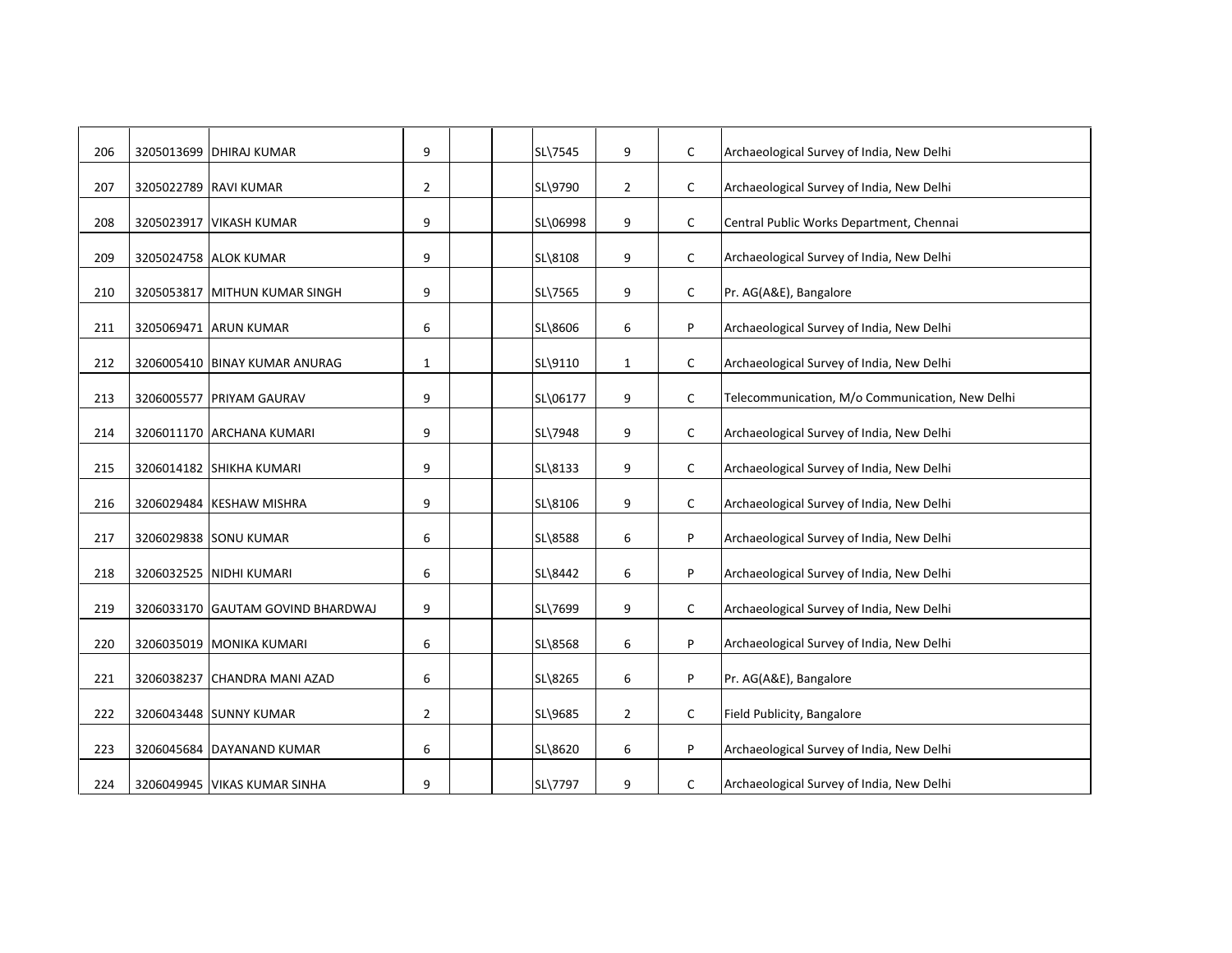| 206 |                       | 3205013699   DHIRAJ KUMAR         | 9              | SL\7545  | 9              | C | Archaeological Survey of India, New Delhi       |
|-----|-----------------------|-----------------------------------|----------------|----------|----------------|---|-------------------------------------------------|
| 207 | 3205022789 RAVI KUMAR |                                   | $\overline{2}$ | SL\9790  | $\overline{2}$ | C | Archaeological Survey of India, New Delhi       |
| 208 |                       | 3205023917 VIKASH KUMAR           | 9              | SL\06998 | 9              | С | Central Public Works Department, Chennai        |
| 209 |                       | 3205024758 ALOK KUMAR             | 9              | SL\8108  | 9              | С | Archaeological Survey of India, New Delhi       |
| 210 |                       | 3205053817 MITHUN KUMAR SINGH     | 9              | SL\7565  | 9              | C | Pr. AG(A&E), Bangalore                          |
| 211 |                       | 3205069471 ARUN KUMAR             | 6              | SL\8606  | 6              | P | Archaeological Survey of India, New Delhi       |
| 212 |                       | 3206005410 BINAY KUMAR ANURAG     | 1              | SL\9110  | $\mathbf{1}$   | С | Archaeological Survey of India, New Delhi       |
| 213 |                       | 3206005577 PRIYAM GAURAV          | 9              | SL\06177 | 9              | C | Telecommunication, M/o Communication, New Delhi |
| 214 |                       | 3206011170 ARCHANA KUMARI         | 9              | SL\7948  | 9              | С | Archaeological Survey of India, New Delhi       |
| 215 |                       | 3206014182 SHIKHA KUMARI          | 9              | SL\8133  | 9              | C | Archaeological Survey of India, New Delhi       |
| 216 |                       | 3206029484 KESHAW MISHRA          | 9              | SL\8106  | 9              | С | Archaeological Survey of India, New Delhi       |
| 217 |                       | 3206029838 SONU KUMAR             | 6              | SL\8588  | 6              | P | Archaeological Survey of India, New Delhi       |
| 218 |                       | 3206032525 NIDHI KUMARI           | 6              | SL\8442  | 6              | P | Archaeological Survey of India, New Delhi       |
| 219 |                       | 3206033170 GAUTAM GOVIND BHARDWAJ | 9              | SL\7699  | 9              | C | Archaeological Survey of India, New Delhi       |
| 220 |                       | 3206035019 MONIKA KUMARI          | 6              | SL\8568  | 6              | P | Archaeological Survey of India, New Delhi       |
| 221 |                       | 3206038237 CHANDRA MANI AZAD      | 6              | SL\8265  | 6              | P | Pr. AG(A&E), Bangalore                          |
| 222 |                       | 3206043448 SUNNY KUMAR            | $\overline{2}$ | SL\9685  | $\overline{2}$ | C | Field Publicity, Bangalore                      |
| 223 |                       | 3206045684 DAYANAND KUMAR         | 6              | SL\8620  | 6              | P | Archaeological Survey of India, New Delhi       |
| 224 |                       | 3206049945 VIKAS KUMAR SINHA      | 9              | SL\7797  | 9              | С | Archaeological Survey of India, New Delhi       |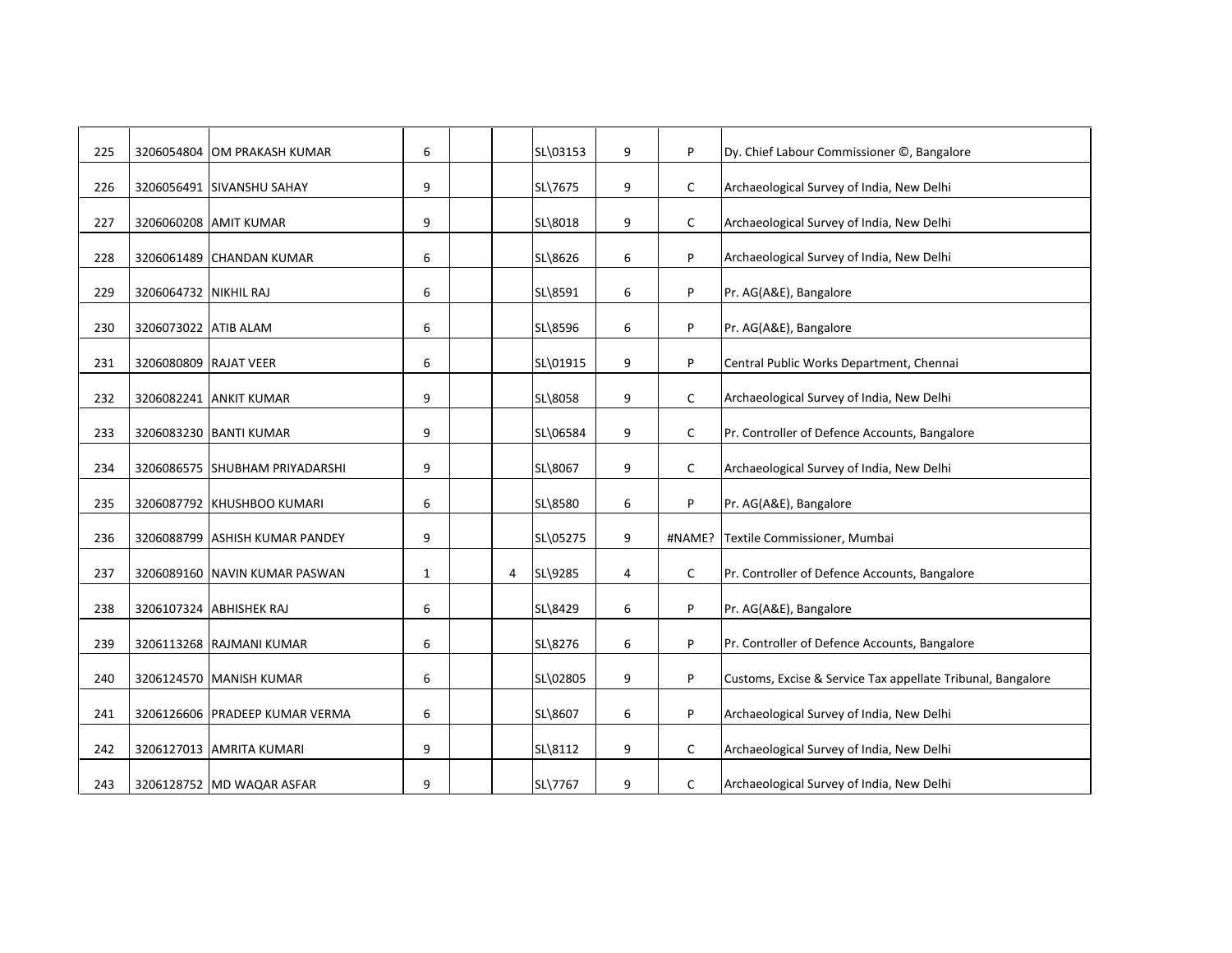| 225 |                       | 3206054804 OM PRAKASH KUMAR    | 6            |   | SL\03153 | 9 | P | Dy. Chief Labour Commissioner ©, Bangalore                  |
|-----|-----------------------|--------------------------------|--------------|---|----------|---|---|-------------------------------------------------------------|
| 226 |                       | 3206056491 SIVANSHU SAHAY      | 9            |   | SL\7675  | 9 | C | Archaeological Survey of India, New Delhi                   |
| 227 |                       | 3206060208 AMIT KUMAR          | 9            |   | SL\8018  | 9 | C | Archaeological Survey of India, New Delhi                   |
| 228 |                       | 3206061489 CHANDAN KUMAR       | 6            |   | SL\8626  | 6 | P | Archaeological Survey of India, New Delhi                   |
|     | 3206064732 NIKHIL RAJ |                                | 6            |   | SL\8591  |   | P | Pr. AG(A&E), Bangalore                                      |
| 229 |                       |                                |              |   |          | 6 |   |                                                             |
| 230 | 3206073022 ATIB ALAM  |                                | 6            |   | SL\8596  | 6 | P | Pr. AG(A&E), Bangalore                                      |
| 231 | 3206080809 RAJAT VEER |                                | 6            |   | SL\01915 | 9 | P | Central Public Works Department, Chennai                    |
| 232 |                       | 3206082241 ANKIT KUMAR         | 9            |   | SL\8058  | 9 | C | Archaeological Survey of India, New Delhi                   |
| 233 |                       | 3206083230 BANTI KUMAR         | 9            |   | SL\06584 | 9 | C | Pr. Controller of Defence Accounts, Bangalore               |
|     |                       |                                |              |   |          |   |   |                                                             |
| 234 |                       | 3206086575 SHUBHAM PRIYADARSHI | 9            |   | SL\8067  | 9 | C | Archaeological Survey of India, New Delhi                   |
| 235 |                       | 3206087792 KHUSHBOO KUMARI     | 6            |   | SL\8580  | 6 | P | Pr. AG(A&E), Bangalore                                      |
| 236 |                       | 3206088799 ASHISH KUMAR PANDEY | 9            |   | SL\05275 | 9 |   | #NAME? Textile Commissioner, Mumbai                         |
| 237 |                       | 3206089160 NAVIN KUMAR PASWAN  | $\mathbf{1}$ | 4 | SL\9285  | 4 | C | Pr. Controller of Defence Accounts, Bangalore               |
|     |                       |                                |              |   |          |   |   |                                                             |
| 238 |                       | 3206107324 ABHISHEK RAJ        | 6            |   | SL\8429  | 6 | P | Pr. AG(A&E), Bangalore                                      |
| 239 |                       | 3206113268 RAJMANI KUMAR       | 6            |   | SL\8276  | 6 | P | Pr. Controller of Defence Accounts, Bangalore               |
| 240 |                       | 3206124570 MANISH KUMAR        | 6            |   | SL\02805 | 9 | P | Customs, Excise & Service Tax appellate Tribunal, Bangalore |
| 241 |                       | 3206126606 PRADEEP KUMAR VERMA | 6            |   | SL\8607  | 6 | P | Archaeological Survey of India, New Delhi                   |
|     |                       |                                | 9            |   | SL\8112  |   |   | Archaeological Survey of India, New Delhi                   |
| 242 |                       | 3206127013 AMRITA KUMARI       |              |   |          | 9 | C |                                                             |
| 243 |                       | 3206128752 MD WAQAR ASFAR      | 9            |   | SL\7767  | 9 | C | Archaeological Survey of India, New Delhi                   |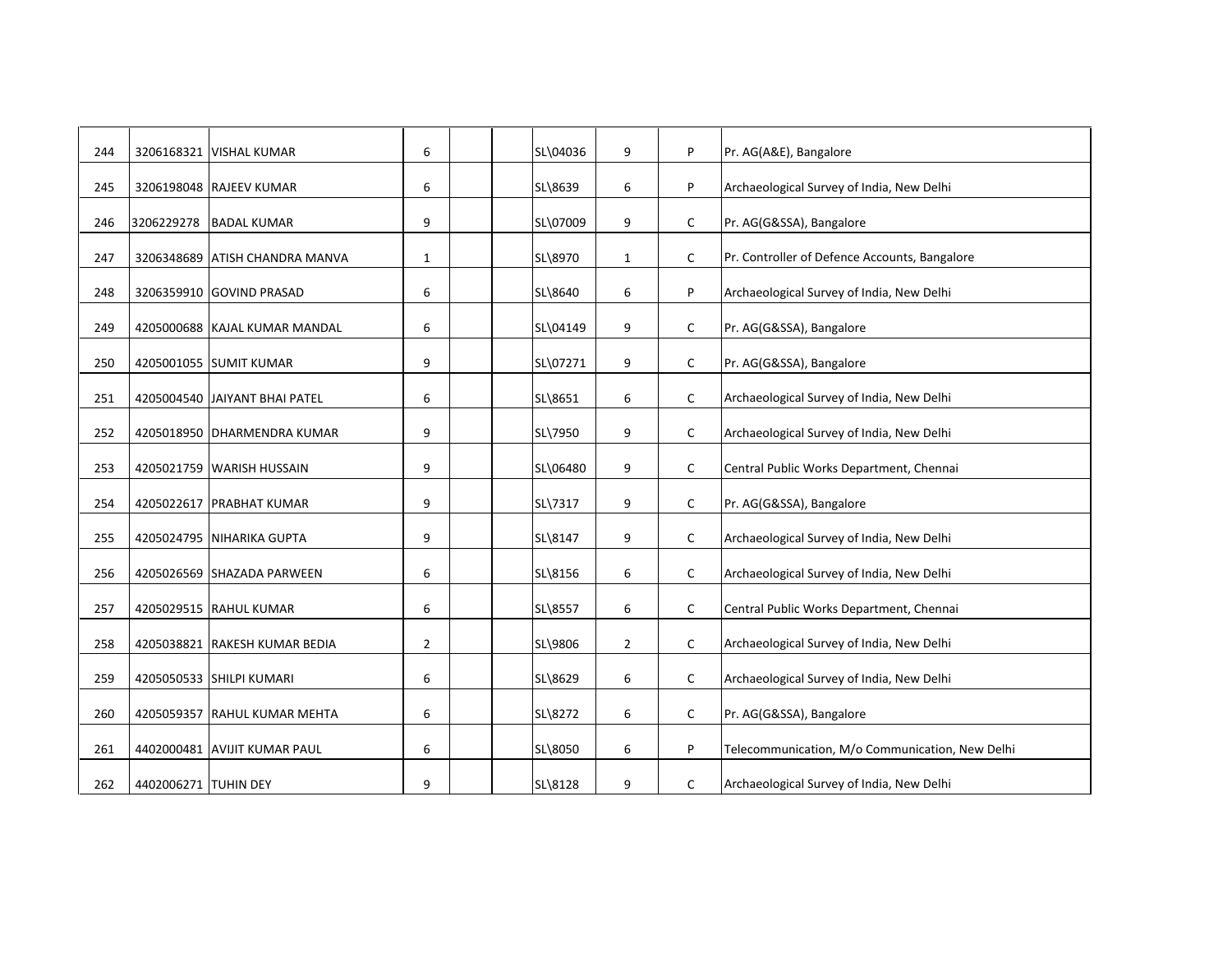| 244 |                      | 3206168321 VISHAL KUMAR        | 6              | SL\04036 | 9              | P | Pr. AG(A&E), Bangalore                          |
|-----|----------------------|--------------------------------|----------------|----------|----------------|---|-------------------------------------------------|
| 245 |                      | 3206198048 RAJEEV KUMAR        | 6              | SL\8639  | 6              | P | Archaeological Survey of India, New Delhi       |
|     |                      |                                |                |          |                |   |                                                 |
| 246 |                      | 3206229278   BADAL KUMAR       | 9              | SL\07009 | 9              | C | Pr. AG(G&SSA), Bangalore                        |
| 247 |                      | 3206348689 ATISH CHANDRA MANVA | $\mathbf{1}$   | SL\8970  | $\mathbf{1}$   | C | Pr. Controller of Defence Accounts, Bangalore   |
| 248 |                      | 3206359910 GOVIND PRASAD       | 6              | SL\8640  | 6              | P | Archaeological Survey of India, New Delhi       |
| 249 |                      | 4205000688 KAJAL KUMAR MANDAL  | 6              | SL\04149 | 9              | C | Pr. AG(G&SSA), Bangalore                        |
| 250 |                      | 4205001055 SUMIT KUMAR         | 9              | SL\07271 | 9              | C | Pr. AG(G&SSA), Bangalore                        |
| 251 |                      | 4205004540 JAIYANT BHAI PATEL  | 6              | SL\8651  | 6              | C | Archaeological Survey of India, New Delhi       |
| 252 |                      | 4205018950 DHARMENDRA KUMAR    | 9              | SL\7950  | 9              | C | Archaeological Survey of India, New Delhi       |
| 253 |                      | 4205021759 WARISH HUSSAIN      | 9              | SL\06480 | 9              | C | Central Public Works Department, Chennai        |
| 254 |                      | 4205022617 PRABHAT KUMAR       | 9              | SL\7317  | 9              | C | Pr. AG(G&SSA), Bangalore                        |
| 255 |                      | 4205024795 NIHARIKA GUPTA      | 9              | SL\8147  | 9              | C | Archaeological Survey of India, New Delhi       |
| 256 |                      | 4205026569 SHAZADA PARWEEN     | 6              | SL\8156  | 6              | C | Archaeological Survey of India, New Delhi       |
| 257 |                      | 4205029515 RAHUL KUMAR         | 6              | SL\8557  | 6              | C | Central Public Works Department, Chennai        |
| 258 |                      | 4205038821 RAKESH KUMAR BEDIA  | $\overline{2}$ | SL\9806  | $\overline{2}$ | C | Archaeological Survey of India, New Delhi       |
| 259 |                      | 4205050533 SHILPI KUMARI       | 6              | SL\8629  | 6              | C | Archaeological Survey of India, New Delhi       |
| 260 |                      | 4205059357 RAHUL KUMAR MEHTA   | 6              | SL\8272  | 6              | C | Pr. AG(G&SSA), Bangalore                        |
| 261 |                      | 4402000481 AVIJIT KUMAR PAUL   | 6              | SL\8050  | 6              | P | Telecommunication, M/o Communication, New Delhi |
| 262 | 4402006271 TUHIN DEY |                                | 9              | SL\8128  | 9              | C | Archaeological Survey of India, New Delhi       |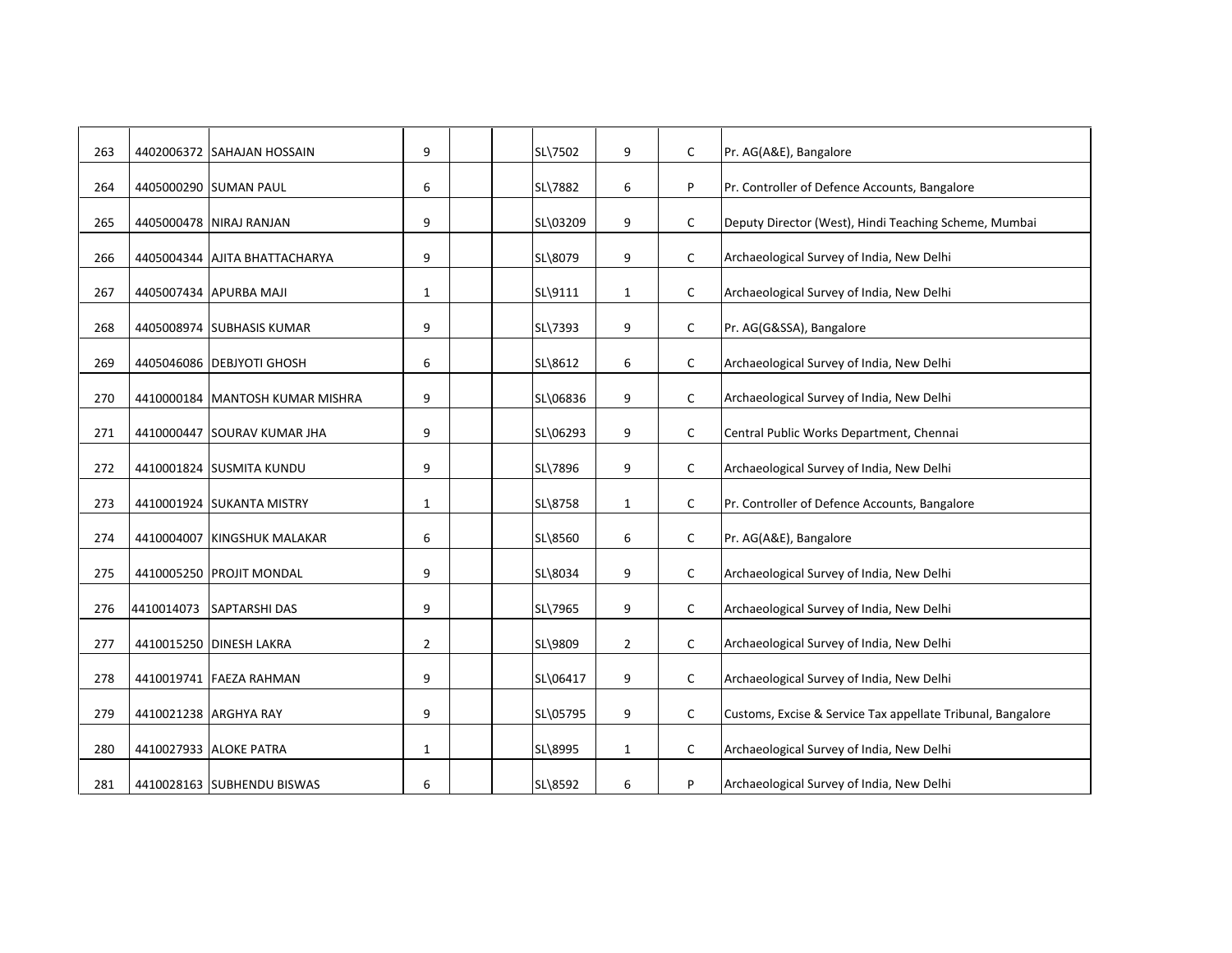| 263 |                       | 4402006372 SAHAJAN HOSSAIN      | 9              | SL\7502  | 9              | C            | Pr. AG(A&E), Bangalore                                      |
|-----|-----------------------|---------------------------------|----------------|----------|----------------|--------------|-------------------------------------------------------------|
| 264 |                       | 4405000290 SUMAN PAUL           | 6              | SL\7882  | 6              | P            | Pr. Controller of Defence Accounts, Bangalore               |
| 265 |                       | 4405000478 NIRAJ RANJAN         | 9              | SL\03209 | 9              | $\mathsf{C}$ | Deputy Director (West), Hindi Teaching Scheme, Mumbai       |
| 266 |                       | 4405004344 AJITA BHATTACHARYA   | 9              | SL\8079  | 9              | C            | Archaeological Survey of India, New Delhi                   |
| 267 |                       | 4405007434 APURBA MAJI          | $\mathbf{1}$   | SL\9111  | $\mathbf{1}$   | C            | Archaeological Survey of India, New Delhi                   |
| 268 |                       | 4405008974 SUBHASIS KUMAR       | 9              | SL\7393  | 9              | C            | Pr. AG(G&SSA), Bangalore                                    |
| 269 |                       | 4405046086 DEBJYOTI GHOSH       | 6              | SL\8612  | 6              | C            | Archaeological Survey of India, New Delhi                   |
| 270 |                       | 4410000184 MANTOSH KUMAR MISHRA | 9              | SL\06836 | 9              | C            | Archaeological Survey of India, New Delhi                   |
| 271 |                       | 4410000447 SOURAV KUMAR JHA     | 9              | SL\06293 | 9              | C            | Central Public Works Department, Chennai                    |
| 272 |                       | 4410001824 SUSMITA KUNDU        | 9              | SL\7896  | 9              | C            | Archaeological Survey of India, New Delhi                   |
| 273 |                       | 4410001924 SUKANTA MISTRY       | $\mathbf{1}$   | SL\8758  | $\mathbf{1}$   | C            | Pr. Controller of Defence Accounts, Bangalore               |
| 274 |                       | 4410004007 KINGSHUK MALAKAR     | 6              | SL\8560  | 6              | C            | Pr. AG(A&E), Bangalore                                      |
| 275 |                       | 4410005250 PROJIT MONDAL        | 9              | SL\8034  | 9              | $\mathsf{C}$ | Archaeological Survey of India, New Delhi                   |
| 276 | 4410014073            | <b>SAPTARSHI DAS</b>            | 9              | SL\7965  | 9              | C            | Archaeological Survey of India, New Delhi                   |
| 277 |                       | 4410015250 DINESH LAKRA         | $\overline{2}$ | SL\9809  | $\overline{2}$ | C            | Archaeological Survey of India, New Delhi                   |
| 278 |                       | 4410019741 FAEZA RAHMAN         | 9              | SL\06417 | 9              | C            | Archaeological Survey of India, New Delhi                   |
| 279 | 4410021238 ARGHYA RAY |                                 | 9              | SL\05795 | 9              | C            | Customs, Excise & Service Tax appellate Tribunal, Bangalore |
| 280 |                       | 4410027933 ALOKE PATRA          | $\mathbf{1}$   | SL\8995  | $\mathbf{1}$   | C            | Archaeological Survey of India, New Delhi                   |
| 281 |                       | 4410028163 SUBHENDU BISWAS      | 6              | SL\8592  | 6              | P            | Archaeological Survey of India, New Delhi                   |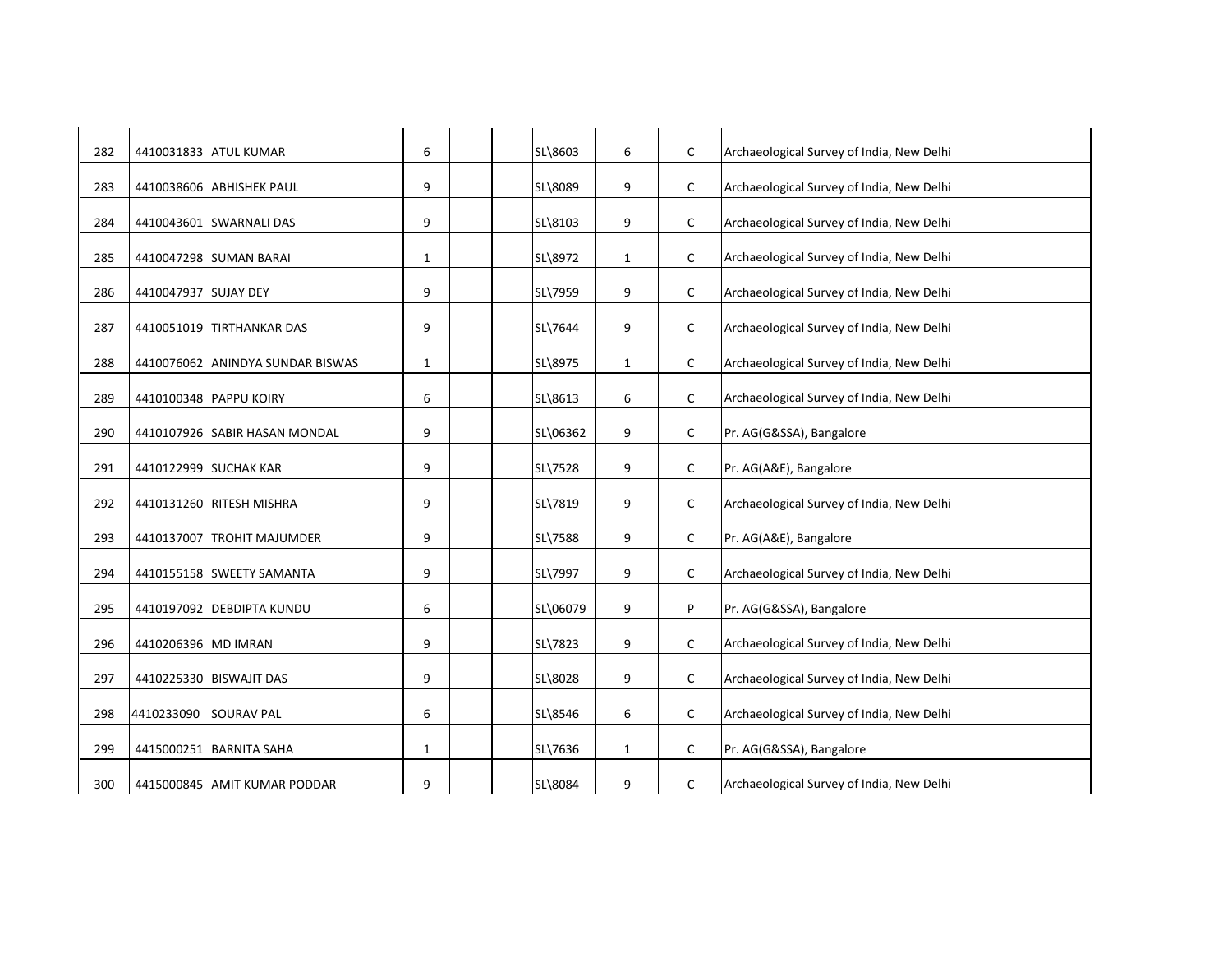| 282 |                      | 4410031833 ATUL KUMAR            | 6            | SL\8603  | 6            | C | Archaeological Survey of India, New Delhi |
|-----|----------------------|----------------------------------|--------------|----------|--------------|---|-------------------------------------------|
| 283 |                      | 4410038606 ABHISHEK PAUL         | 9            | SL\8089  | 9            | C | Archaeological Survey of India, New Delhi |
| 284 |                      | 4410043601 SWARNALI DAS          | 9            | SL\8103  | 9            | C | Archaeological Survey of India, New Delhi |
| 285 |                      | 4410047298 SUMAN BARAI           | $\mathbf{1}$ | SL\8972  | $\mathbf{1}$ | C | Archaeological Survey of India, New Delhi |
| 286 | 4410047937 SUJAY DEY |                                  | 9            | SL\7959  | 9            | C | Archaeological Survey of India, New Delhi |
| 287 |                      | 4410051019 TIRTHANKAR DAS        | 9            | SL\7644  | 9            | C | Archaeological Survey of India, New Delhi |
| 288 |                      | 4410076062 ANINDYA SUNDAR BISWAS | $\mathbf{1}$ | SL\8975  | $\mathbf{1}$ | C | Archaeological Survey of India, New Delhi |
| 289 |                      | 4410100348 PAPPU KOIRY           | 6            | SL\8613  | 6            | C | Archaeological Survey of India, New Delhi |
| 290 |                      | 4410107926 SABIR HASAN MONDAL    | 9            | SL\06362 | 9            | C | Pr. AG(G&SSA), Bangalore                  |
| 291 |                      | 4410122999 SUCHAK KAR            | 9            | SL\7528  | 9            | C | Pr. AG(A&E), Bangalore                    |
| 292 |                      | 4410131260 RITESH MISHRA         | 9            | SL\7819  | 9            | C | Archaeological Survey of India, New Delhi |
| 293 |                      | 4410137007 TROHIT MAJUMDER       | 9            | SL\7588  | 9            | C | Pr. AG(A&E), Bangalore                    |
| 294 |                      | 4410155158 SWEETY SAMANTA        | 9            | SL\7997  | 9            | C | Archaeological Survey of India, New Delhi |
| 295 |                      | 4410197092 DEBDIPTA KUNDU        | 6            | SL\06079 | 9            | P | Pr. AG(G&SSA), Bangalore                  |
| 296 | 4410206396 MD IMRAN  |                                  | 9            | SL\7823  | 9            | C | Archaeological Survey of India, New Delhi |
| 297 |                      | 4410225330 BISWAJIT DAS          | 9            | SL\8028  | 9            | C | Archaeological Survey of India, New Delhi |
| 298 | 4410233090           | <b>SOURAV PAL</b>                | 6            | SL\8546  | 6            | C | Archaeological Survey of India, New Delhi |
| 299 |                      | 4415000251 BARNITA SAHA          | 1            | SL\7636  | $\mathbf{1}$ | C | Pr. AG(G&SSA), Bangalore                  |
| 300 |                      | 4415000845 AMIT KUMAR PODDAR     | 9            | SL\8084  | 9            | C | Archaeological Survey of India, New Delhi |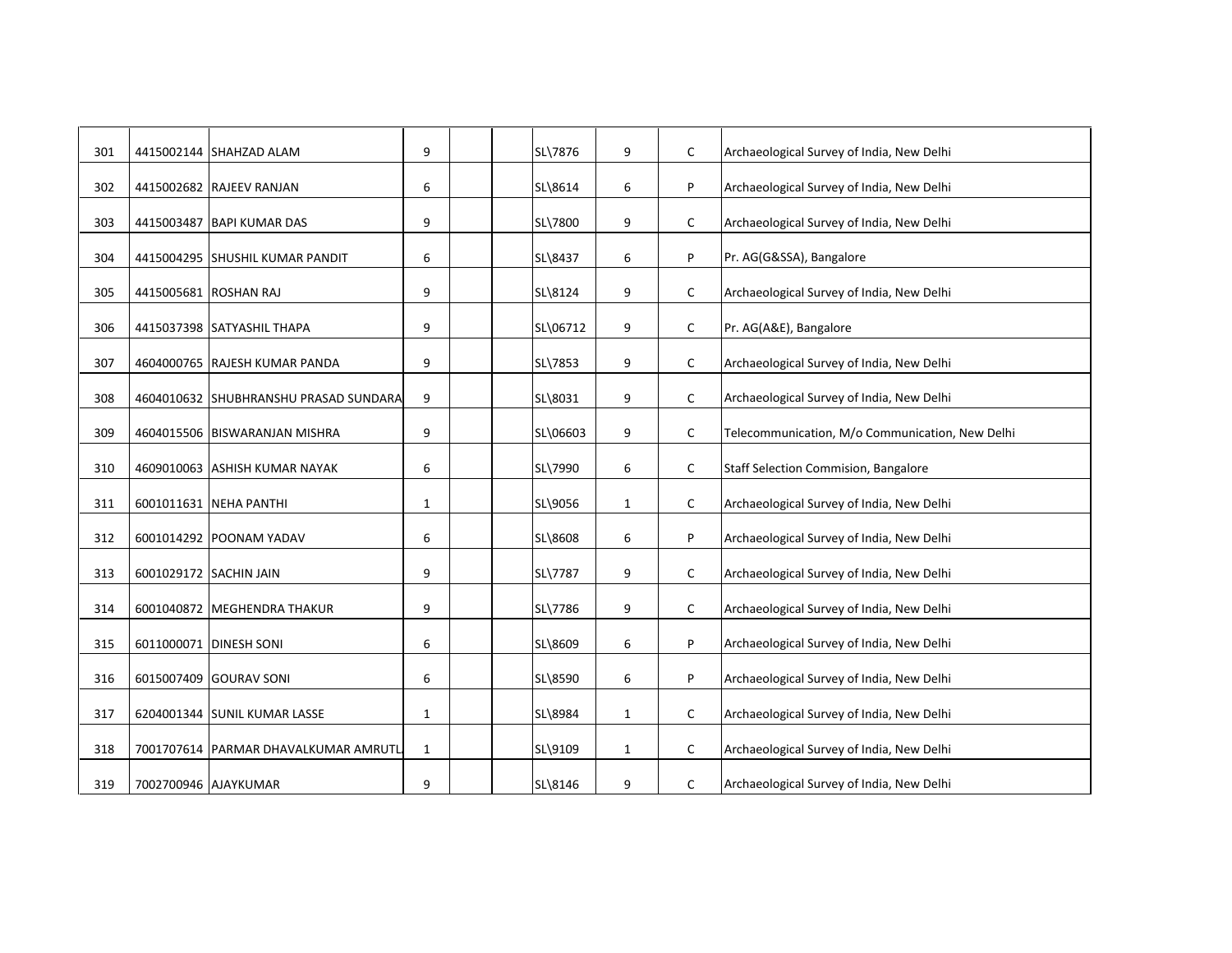| 301 |                      | 4415002144 SHAHZAD ALAM               | 9            | SL\7876  | 9            | C | Archaeological Survey of India, New Delhi       |
|-----|----------------------|---------------------------------------|--------------|----------|--------------|---|-------------------------------------------------|
| 302 |                      | 4415002682 RAJEEV RANJAN              | 6            | SL\8614  | 6            | P | Archaeological Survey of India, New Delhi       |
| 303 |                      | 4415003487 BAPI KUMAR DAS             | 9            | SL\7800  | 9            | C | Archaeological Survey of India, New Delhi       |
| 304 |                      | 4415004295 SHUSHIL KUMAR PANDIT       | 6            | SL\8437  | 6            | P | Pr. AG(G&SSA), Bangalore                        |
| 305 |                      | 4415005681 ROSHAN RAJ                 | 9            | SL\8124  | 9            | С | Archaeological Survey of India, New Delhi       |
| 306 |                      | 4415037398 SATYASHIL THAPA            | 9            | SL\06712 | 9            | C | Pr. AG(A&E), Bangalore                          |
| 307 |                      | 4604000765 RAJESH KUMAR PANDA         | 9            | SL\7853  | 9            | C | Archaeological Survey of India, New Delhi       |
| 308 |                      | 4604010632 SHUBHRANSHU PRASAD SUNDARA | 9            | SL\8031  | 9            | C | Archaeological Survey of India, New Delhi       |
| 309 |                      | 4604015506 BISWARANJAN MISHRA         | 9            | SL\06603 | 9            | C | Telecommunication, M/o Communication, New Delhi |
| 310 |                      | 4609010063 ASHISH KUMAR NAYAK         | 6            | SL\7990  | 6            | C | <b>Staff Selection Commision, Bangalore</b>     |
| 311 |                      | 6001011631 NEHA PANTHI                | 1            | SL\9056  | $\mathbf{1}$ | C | Archaeological Survey of India, New Delhi       |
| 312 |                      | 6001014292 POONAM YADAV               | 6            | SL\8608  | 6            | P | Archaeological Survey of India, New Delhi       |
| 313 |                      | 6001029172 SACHIN JAIN                | 9            | SL\7787  | 9            | C | Archaeological Survey of India, New Delhi       |
| 314 |                      | 6001040872 MEGHENDRA THAKUR           | 9            | SL\7786  | 9            | C | Archaeological Survey of India, New Delhi       |
| 315 |                      | 6011000071 DINESH SONI                | 6            | SL\8609  | 6            | P | Archaeological Survey of India, New Delhi       |
| 316 |                      | 6015007409 GOURAV SONI                | 6            | SL\8590  | 6            | P | Archaeological Survey of India, New Delhi       |
| 317 |                      | 6204001344 SUNIL KUMAR LASSE          | $\mathbf{1}$ | SL\8984  | $\mathbf{1}$ | C | Archaeological Survey of India, New Delhi       |
| 318 |                      | 7001707614 PARMAR DHAVALKUMAR AMRUTL  | $\mathbf{1}$ | SL\9109  | $\mathbf{1}$ | C | Archaeological Survey of India, New Delhi       |
| 319 | 7002700946 AJAYKUMAR |                                       | 9            | SL\8146  | 9            | C | Archaeological Survey of India, New Delhi       |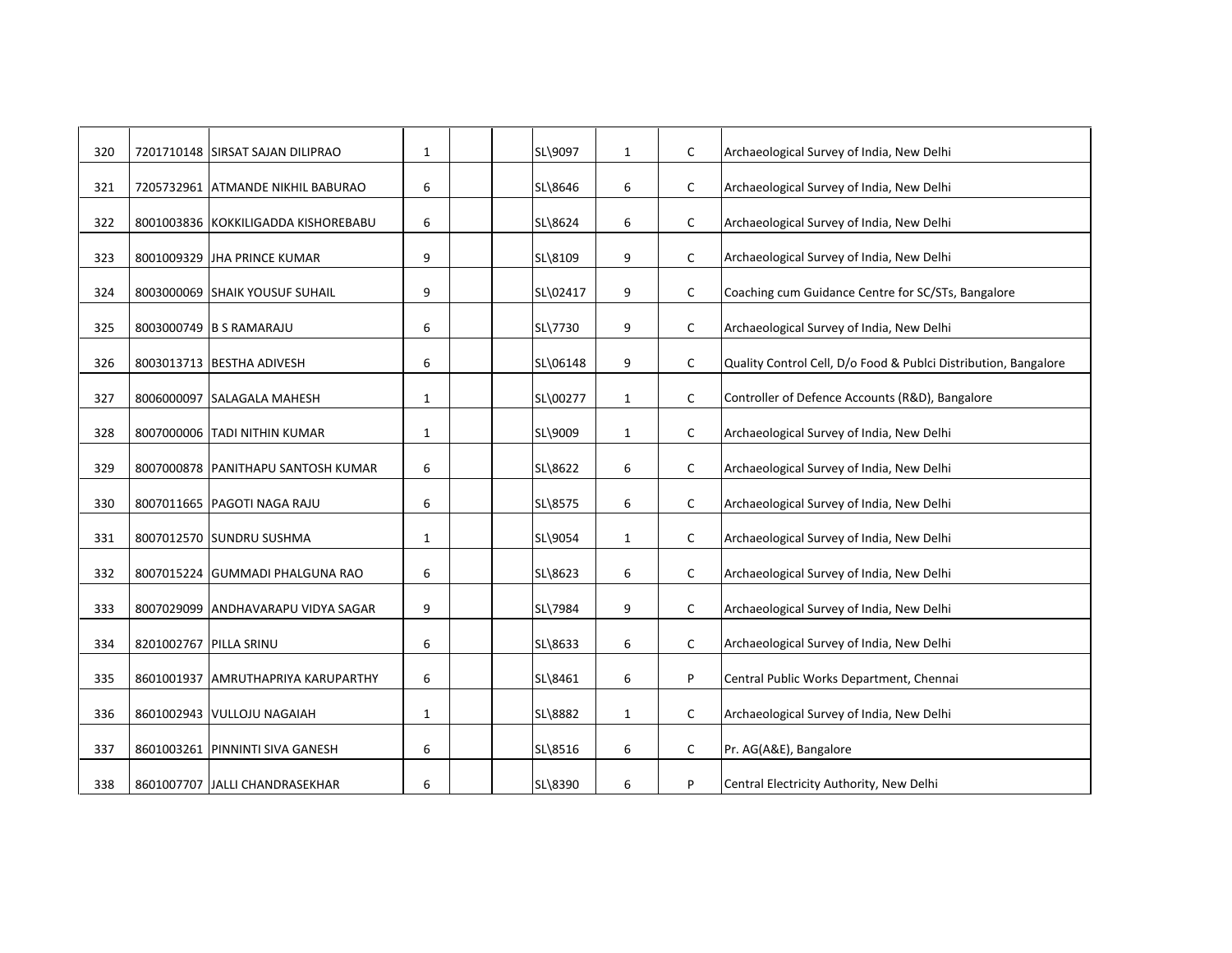| 320 |                        | 7201710148 SIRSAT SAJAN DILIPRAO    | $\mathbf{1}$ | SL\9097  | $\mathbf{1}$ | C            | Archaeological Survey of India, New Delhi                       |
|-----|------------------------|-------------------------------------|--------------|----------|--------------|--------------|-----------------------------------------------------------------|
| 321 |                        | 7205732961 ATMANDE NIKHIL BABURAO   | 6            | SL\8646  | 6            | $\mathsf{C}$ | Archaeological Survey of India, New Delhi                       |
| 322 |                        | 8001003836 KOKKILIGADDA KISHOREBABU | 6            | SL\8624  | 6            | C            | Archaeological Survey of India, New Delhi                       |
| 323 |                        | 8001009329 JHA PRINCE KUMAR         | 9            | SL\8109  | 9            | $\mathsf{C}$ | Archaeological Survey of India, New Delhi                       |
| 324 |                        | 8003000069 SHAIK YOUSUF SUHAIL      | 9            | SL\02417 | 9            | $\mathsf{C}$ | Coaching cum Guidance Centre for SC/STs, Bangalore              |
| 325 |                        | 8003000749 B S RAMARAJU             | 6            | SL\7730  | 9            | C            | Archaeological Survey of India, New Delhi                       |
| 326 |                        | 8003013713 BESTHA ADIVESH           | 6            | SL\06148 | 9            | C            | Quality Control Cell, D/o Food & Publci Distribution, Bangalore |
| 327 |                        | 8006000097 SALAGALA MAHESH          | 1            | SL\00277 | 1            | C            | Controller of Defence Accounts (R&D), Bangalore                 |
| 328 |                        | 8007000006 TADI NITHIN KUMAR        | $\mathbf{1}$ | SL\9009  | $\mathbf{1}$ | C            | Archaeological Survey of India, New Delhi                       |
| 329 |                        | 8007000878 PANITHAPU SANTOSH KUMAR  | 6            | SL\8622  | 6            | C            | Archaeological Survey of India, New Delhi                       |
| 330 |                        | 8007011665 PAGOTI NAGA RAJU         | 6            | SL\8575  | 6            | $\mathsf{C}$ | Archaeological Survey of India, New Delhi                       |
| 331 |                        | 8007012570 SUNDRU SUSHMA            | 1            | SL\9054  | $\mathbf{1}$ | C            | Archaeological Survey of India, New Delhi                       |
| 332 |                        | 8007015224 GUMMADI PHALGUNA RAO     | 6            | SL\8623  | 6            | C            | Archaeological Survey of India, New Delhi                       |
| 333 |                        | 8007029099 ANDHAVARAPU VIDYA SAGAR  | 9            | SL\7984  | 9            | C            | Archaeological Survey of India, New Delhi                       |
| 334 | 8201002767 PILLA SRINU |                                     | 6            | SL\8633  | 6            | C            | Archaeological Survey of India, New Delhi                       |
| 335 | 8601001937             | <b>AMRUTHAPRIYA KARUPARTHY</b>      | 6            | SL\8461  | 6            | P            | Central Public Works Department, Chennai                        |
| 336 |                        | 8601002943 VULLOJU NAGAIAH          | $\mathbf{1}$ | SL\8882  | 1            | C            | Archaeological Survey of India, New Delhi                       |
| 337 |                        | 8601003261 PINNINTI SIVA GANESH     | 6            | SL\8516  |              | $\mathsf{C}$ | Pr. AG(A&E), Bangalore                                          |
|     |                        |                                     |              |          | 6            |              |                                                                 |
| 338 |                        | 8601007707 JALLI CHANDRASEKHAR      | 6            | SL\8390  | 6            | P            | Central Electricity Authority, New Delhi                        |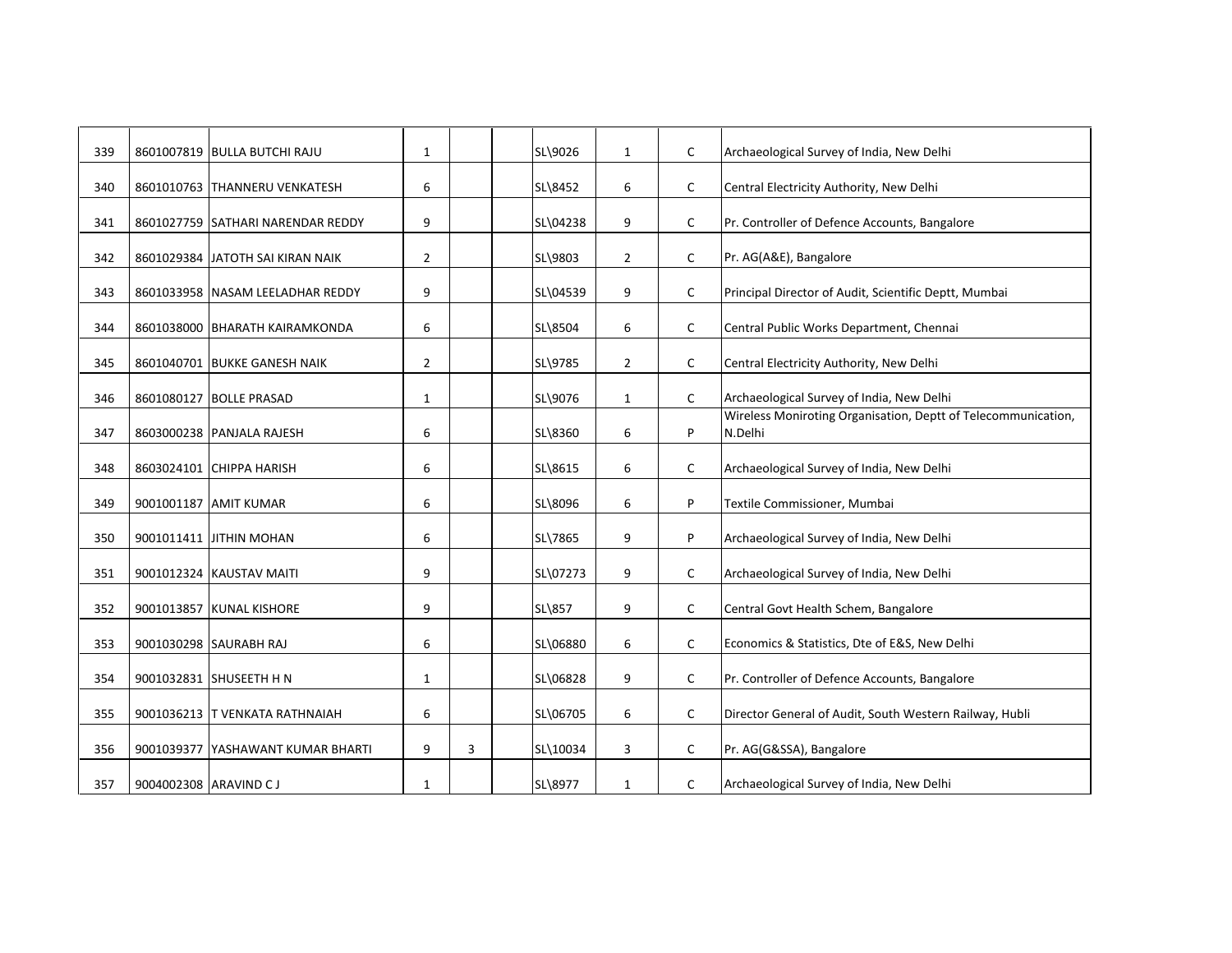| 339 |                       | 8601007819 BULLA BUTCHI RAJU      | $\mathbf{1}$   |   | SL\9026  | $\mathbf{1}$   | C            | Archaeological Survey of India, New Delhi                                |
|-----|-----------------------|-----------------------------------|----------------|---|----------|----------------|--------------|--------------------------------------------------------------------------|
| 340 |                       | 8601010763 THANNERU VENKATESH     | 6              |   | SL\8452  | 6              | $\mathsf{C}$ | Central Electricity Authority, New Delhi                                 |
| 341 |                       | 8601027759 SATHARI NARENDAR REDDY | 9              |   | SL\04238 | 9              | $\mathsf{C}$ | Pr. Controller of Defence Accounts, Bangalore                            |
| 342 |                       | 8601029384 JJATOTH SAI KIRAN NAIK | $\overline{2}$ |   | SL\9803  | $\overline{2}$ | $\mathsf{C}$ | Pr. AG(A&E), Bangalore                                                   |
| 343 |                       | 8601033958 NASAM LEELADHAR REDDY  | 9              |   | SL\04539 | 9              | C            | Principal Director of Audit, Scientific Deptt, Mumbai                    |
| 344 |                       | 8601038000 BHARATH KAIRAMKONDA    | 6              |   | SL\8504  | 6              | C            | Central Public Works Department, Chennai                                 |
| 345 |                       | 8601040701 BUKKE GANESH NAIK      | $\overline{2}$ |   | SL\9785  | $\overline{2}$ | C            | Central Electricity Authority, New Delhi                                 |
| 346 |                       | 8601080127 BOLLE PRASAD           | $\mathbf{1}$   |   | SL\9076  | $\mathbf{1}$   | C            | Archaeological Survey of India, New Delhi                                |
| 347 |                       | 8603000238 PANJALA RAJESH         | 6              |   | SL\8360  | 6              | P            | Wireless Moniroting Organisation, Deptt of Telecommunication,<br>N.Delhi |
| 348 |                       | 8603024101 CHIPPA HARISH          | 6              |   | SL\8615  | 6              | C            | Archaeological Survey of India, New Delhi                                |
| 349 |                       | 9001001187 AMIT KUMAR             | 6              |   | SL\8096  | 6              | P            | Textile Commissioner, Mumbai                                             |
| 350 |                       | 9001011411 JITHIN MOHAN           | 6              |   | SL\7865  | 9              | P            | Archaeological Survey of India, New Delhi                                |
| 351 |                       | 9001012324 KAUSTAV MAITI          | 9              |   | SL\07273 | 9              | C            | Archaeological Survey of India, New Delhi                                |
| 352 |                       | 9001013857 KUNAL KISHORE          | 9              |   | SL\857   | 9              | C            | Central Govt Health Schem, Bangalore                                     |
| 353 |                       | 9001030298 SAURABH RAJ            | 6              |   | SL\06880 | 6              | C            | Economics & Statistics, Dte of E&S, New Delhi                            |
| 354 |                       | 9001032831 SHUSEETH H N           | $\mathbf{1}$   |   | SL\06828 | 9              | $\mathsf{C}$ | Pr. Controller of Defence Accounts, Bangalore                            |
| 355 |                       | 9001036213 T VENKATA RATHNAIAH    | 6              |   | SL\06705 | 6              | C            | Director General of Audit, South Western Railway, Hubli                  |
| 356 |                       | 9001039377 YASHAWANT KUMAR BHARTI | 9              | 3 | SL\10034 | 3              | $\mathsf{C}$ | Pr. AG(G&SSA), Bangalore                                                 |
| 357 | 9004002308 ARAVIND CJ |                                   | $\mathbf{1}$   |   | SL\8977  | $\mathbf{1}$   | C            | Archaeological Survey of India, New Delhi                                |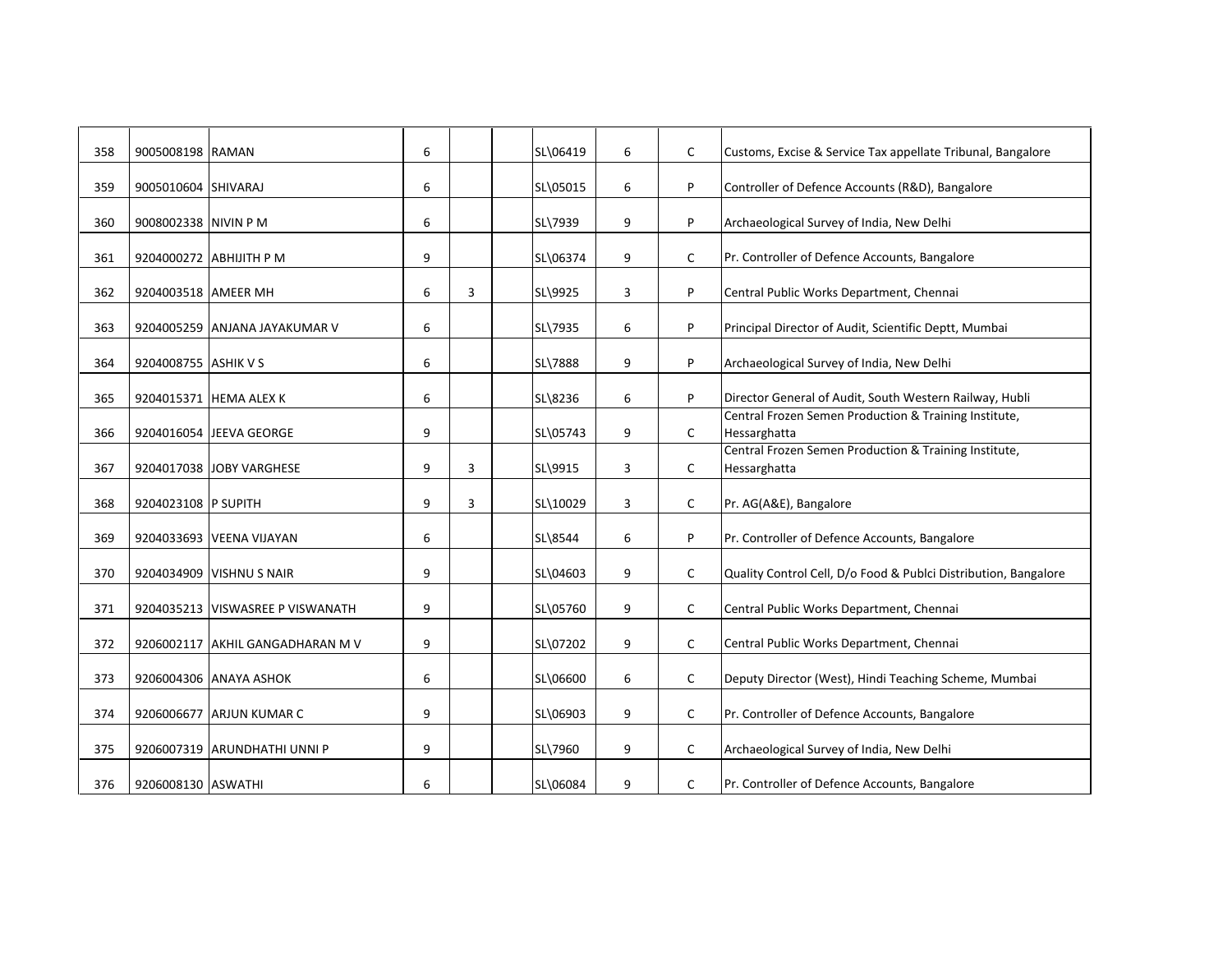| 358 | 9005008198 RAMAN     |                                    | 6 |   | SL\06419 | 6 | C            | Customs, Excise & Service Tax appellate Tribunal, Bangalore           |
|-----|----------------------|------------------------------------|---|---|----------|---|--------------|-----------------------------------------------------------------------|
| 359 | 9005010604 SHIVARAJ  |                                    | 6 |   | SL\05015 | 6 | P            | Controller of Defence Accounts (R&D), Bangalore                       |
| 360 | 9008002338 NIVIN P M |                                    | 6 |   | SL\7939  | 9 | P            | Archaeological Survey of India, New Delhi                             |
| 361 |                      | 9204000272 ABHIJITH P M            | 9 |   | SL\06374 | 9 | $\mathsf{C}$ | Pr. Controller of Defence Accounts, Bangalore                         |
| 362 | 9204003518 AMEER MH  |                                    | 6 | 3 | SL\9925  | 3 | P            | Central Public Works Department, Chennai                              |
| 363 |                      | 9204005259 ANJANA JAYAKUMAR V      | 6 |   | SL\7935  | 6 | P            | Principal Director of Audit, Scientific Deptt, Mumbai                 |
| 364 | 9204008755 ASHIK V S |                                    | 6 |   | SL\7888  | 9 | P            | Archaeological Survey of India, New Delhi                             |
| 365 |                      | 9204015371 HEMA ALEX K             | 6 |   | SL\8236  | 6 | P            | Director General of Audit, South Western Railway, Hubli               |
| 366 |                      | 9204016054 JEEVA GEORGE            | 9 |   | SL\05743 | 9 | C            | Central Frozen Semen Production & Training Institute,<br>Hessarghatta |
| 367 |                      | 9204017038 JOBY VARGHESE           | 9 | 3 | SL\9915  | 3 | C            | Central Frozen Semen Production & Training Institute,<br>Hessarghatta |
| 368 | 9204023108 P SUPITH  |                                    | 9 | 3 | SL\10029 | 3 | C            | Pr. AG(A&E), Bangalore                                                |
| 369 |                      | 9204033693   VEENA VIJAYAN         | 6 |   | SL\8544  | 6 | P            | Pr. Controller of Defence Accounts, Bangalore                         |
| 370 |                      | 9204034909 VISHNU S NAIR           | 9 |   | SL\04603 | 9 | C            | Quality Control Cell, D/o Food & Publci Distribution, Bangalore       |
| 371 |                      | 9204035213   VISWASREE P VISWANATH | 9 |   | SL\05760 | 9 | C            | Central Public Works Department, Chennai                              |
| 372 |                      | 9206002117 AKHIL GANGADHARAN M V   | 9 |   | SL\07202 | 9 | $\mathsf{C}$ | Central Public Works Department, Chennai                              |
| 373 |                      | 9206004306 ANAYA ASHOK             | 6 |   | SL\06600 | 6 | C            | Deputy Director (West), Hindi Teaching Scheme, Mumbai                 |
|     |                      |                                    |   |   |          |   |              |                                                                       |
| 374 |                      | 9206006677 ARJUN KUMAR C           | 9 |   | SL\06903 | 9 | $\mathsf{C}$ | Pr. Controller of Defence Accounts, Bangalore                         |
| 375 |                      | 9206007319 ARUNDHATHI UNNI P       | 9 |   | SL\7960  | 9 | $\mathsf{C}$ | Archaeological Survey of India, New Delhi                             |
| 376 | 9206008130 ASWATHI   |                                    | 6 |   | SL\06084 | 9 | C            | Pr. Controller of Defence Accounts, Bangalore                         |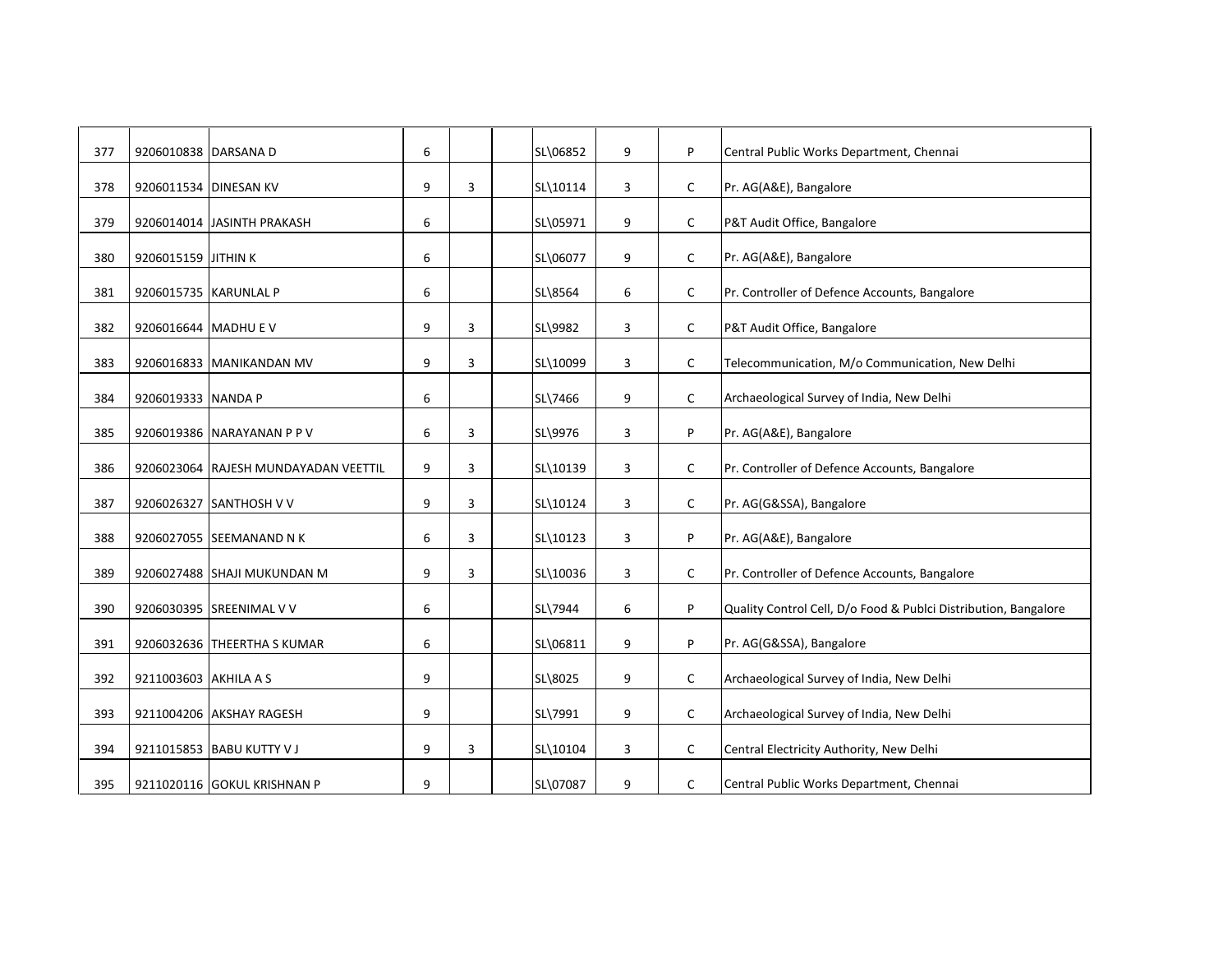| 377 | 9206010838 DARSANA D  |                                      | 6 |                | SL\06852 | 9 | P            | Central Public Works Department, Chennai                        |
|-----|-----------------------|--------------------------------------|---|----------------|----------|---|--------------|-----------------------------------------------------------------|
| 378 | 9206011534 DINESAN KV |                                      | 9 | $\overline{3}$ | SL\10114 | 3 | $\mathsf{C}$ | Pr. AG(A&E), Bangalore                                          |
| 379 |                       | 9206014014 JASINTH PRAKASH           | 6 |                | SL\05971 | 9 | $\mathsf{C}$ | P&T Audit Office, Bangalore                                     |
| 380 | 9206015159 JITHIN K   |                                      | 6 |                | SL\06077 | 9 | $\mathsf{C}$ | Pr. AG(A&E), Bangalore                                          |
| 381 | 9206015735 KARUNLAL P |                                      | 6 |                | SL\8564  | 6 | $\mathsf{C}$ | Pr. Controller of Defence Accounts, Bangalore                   |
| 382 | 9206016644 MADHU E V  |                                      | 9 | 3              | SL\9982  | 3 | C            | P&T Audit Office, Bangalore                                     |
| 383 |                       | 9206016833 MANIKANDAN MV             | 9 | 3              | SL\10099 | 3 | C            | Telecommunication, M/o Communication, New Delhi                 |
| 384 | 9206019333 NANDA P    |                                      | 6 |                | SL\7466  | 9 | C            | Archaeological Survey of India, New Delhi                       |
| 385 |                       | 9206019386 NARAYANAN P P V           | 6 | 3              | SL\9976  | 3 | P            | Pr. AG(A&E), Bangalore                                          |
| 386 |                       | 9206023064 RAJESH MUNDAYADAN VEETTIL | 9 | 3              | SL\10139 | 3 | C            | Pr. Controller of Defence Accounts, Bangalore                   |
| 387 |                       | 9206026327 SANTHOSH V V              | 9 | 3              | SL\10124 | 3 | C            | Pr. AG(G&SSA), Bangalore                                        |
| 388 |                       | 9206027055 SEEMANAND N K             | 6 | 3              | SL\10123 | 3 | P            | Pr. AG(A&E), Bangalore                                          |
| 389 |                       | 9206027488 SHAJI MUKUNDAN M          | 9 | 3              | SL\10036 | 3 | C            | Pr. Controller of Defence Accounts, Bangalore                   |
| 390 |                       | 9206030395 SREENIMAL V V             | 6 |                | SL\7944  | 6 | P            | Quality Control Cell, D/o Food & Publci Distribution, Bangalore |
| 391 |                       | 9206032636 THEERTHA S KUMAR          | 6 |                | SL\06811 | 9 | P            | Pr. AG(G&SSA), Bangalore                                        |
| 392 | 9211003603 AKHILA A S |                                      | 9 |                | SL\8025  | 9 | C            | Archaeological Survey of India, New Delhi                       |
| 393 |                       | 9211004206 AKSHAY RAGESH             | 9 |                | SL\7991  | 9 | $\mathsf{C}$ | Archaeological Survey of India, New Delhi                       |
| 394 |                       | 9211015853 BABU KUTTY V J            | 9 | 3              | SL\10104 | 3 | C            | Central Electricity Authority, New Delhi                        |
| 395 |                       | 9211020116 GOKUL KRISHNAN P          | 9 |                | SL\07087 | 9 | C            | Central Public Works Department, Chennai                        |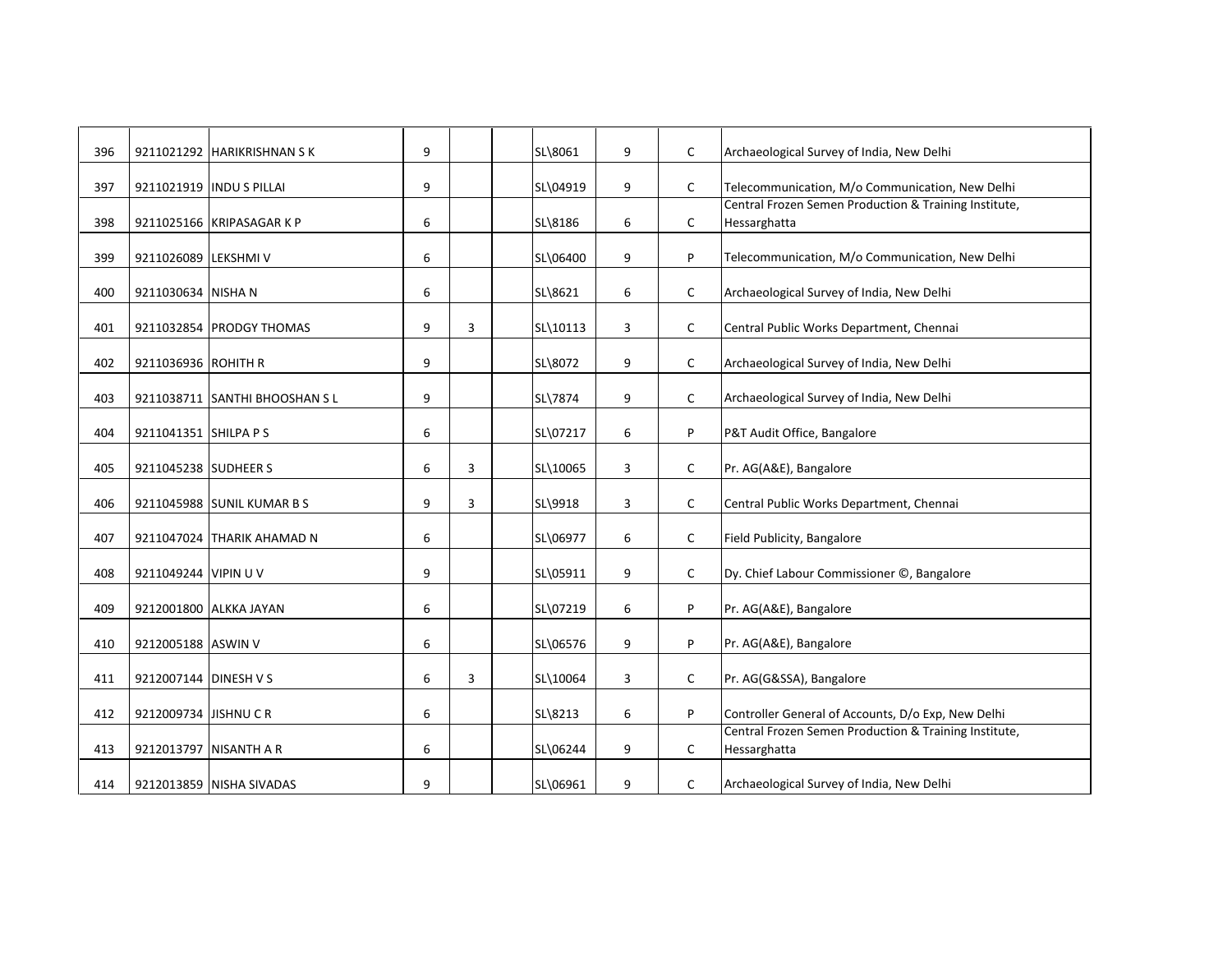| 396 |                       | 9211021292 HARIKRISHNAN SK    | 9 |   | SL\8061  | 9 | C            | Archaeological Survey of India, New Delhi                             |
|-----|-----------------------|-------------------------------|---|---|----------|---|--------------|-----------------------------------------------------------------------|
| 397 |                       | 9211021919   INDU S PILLAI    | 9 |   | SL\04919 | 9 | $\mathsf{C}$ | Telecommunication, M/o Communication, New Delhi                       |
| 398 |                       | 9211025166 KRIPASAGAR K P     | 6 |   | SL\8186  | 6 | C            | Central Frozen Semen Production & Training Institute,<br>Hessarghatta |
| 399 | 9211026089 LEKSHMIV   |                               | 6 |   | SL\06400 | 9 | P            | Telecommunication, M/o Communication, New Delhi                       |
| 400 | 9211030634 NISHA N    |                               | 6 |   | SL\8621  | 6 | C            | Archaeological Survey of India, New Delhi                             |
| 401 |                       | 9211032854 PRODGY THOMAS      | 9 | 3 | SL\10113 | 3 | C            | Central Public Works Department, Chennai                              |
| 402 | 9211036936 ROHITH R   |                               | 9 |   | SL\8072  | 9 | C            | Archaeological Survey of India, New Delhi                             |
| 403 |                       | 9211038711 SANTHI BHOOSHAN SL | 9 |   | SL\7874  | 9 | C            | Archaeological Survey of India, New Delhi                             |
| 404 | 9211041351 SHILPA P S |                               | 6 |   | SL\07217 | 6 | P            | P&T Audit Office, Bangalore                                           |
| 405 | 9211045238 SUDHEER S  |                               | 6 | 3 | SL\10065 | 3 | C            | Pr. AG(A&E), Bangalore                                                |
| 406 |                       | 9211045988 SUNIL KUMAR B S    | 9 | 3 | SL\9918  | 3 | C            | Central Public Works Department, Chennai                              |
| 407 |                       | 9211047024 THARIK AHAMAD N    | 6 |   | SL\06977 | 6 | C            | Field Publicity, Bangalore                                            |
| 408 | 9211049244 VIPIN U V  |                               | 9 |   | SL\05911 | 9 | C            | Dy. Chief Labour Commissioner ©, Bangalore                            |
| 409 |                       | 9212001800 ALKKA JAYAN        | 6 |   | SL\07219 | 6 | P            | Pr. AG(A&E), Bangalore                                                |
| 410 | 9212005188 ASWIN V    |                               | 6 |   | SL\06576 | 9 | P            | Pr. AG(A&E), Bangalore                                                |
| 411 | 9212007144 DINESH V S |                               | 6 | 3 | SL\10064 | 3 | C            | Pr. AG(G&SSA), Bangalore                                              |
| 412 | 9212009734 JISHNU CR  |                               | 6 |   | SL\8213  | 6 | P            | Controller General of Accounts, D/o Exp, New Delhi                    |
| 413 |                       | 9212013797 NISANTH A R        | 6 |   | SL\06244 | 9 | C            | Central Frozen Semen Production & Training Institute,<br>Hessarghatta |
| 414 |                       | 9212013859 NISHA SIVADAS      | 9 |   | SL\06961 | 9 | C            | Archaeological Survey of India, New Delhi                             |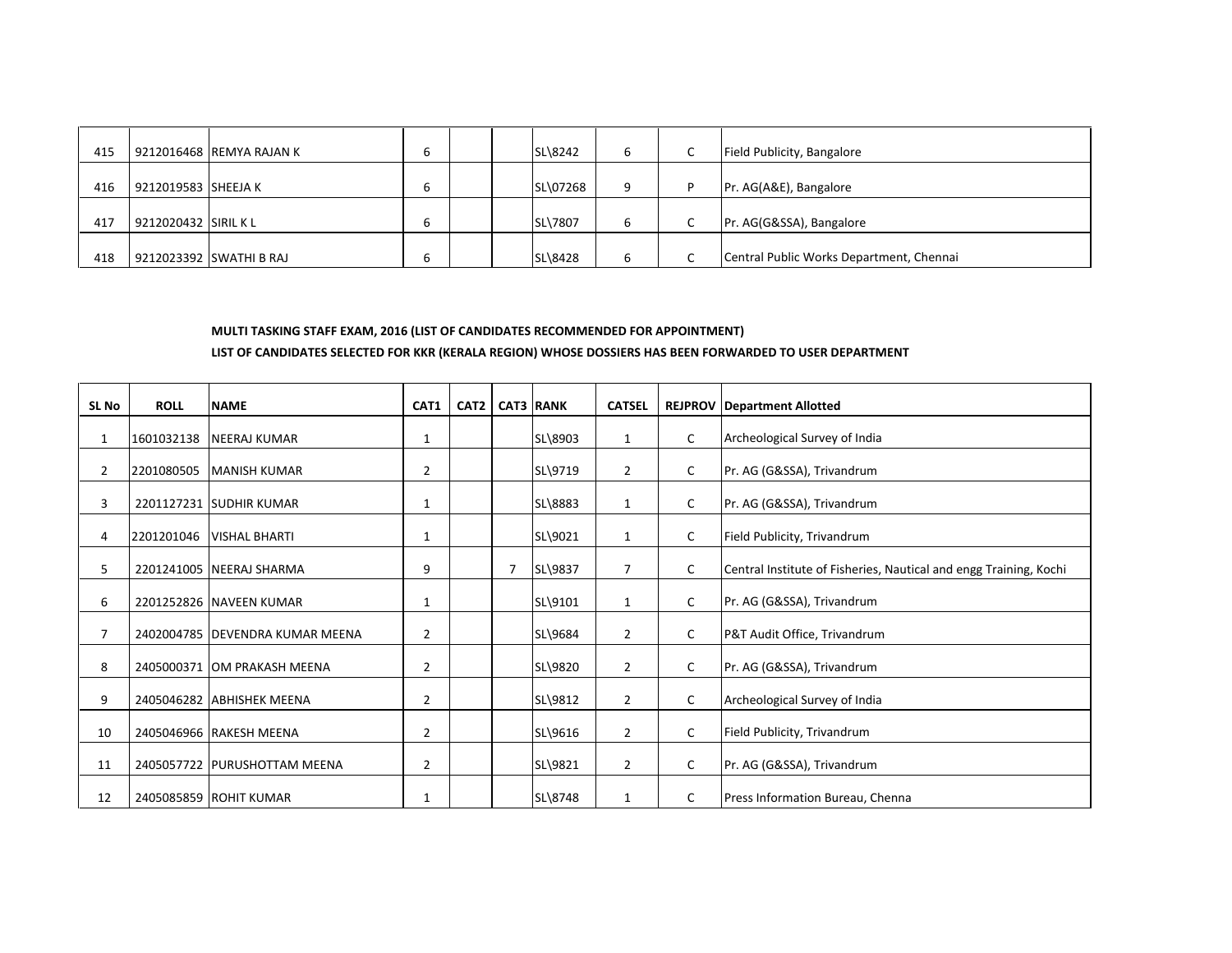| 415 |                      | 9212016468 REMYA RAJAN K | 6 |  | SL\8242  | b | Field Publicity, Bangalore               |
|-----|----------------------|--------------------------|---|--|----------|---|------------------------------------------|
| 416 | 9212019583 SHEEJA K  |                          | b |  | SL\07268 | 9 | Pr. AG(A&E), Bangalore                   |
| 417 | 9212020432 SIRIL K L |                          | ь |  | SL\7807  | 6 | Pr. AG(G&SSA), Bangalore                 |
| 418 |                      | 9212023392 SWATHI B RAJ  | 6 |  | SL\8428  | 6 | Central Public Works Department, Chennai |

# **MULTI TASKING STAFF EXAM, 2016 (LIST OF CANDIDATES RECOMMENDED FOR APPOINTMENT) LIST OF CANDIDATES SELECTED FOR KKR (KERALA REGION) WHOSE DOSSIERS HAS BEEN FORWARDED TO USER DEPARTMENT**

| SL No          | <b>ROLL</b> | <b>NAME</b>                     | CAT1           | CAT <sub>2</sub> | <b>CAT3 RANK</b> |         | <b>CATSEL</b>  |   | <b>REJPROV   Department Allotted</b>                              |
|----------------|-------------|---------------------------------|----------------|------------------|------------------|---------|----------------|---|-------------------------------------------------------------------|
| 1              | 1601032138  | <b>NEERAJ KUMAR</b>             | 1              |                  |                  | SL\8903 | 1              | C | Archeological Survey of India                                     |
| 2              | 2201080505  | <b>MANISH KUMAR</b>             | $\overline{2}$ |                  |                  | SL\9719 | $\overline{2}$ | C | Pr. AG (G&SSA), Trivandrum                                        |
| 3              |             | 2201127231 SUDHIR KUMAR         | $\mathbf{1}$   |                  |                  | SL\8883 | 1              | С | Pr. AG (G&SSA), Trivandrum                                        |
| 4              | 2201201046  | <b>VISHAL BHARTI</b>            | 1              |                  |                  | SL\9021 | 1              | C | Field Publicity, Trivandrum                                       |
| 5              |             | 2201241005 NEERAJ SHARMA        | 9              |                  | $\overline{7}$   | SL\9837 | $\overline{7}$ | С | Central Institute of Fisheries, Nautical and engg Training, Kochi |
| 6              |             | 2201252826 NAVEEN KUMAR         | $\mathbf{1}$   |                  |                  | SL\9101 | $\mathbf{1}$   | С | Pr. AG (G&SSA), Trivandrum                                        |
| $\overline{7}$ |             | 2402004785 DEVENDRA KUMAR MEENA | $\overline{2}$ |                  |                  | SL\9684 | $\overline{2}$ | С | P&T Audit Office, Trivandrum                                      |
| 8              |             | 2405000371 OM PRAKASH MEENA     | $\overline{2}$ |                  |                  | SL\9820 | $\overline{2}$ | С | Pr. AG (G&SSA), Trivandrum                                        |
| 9              |             | 2405046282 ABHISHEK MEENA       | 2              |                  |                  | SL\9812 | 2              | С | Archeological Survey of India                                     |
| 10             |             | 2405046966 RAKESH MEENA         | 2              |                  |                  | SL\9616 | $\overline{2}$ | С | Field Publicity, Trivandrum                                       |
| 11             |             | 2405057722 PURUSHOTTAM MEENA    | 2              |                  |                  | SL\9821 | 2              | C | Pr. AG (G&SSA), Trivandrum                                        |
| 12             |             | 2405085859 ROHIT KUMAR          | $\mathbf{1}$   |                  |                  | SL\8748 | 1              | С | Press Information Bureau, Chenna                                  |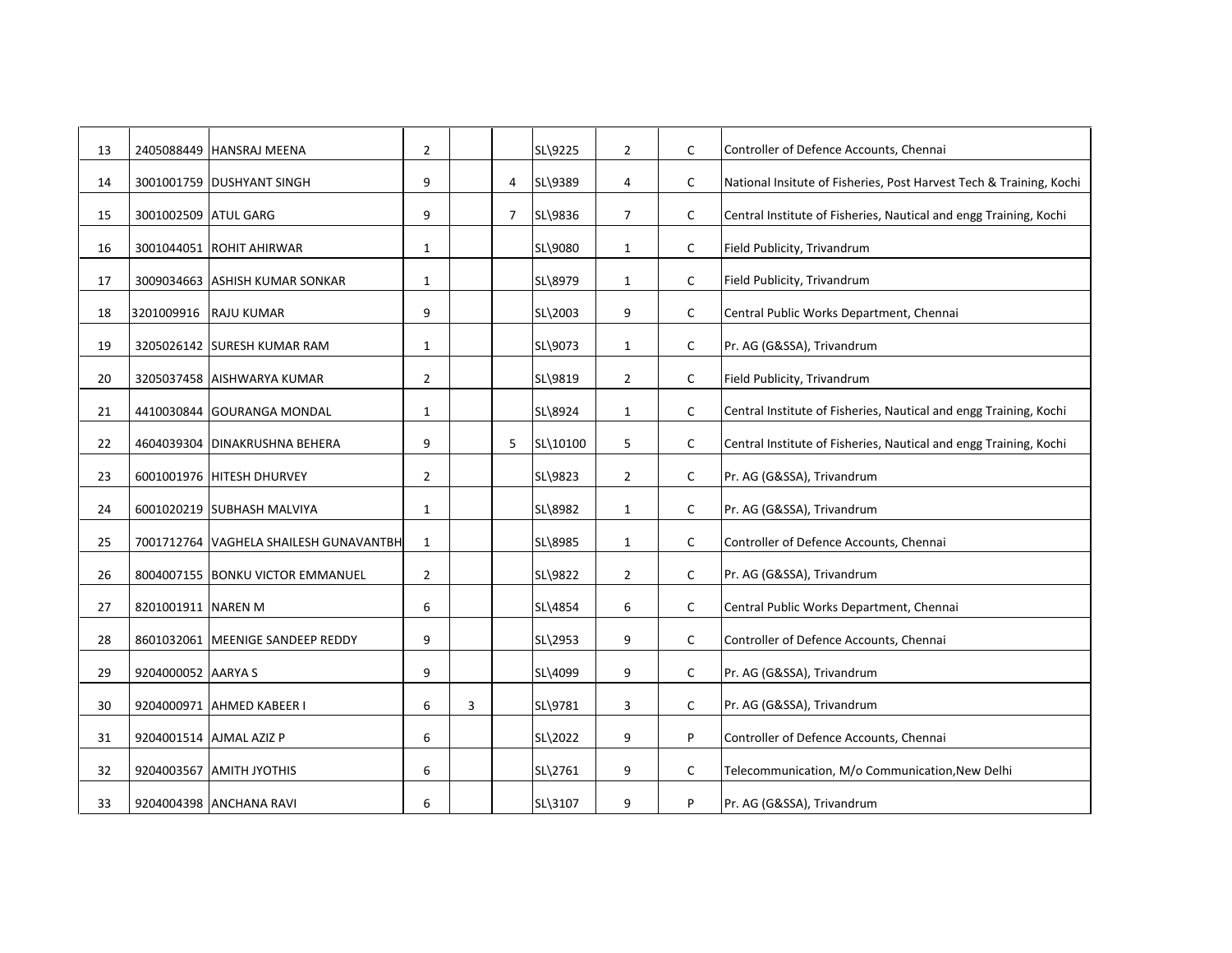| 13 |                      | 2405088449 HANSRAJ MEENA               | $\overline{2}$ |   |                | SL\9225  | $\overline{2}$ | C            | Controller of Defence Accounts, Chennai                             |
|----|----------------------|----------------------------------------|----------------|---|----------------|----------|----------------|--------------|---------------------------------------------------------------------|
| 14 |                      | 3001001759 DUSHYANT SINGH              | 9              |   | 4              | SL\9389  | 4              | $\mathsf{C}$ | National Insitute of Fisheries, Post Harvest Tech & Training, Kochi |
| 15 | 3001002509 ATUL GARG |                                        | 9              |   | $\overline{7}$ | SL\9836  | $\overline{7}$ | C            | Central Institute of Fisheries, Nautical and engg Training, Kochi   |
| 16 |                      | 3001044051 ROHIT AHIRWAR               | 1              |   |                | SL\9080  | $\mathbf{1}$   | C            | Field Publicity, Trivandrum                                         |
| 17 |                      | 3009034663 ASHISH KUMAR SONKAR         | $\mathbf{1}$   |   |                | SL\8979  | $\mathbf{1}$   | $\mathsf{C}$ | Field Publicity, Trivandrum                                         |
| 18 | 3201009916           | <b>RAJU KUMAR</b>                      | 9              |   |                | SL\2003  | 9              | C            | Central Public Works Department, Chennai                            |
| 19 |                      | 3205026142 SURESH KUMAR RAM            | $\mathbf{1}$   |   |                | SL\9073  | $\mathbf{1}$   | C            | Pr. AG (G&SSA), Trivandrum                                          |
| 20 |                      | 3205037458 AISHWARYA KUMAR             | $\overline{2}$ |   |                | SL\9819  | $\overline{2}$ | C            | Field Publicity, Trivandrum                                         |
| 21 |                      | 4410030844 GOURANGA MONDAL             | 1              |   |                | SL\8924  | $\mathbf{1}$   | $\mathsf{C}$ | Central Institute of Fisheries, Nautical and engg Training, Kochi   |
| 22 |                      | 4604039304 DINAKRUSHNA BEHERA          | 9              |   | 5              | SL\10100 | 5              | C            | Central Institute of Fisheries, Nautical and engg Training, Kochi   |
| 23 |                      | 6001001976 HITESH DHURVEY              | $\overline{2}$ |   |                | SL\9823  | $\overline{2}$ | $\mathsf{C}$ | Pr. AG (G&SSA), Trivandrum                                          |
| 24 |                      | 6001020219 SUBHASH MALVIYA             | $\mathbf{1}$   |   |                | SL\8982  | $\mathbf{1}$   | C            | Pr. AG (G&SSA), Trivandrum                                          |
| 25 |                      | 7001712764 VAGHELA SHAILESH GUNAVANTBH | $\mathbf{1}$   |   |                | SL\8985  | $\mathbf{1}$   | $\mathsf{C}$ | Controller of Defence Accounts, Chennai                             |
| 26 |                      | 8004007155 BONKU VICTOR EMMANUEL       | $\overline{2}$ |   |                | SL\9822  | $\overline{2}$ | $\mathsf{C}$ | Pr. AG (G&SSA), Trivandrum                                          |
| 27 | 8201001911 NAREN M   |                                        | 6              |   |                | SL\4854  | 6              | C            | Central Public Works Department, Chennai                            |
| 28 |                      | 8601032061 MEENIGE SANDEEP REDDY       | 9              |   |                | SL\2953  | 9              | C            | Controller of Defence Accounts, Chennai                             |
| 29 | 9204000052 AARYA S   |                                        | 9              |   |                | SL\4099  | 9              | C            | Pr. AG (G&SSA), Trivandrum                                          |
| 30 |                      | 9204000971 AHMED KABEER I              | 6              | 3 |                | SL\9781  | 3              | $\mathsf{C}$ | Pr. AG (G&SSA), Trivandrum                                          |
| 31 |                      | 9204001514 AJMAL AZIZ P                | 6              |   |                | SL\2022  | 9              | P            | Controller of Defence Accounts, Chennai                             |
| 32 |                      | 9204003567 AMITH JYOTHIS               | 6              |   |                | SL\2761  | 9              | C            | Telecommunication, M/o Communication, New Delhi                     |
| 33 |                      | 9204004398 ANCHANA RAVI                | 6              |   |                | SL\3107  | 9              | P            | Pr. AG (G&SSA), Trivandrum                                          |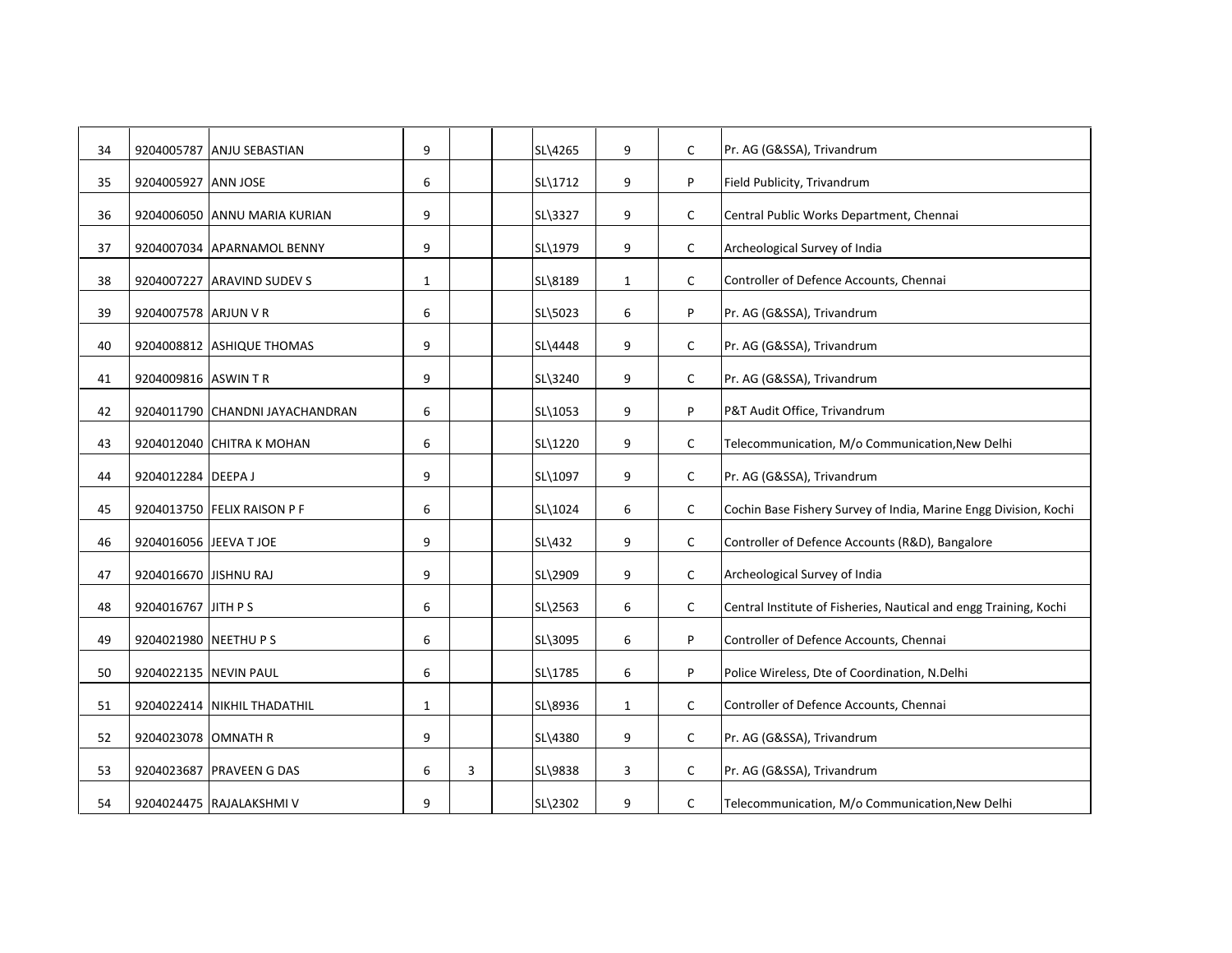| 34 |                        | 9204005787 ANJU SEBASTIAN       | 9            |   | SL\4265 | 9            | C            | Pr. AG (G&SSA), Trivandrum                                        |
|----|------------------------|---------------------------------|--------------|---|---------|--------------|--------------|-------------------------------------------------------------------|
| 35 | 9204005927 ANN JOSE    |                                 | 6            |   | SL\1712 | 9            | P            | Field Publicity, Trivandrum                                       |
| 36 |                        | 9204006050 ANNU MARIA KURIAN    | 9            |   | SL\3327 | 9            | $\mathsf{C}$ | Central Public Works Department, Chennai                          |
| 37 |                        | 9204007034 APARNAMOL BENNY      | 9            |   | SL\1979 | 9            | C            | Archeological Survey of India                                     |
| 38 |                        | 9204007227 ARAVIND SUDEV S      | $\mathbf{1}$ |   | SL\8189 | $\mathbf{1}$ | $\mathsf{C}$ | Controller of Defence Accounts, Chennai                           |
| 39 | 9204007578 ARJUN V R   |                                 | 6            |   | SL\5023 | 6            | P            | Pr. AG (G&SSA), Trivandrum                                        |
| 40 |                        | 9204008812 ASHIQUE THOMAS       | 9            |   | SL\4448 | 9            | $\mathsf{C}$ | Pr. AG (G&SSA), Trivandrum                                        |
| 41 | 9204009816 ASWINTR     |                                 | 9            |   | SL\3240 | 9            | C            | Pr. AG (G&SSA), Trivandrum                                        |
| 42 |                        | 9204011790 CHANDNI JAYACHANDRAN | 6            |   | SL\1053 | 9            | P            | P&T Audit Office, Trivandrum                                      |
| 43 |                        | 9204012040 CHITRA K MOHAN       | 6            |   | SL\1220 | 9            | C            | Telecommunication, M/o Communication, New Delhi                   |
| 44 | 9204012284 DEEPA J     |                                 | 9            |   | SL\1097 | 9            | $\mathsf{C}$ | Pr. AG (G&SSA), Trivandrum                                        |
| 45 |                        | 9204013750 FELIX RAISON P F     | 6            |   | SL\1024 | 6            | $\mathsf{C}$ | Cochin Base Fishery Survey of India, Marine Engg Division, Kochi  |
| 46 | 9204016056 JEEVA T JOE |                                 | 9            |   | SL\432  | 9            | $\mathsf C$  | Controller of Defence Accounts (R&D), Bangalore                   |
| 47 | 9204016670 JISHNU RAJ  |                                 | 9            |   | SL\2909 | 9            | $\mathsf{C}$ | Archeological Survey of India                                     |
| 48 | 9204016767 JJTH PS     |                                 | 6            |   | SL\2563 | 6            | $\mathsf{C}$ | Central Institute of Fisheries, Nautical and engg Training, Kochi |
| 49 | 9204021980 NEETHU P S  |                                 | 6            |   | SL\3095 | 6            | P            | Controller of Defence Accounts, Chennai                           |
| 50 | 9204022135 NEVIN PAUL  |                                 | 6            |   | SL\1785 | 6            | P            | Police Wireless, Dte of Coordination, N.Delhi                     |
| 51 |                        | 9204022414 NIKHIL THADATHIL     | $\mathbf{1}$ |   | SL\8936 | $\mathbf{1}$ | $\mathsf{C}$ | Controller of Defence Accounts, Chennai                           |
| 52 | 9204023078 OMNATH R    |                                 | 9            |   | SL\4380 | 9            | $\mathsf{C}$ | Pr. AG (G&SSA), Trivandrum                                        |
| 53 |                        | 9204023687 PRAVEEN G DAS        | 6            | 3 | SL\9838 | 3            | C            | Pr. AG (G&SSA), Trivandrum                                        |
| 54 |                        | 9204024475 RAJALAKSHMI V        | 9            |   | SL\2302 | 9            | C            | Telecommunication, M/o Communication, New Delhi                   |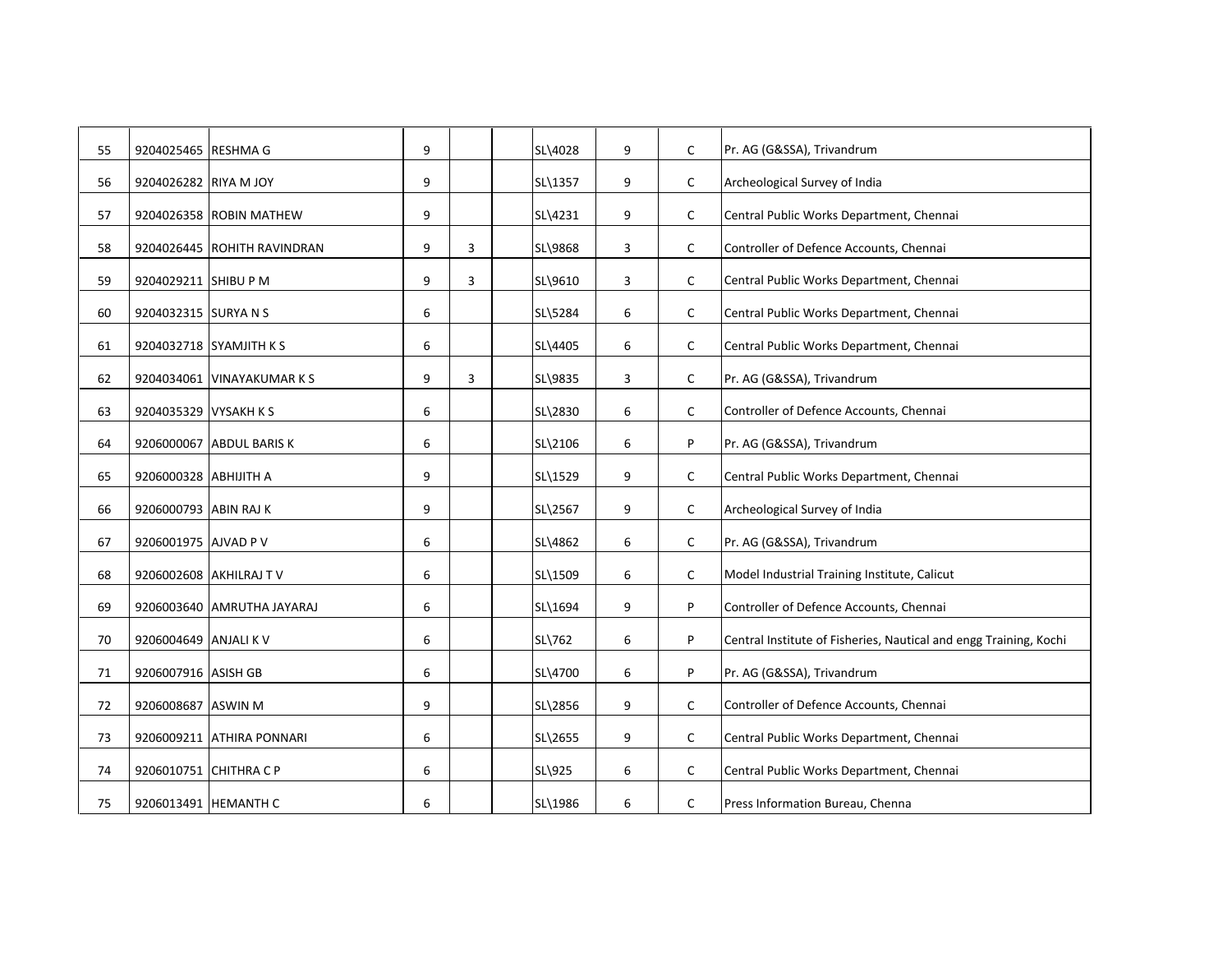| 55 | 9204025465 RESHMA G    |                             | 9 |   | SL\4028 | 9 | C            | Pr. AG (G&SSA), Trivandrum                                        |
|----|------------------------|-----------------------------|---|---|---------|---|--------------|-------------------------------------------------------------------|
| 56 | 9204026282 RIYA M JOY  |                             | 9 |   | SL\1357 | 9 | C            | Archeological Survey of India                                     |
| 57 |                        | 9204026358 ROBIN MATHEW     | 9 |   | SL\4231 | 9 | C            | Central Public Works Department, Chennai                          |
| 58 |                        | 9204026445 ROHITH RAVINDRAN | 9 | 3 | SL\9868 | 3 | C            | Controller of Defence Accounts, Chennai                           |
| 59 | 9204029211 SHIBU P M   |                             | 9 | 3 | SL\9610 | 3 | $\mathsf{C}$ | Central Public Works Department, Chennai                          |
| 60 | 9204032315 SURYA N S   |                             | 6 |   | SL\5284 | 6 | C            | Central Public Works Department, Chennai                          |
| 61 |                        | 9204032718 SYAMJITH K S     | 6 |   | SL\4405 | 6 | C            | Central Public Works Department, Chennai                          |
| 62 |                        | 9204034061 VINAYAKUMAR K S  | 9 | 3 | SL\9835 | 3 | C            | Pr. AG (G&SSA), Trivandrum                                        |
| 63 | 9204035329 VYSAKH K S  |                             | 6 |   | SL\2830 | 6 | $\mathsf{C}$ | Controller of Defence Accounts, Chennai                           |
| 64 |                        | 9206000067 ABDUL BARIS K    | 6 |   | SL\2106 | 6 | P            | Pr. AG (G&SSA), Trivandrum                                        |
| 65 | 9206000328 ABHIJITH A  |                             | 9 |   | SL\1529 | 9 | C            | Central Public Works Department, Chennai                          |
| 66 | 9206000793 ABIN RAJ K  |                             | 9 |   | SL\2567 | 9 | $\mathsf{C}$ | Archeological Survey of India                                     |
| 67 | 9206001975 AJVAD P V   |                             | 6 |   | SL\4862 | 6 | C            | Pr. AG (G&SSA), Trivandrum                                        |
| 68 |                        | 9206002608 AKHILRAJ T V     | 6 |   | SL\1509 | 6 | C            | Model Industrial Training Institute, Calicut                      |
| 69 |                        | 9206003640 AMRUTHA JAYARAJ  | 6 |   | SL\1694 | 9 | P            | Controller of Defence Accounts, Chennai                           |
| 70 | 9206004649 ANJALI K V  |                             | 6 |   | SL\762  | 6 | P            | Central Institute of Fisheries, Nautical and engg Training, Kochi |
| 71 | 9206007916 ASISH GB    |                             | 6 |   | SL\4700 | 6 | P            | Pr. AG (G&SSA), Trivandrum                                        |
| 72 | 9206008687 ASWIN M     |                             | 9 |   | SL\2856 | 9 | C            | Controller of Defence Accounts, Chennai                           |
| 73 |                        | 9206009211 ATHIRA PONNARI   | 6 |   | SL\2655 | 9 | C            | Central Public Works Department, Chennai                          |
| 74 | 9206010751 CHITHRA C P |                             | 6 |   | SL\925  | 6 | C            | Central Public Works Department, Chennai                          |
| 75 | 9206013491 HEMANTH C   |                             | 6 |   | SL\1986 | 6 | C            | Press Information Bureau, Chenna                                  |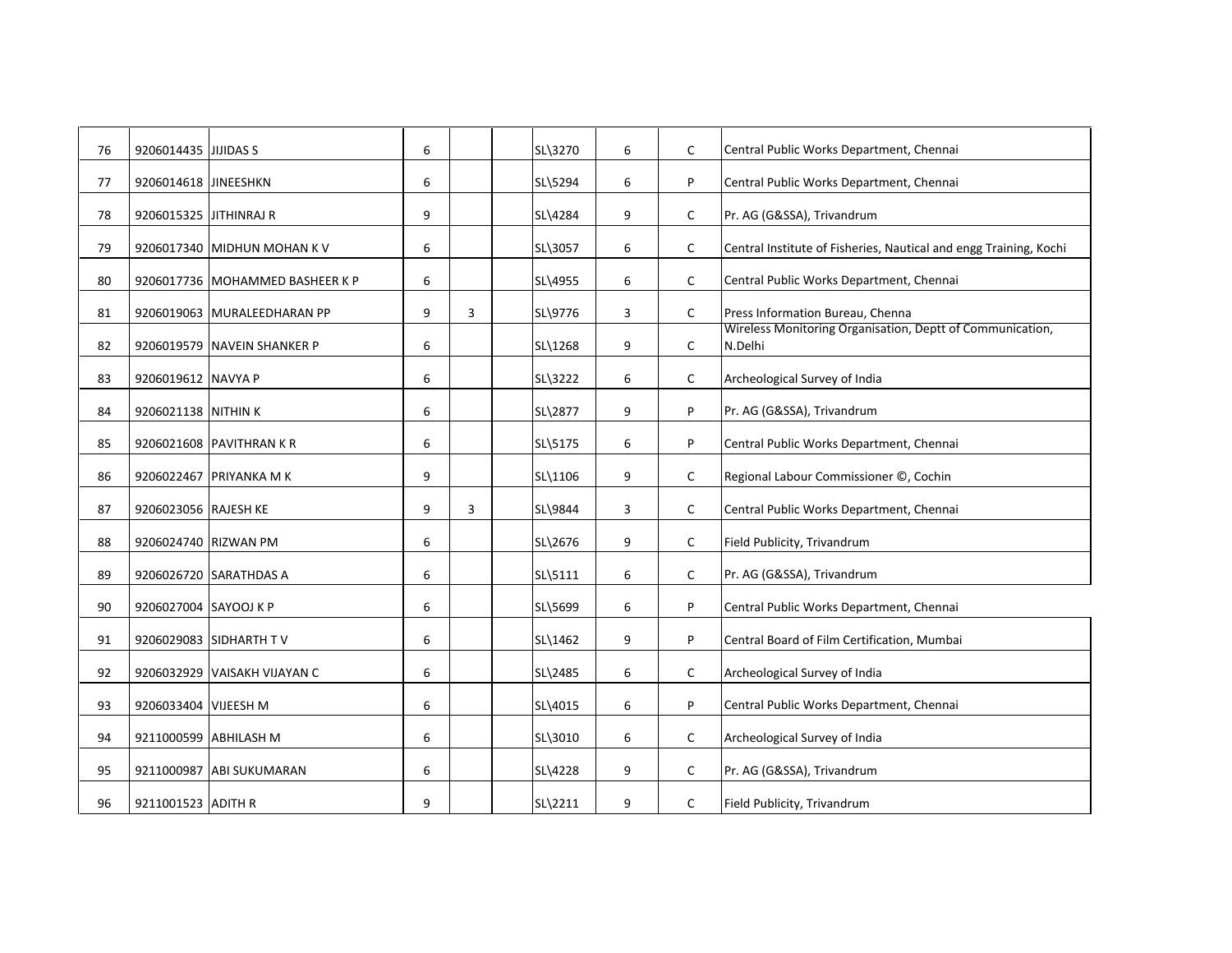| 76 | 9206014435 JIJIDAS S   |                                   | 6 |                | SL\3270 | 6 | C            | Central Public Works Department, Chennai                             |
|----|------------------------|-----------------------------------|---|----------------|---------|---|--------------|----------------------------------------------------------------------|
| 77 | 9206014618 JINEESHKN   |                                   | 6 |                | SL\5294 | 6 | P            | Central Public Works Department, Chennai                             |
| 78 | 9206015325 JITHINRAJ R |                                   | 9 |                | SL\4284 | 9 | C            | Pr. AG (G&SSA), Trivandrum                                           |
| 79 |                        | 9206017340 MIDHUN MOHAN K V       | 6 |                | SL\3057 | 6 | C            | Central Institute of Fisheries, Nautical and engg Training, Kochi    |
| 80 |                        | 9206017736   MOHAMMED BASHEER K P | 6 |                | SL\4955 | 6 | $\mathsf{C}$ | Central Public Works Department, Chennai                             |
| 81 |                        | 9206019063 MURALEEDHARAN PP       | 9 | 3              | SL\9776 | 3 | C            | Press Information Bureau, Chenna                                     |
| 82 |                        | 9206019579 NAVEIN SHANKER P       | 6 |                | SL\1268 | 9 | C            | Wireless Monitoring Organisation, Deptt of Communication,<br>N.Delhi |
| 83 | 9206019612 NAVYA P     |                                   | 6 |                | SL\3222 | 6 | C            | Archeological Survey of India                                        |
| 84 | 9206021138 NITHIN K    |                                   | 6 |                | SL\2877 | 9 | P            | Pr. AG (G&SSA), Trivandrum                                           |
| 85 |                        | 9206021608 PAVITHRAN KR           | 6 |                | SL\5175 | 6 | P            | Central Public Works Department, Chennai                             |
| 86 |                        | 9206022467 PRIYANKA M K           | 9 |                | SL\1106 | 9 | C            | Regional Labour Commissioner ©, Cochin                               |
| 87 | 9206023056 RAJESH KE   |                                   | 9 | $\overline{3}$ | SL\9844 | 3 | $\mathsf{C}$ | Central Public Works Department, Chennai                             |
| 88 | 9206024740 RIZWAN PM   |                                   | 6 |                | SL\2676 | 9 | C            | Field Publicity, Trivandrum                                          |
| 89 |                        | 9206026720 SARATHDAS A            | 6 |                | SL\5111 | 6 | C            | Pr. AG (G&SSA), Trivandrum                                           |
| 90 | 9206027004 SAYOOJ K P  |                                   | 6 |                | SL\5699 | 6 | P            | Central Public Works Department, Chennai                             |
| 91 |                        | 9206029083 SIDHARTH TV            | 6 |                | SL\1462 | 9 | P            | Central Board of Film Certification, Mumbai                          |
| 92 |                        | 9206032929 VAISAKH VIJAYAN C      | 6 |                | SL\2485 | 6 | C            | Archeological Survey of India                                        |
| 93 | 9206033404 VIJEESH M   |                                   | 6 |                | SL\4015 | 6 | P            | Central Public Works Department, Chennai                             |
| 94 | 9211000599 ABHILASH M  |                                   | 6 |                | SL\3010 | 6 | C            | Archeological Survey of India                                        |
| 95 | 9211000987             | <b>ABI SUKUMARAN</b>              | 6 |                | SL\4228 | 9 | C            | Pr. AG (G&SSA), Trivandrum                                           |
| 96 | 9211001523 ADITH R     |                                   | 9 |                | SL\2211 | 9 | C            | Field Publicity, Trivandrum                                          |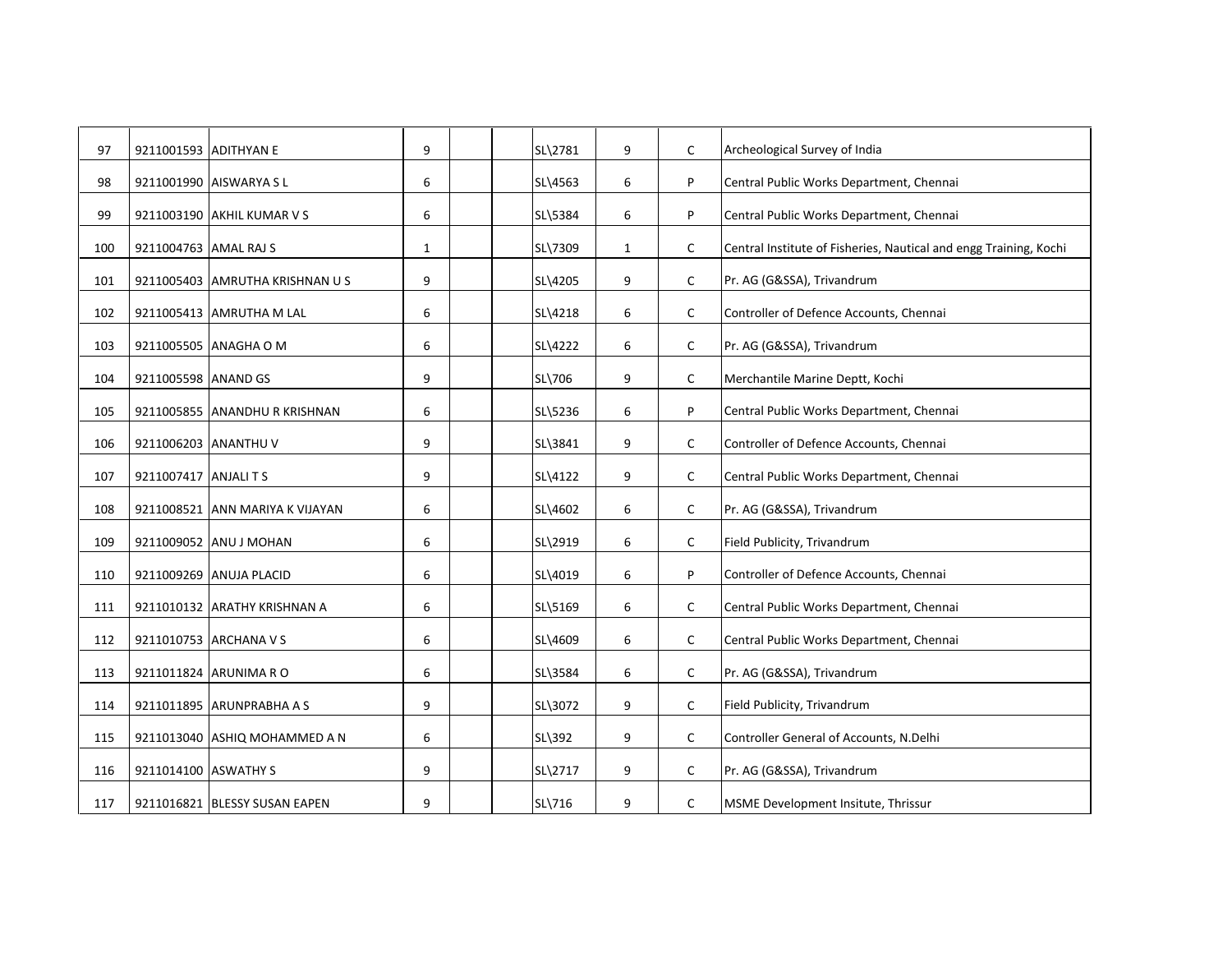| 97  | 9211001593 ADITHYAN E |                                 | 9 | SL\2781 | 9            | C            | Archeological Survey of India                                     |
|-----|-----------------------|---------------------------------|---|---------|--------------|--------------|-------------------------------------------------------------------|
| 98  |                       | 9211001990 AISWARYA SL          | 6 | SL\4563 | 6            | P            | Central Public Works Department, Chennai                          |
| 99  |                       | 9211003190 AKHIL KUMAR V S      | 6 | SL\5384 | 6            | P            | Central Public Works Department, Chennai                          |
| 100 | 9211004763 AMAL RAJ S |                                 | 1 | SL\7309 | $\mathbf{1}$ | C            | Central Institute of Fisheries, Nautical and engg Training, Kochi |
| 101 |                       | 9211005403 AMRUTHA KRISHNAN US  | 9 | SL\4205 | 9            | $\mathsf{C}$ | Pr. AG (G&SSA), Trivandrum                                        |
| 102 |                       | 9211005413 AMRUTHA M LAL        | 6 | SL\4218 | 6            | C            | Controller of Defence Accounts, Chennai                           |
| 103 |                       | 9211005505 ANAGHA O M           | 6 | SL\4222 | 6            | C            | Pr. AG (G&SSA), Trivandrum                                        |
| 104 | 9211005598 ANAND GS   |                                 | 9 | SL\706  | 9            | C            | Merchantile Marine Deptt, Kochi                                   |
| 105 |                       | 9211005855 ANANDHU R KRISHNAN   | 6 | SL\5236 | 6            | P            | Central Public Works Department, Chennai                          |
| 106 | 9211006203 ANANTHU V  |                                 | 9 | SL\3841 | 9            | C            | Controller of Defence Accounts, Chennai                           |
| 107 | 9211007417 ANJALITS   |                                 | 9 | SL\4122 | 9            | C            | Central Public Works Department, Chennai                          |
| 108 |                       | 9211008521 ANN MARIYA K VIJAYAN | 6 | SL\4602 | 6            | C            | Pr. AG (G&SSA), Trivandrum                                        |
| 109 |                       | 9211009052 ANU J MOHAN          | 6 | SL\2919 | 6            | C            | Field Publicity, Trivandrum                                       |
| 110 |                       | 9211009269 ANUJA PLACID         | 6 | SL\4019 | 6            | P            | Controller of Defence Accounts, Chennai                           |
| 111 |                       | 9211010132 ARATHY KRISHNAN A    | 6 | SL\5169 | 6            | C            | Central Public Works Department, Chennai                          |
| 112 |                       | 9211010753 ARCHANA V S          | 6 | SL\4609 | 6            | C            | Central Public Works Department, Chennai                          |
| 113 |                       | 9211011824 ARUNIMA R O          | 6 | SL\3584 | 6            | $\mathsf{C}$ | Pr. AG (G&SSA), Trivandrum                                        |
| 114 |                       | 9211011895 ARUNPRABHA A S       | 9 | SL\3072 | 9            | C            | Field Publicity, Trivandrum                                       |
| 115 |                       | 9211013040 ASHIQ MOHAMMED A N   | 6 | SL\392  | 9            | C            | Controller General of Accounts, N.Delhi                           |
| 116 | 9211014100 ASWATHY S  |                                 | 9 | SL\2717 | 9            | C            | Pr. AG (G&SSA), Trivandrum                                        |
| 117 |                       | 9211016821 BLESSY SUSAN EAPEN   | 9 | SL\716  | 9            | C            | MSME Development Insitute, Thrissur                               |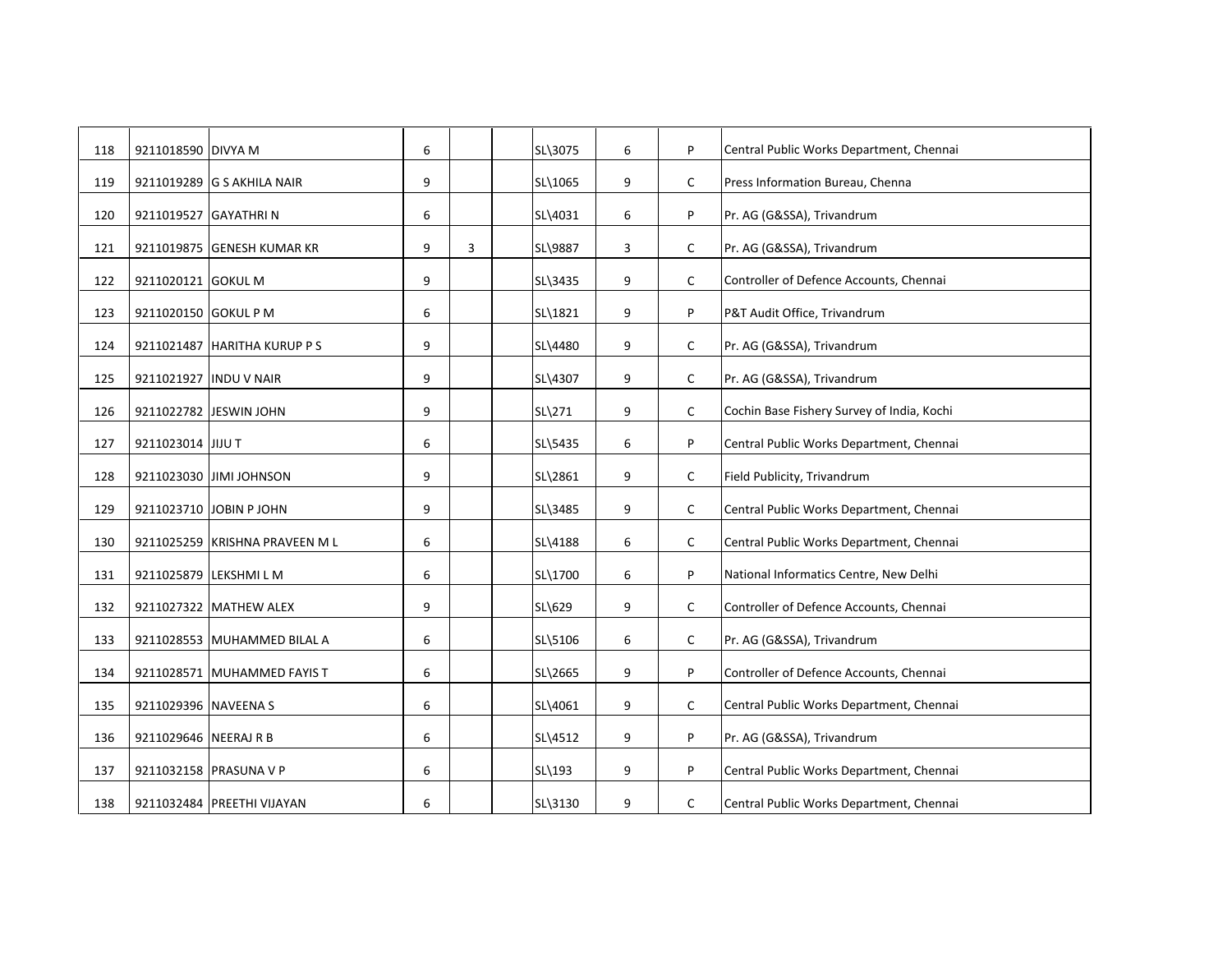| 118 | 9211018590 DIVYA M     |                               | 6 |   | SL\3075 | 6 | P            | Central Public Works Department, Chennai   |
|-----|------------------------|-------------------------------|---|---|---------|---|--------------|--------------------------------------------|
| 119 |                        | 9211019289 G S AKHILA NAIR    | 9 |   | SL\1065 | 9 | C            | Press Information Bureau, Chenna           |
| 120 | 9211019527 GAYATHRIN   |                               | 6 |   | SL\4031 | 6 | P            | Pr. AG (G&SSA), Trivandrum                 |
| 121 |                        | 9211019875 GENESH KUMAR KR    | 9 | 3 | SL\9887 | 3 | C            | Pr. AG (G&SSA), Trivandrum                 |
| 122 | 9211020121 GOKUL M     |                               | 9 |   | SL\3435 | 9 | $\mathsf{C}$ | Controller of Defence Accounts, Chennai    |
|     |                        |                               |   |   |         |   |              |                                            |
| 123 | 9211020150 GOKUL P M   |                               | 6 |   | SL\1821 | 9 | P            | P&T Audit Office, Trivandrum               |
| 124 |                        | 9211021487 HARITHA KURUP P S  | 9 |   | SL\4480 | 9 | C            | Pr. AG (G&SSA), Trivandrum                 |
| 125 | 9211021927 INDU V NAIR |                               | 9 |   | SL\4307 | 9 | C            | Pr. AG (G&SSA), Trivandrum                 |
| 126 |                        | 9211022782 JESWIN JOHN        | 9 |   | SL\271  | 9 | C            | Cochin Base Fishery Survey of India, Kochi |
| 127 | 9211023014 JJJJU T     |                               | 6 |   | SL\5435 | 6 | P            | Central Public Works Department, Chennai   |
| 128 |                        | 9211023030 JIMI JOHNSON       | 9 |   | SL\2861 | 9 | C            | Field Publicity, Trivandrum                |
| 129 |                        | 9211023710 JOBIN P JOHN       | 9 |   | SL\3485 | 9 | $\mathsf{C}$ | Central Public Works Department, Chennai   |
| 130 |                        | 9211025259 KRISHNA PRAVEEN ML | 6 |   | SL\4188 | 6 | C            | Central Public Works Department, Chennai   |
| 131 |                        | 9211025879 LEKSHMI L M        | 6 |   | SL\1700 | 6 | P            | National Informatics Centre, New Delhi     |
| 132 |                        | 9211027322 MATHEW ALEX        | 9 |   | SL\629  | 9 | C            | Controller of Defence Accounts, Chennai    |
| 133 |                        | 9211028553 MUHAMMED BILAL A   | 6 |   | SL\5106 | 6 | $\mathsf{C}$ | Pr. AG (G&SSA), Trivandrum                 |
| 134 |                        | 9211028571 MUHAMMED FAYIS T   | 6 |   | SL\2665 | 9 | P            | Controller of Defence Accounts, Chennai    |
| 135 | 9211029396 NAVEENA S   |                               | 6 |   | SL\4061 | 9 | C            | Central Public Works Department, Chennai   |
| 136 | 9211029646 NEERAJ R B  |                               | 6 |   | SL\4512 | 9 | P            | Pr. AG (G&SSA), Trivandrum                 |
| 137 |                        | 9211032158 PRASUNA V P        | 6 |   | SL\193  | 9 | P            | Central Public Works Department, Chennai   |
| 138 |                        | 9211032484 PREETHI VIJAYAN    | 6 |   | SL\3130 | 9 | C            | Central Public Works Department, Chennai   |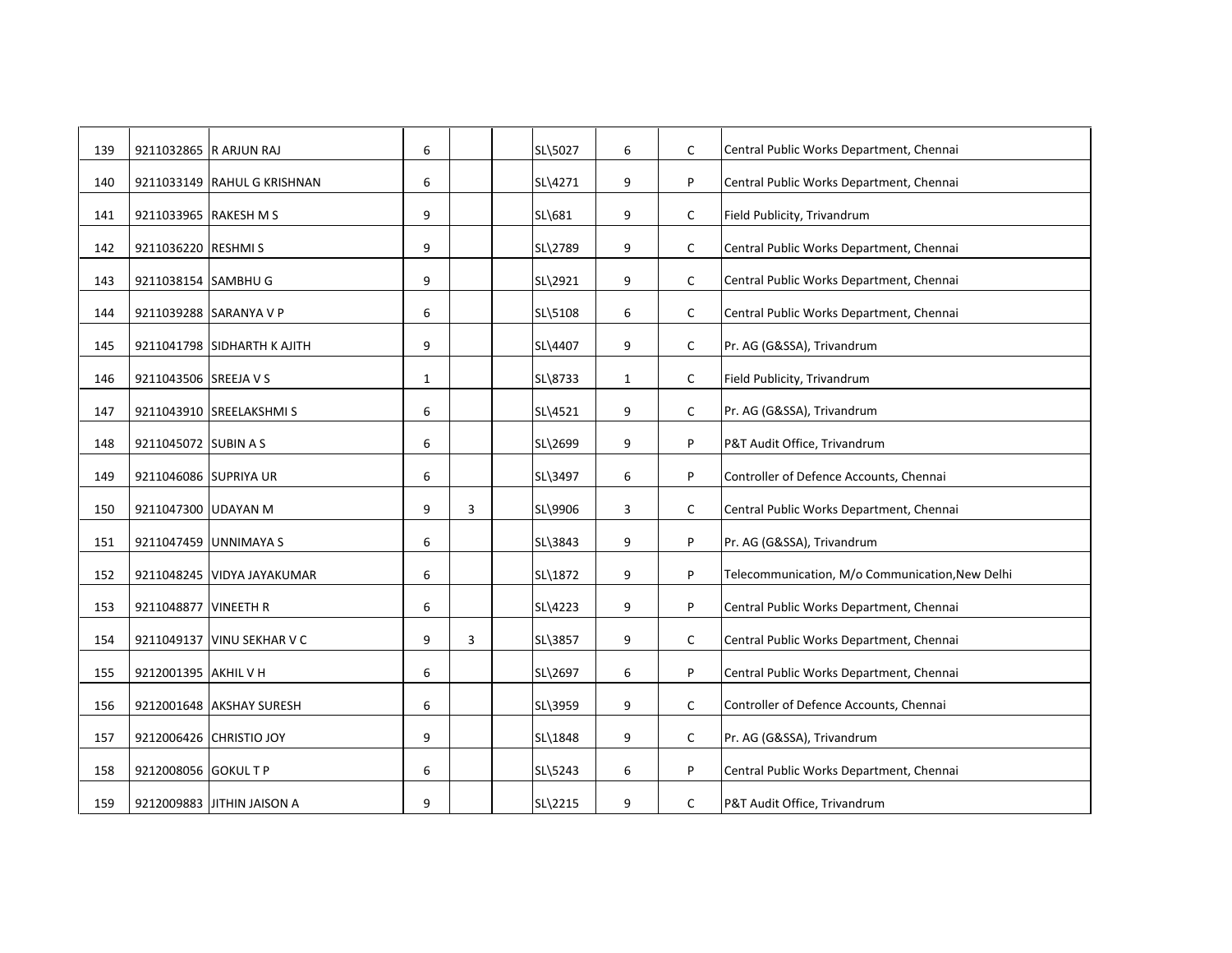| 139 | 9211032865 R ARJUN RAJ |                             | 6            |   | SL\5027 | 6            | C            | Central Public Works Department, Chennai        |
|-----|------------------------|-----------------------------|--------------|---|---------|--------------|--------------|-------------------------------------------------|
| 140 |                        | 9211033149 RAHUL G KRISHNAN | 6            |   | SL\4271 | 9            | P            | Central Public Works Department, Chennai        |
| 141 | 9211033965 RAKESH M S  |                             | 9            |   | SL\681  | 9            | C            | Field Publicity, Trivandrum                     |
| 142 | 9211036220 RESHMIS     |                             | 9            |   | SL\2789 | 9            | C            | Central Public Works Department, Chennai        |
| 143 | 9211038154 SAMBHU G    |                             | 9            |   | SL\2921 | 9            | $\mathsf{C}$ | Central Public Works Department, Chennai        |
| 144 |                        | 9211039288 SARANYA V P      | 6            |   | SL\5108 | 6            | C            | Central Public Works Department, Chennai        |
| 145 |                        | 9211041798 SIDHARTH K AJITH | 9            |   | SL\4407 | 9            | C            | Pr. AG (G&SSA), Trivandrum                      |
| 146 | 9211043506 SREEJA V S  |                             | $\mathbf{1}$ |   | SL\8733 | $\mathbf{1}$ | C            | Field Publicity, Trivandrum                     |
| 147 |                        | 9211043910 SREELAKSHMI S    | 6            |   | SL\4521 | 9            | C            | Pr. AG (G&SSA), Trivandrum                      |
| 148 | 9211045072 SUBIN A S   |                             | 6            |   | SL\2699 | 9            | P            | P&T Audit Office, Trivandrum                    |
| 149 | 9211046086 SUPRIYA UR  |                             | 6            |   | SL\3497 | 6            | P            | Controller of Defence Accounts, Chennai         |
| 150 | 9211047300 UDAYAN M    |                             | 9            | 3 | SL\9906 | 3            | C            | Central Public Works Department, Chennai        |
| 151 |                        | 9211047459 UNNIMAYA S       | 6            |   | SL\3843 | 9            | P            | Pr. AG (G&SSA), Trivandrum                      |
| 152 |                        | 9211048245 VIDYA JAYAKUMAR  | 6            |   | SL\1872 | 9            | P            | Telecommunication, M/o Communication, New Delhi |
| 153 | 9211048877 VINEETH R   |                             | 6            |   | SL\4223 | 9            | P            | Central Public Works Department, Chennai        |
| 154 |                        | 9211049137 VINU SEKHAR V C  | 9            | 3 | SL\3857 | 9            | C            | Central Public Works Department, Chennai        |
| 155 | 9212001395 AKHIL V H   |                             | 6            |   | SL\2697 | 6            | P            | Central Public Works Department, Chennai        |
| 156 |                        | 9212001648 AKSHAY SURESH    | 6            |   | SL\3959 | 9            | C            | Controller of Defence Accounts, Chennai         |
| 157 |                        | 9212006426 CHRISTIO JOY     | 9            |   | SL\1848 | 9            | C            | Pr. AG (G&SSA), Trivandrum                      |
| 158 | 9212008056 GOKUL T P   |                             | 6            |   | SL\5243 | 6            | P            | Central Public Works Department, Chennai        |
| 159 |                        | 9212009883 JITHIN JAISON A  | 9            |   | SL\2215 | 9            | C            | P&T Audit Office, Trivandrum                    |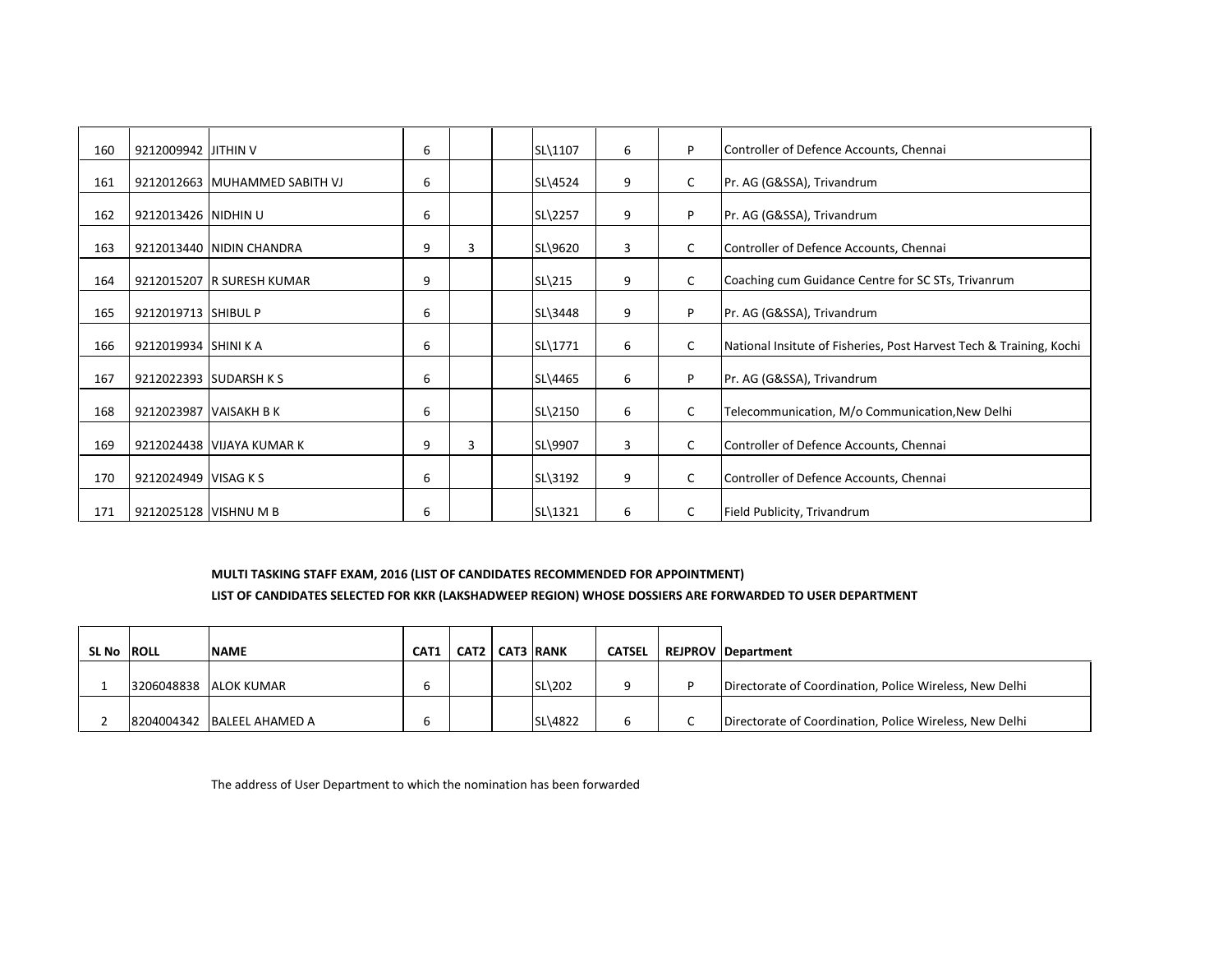| 160 | 9212009942 JJITHIN V   |                               | 6 |   | SL\1107   | 6 | P            | Controller of Defence Accounts, Chennai                             |
|-----|------------------------|-------------------------------|---|---|-----------|---|--------------|---------------------------------------------------------------------|
| 161 |                        | 9212012663 MUHAMMED SABITH VJ | 6 |   | SL\4524   | 9 | C            | Pr. AG (G&SSA), Trivandrum                                          |
| 162 | 9212013426 NIDHIN U    |                               | 6 |   | SL\2257   | 9 | P            | Pr. AG (G&SSA), Trivandrum                                          |
| 163 |                        | 9212013440 NIDIN CHANDRA      | 9 | 3 | SL\9620   | 3 | $\mathsf{C}$ | Controller of Defence Accounts, Chennai                             |
| 164 |                        | 9212015207 R SURESH KUMAR     | 9 |   | $SL\$ 215 | 9 | C            | Coaching cum Guidance Centre for SC STs, Trivanrum                  |
| 165 | 9212019713 SHIBUL P    |                               | 6 |   | SL\3448   | 9 | P            | Pr. AG (G&SSA), Trivandrum                                          |
| 166 | 9212019934 SHINI K A   |                               | 6 |   | SL\1771   | 6 | C            | National Insitute of Fisheries, Post Harvest Tech & Training, Kochi |
| 167 |                        | 9212022393 SUDARSH K S        | 6 |   | SL\4465   | 6 | P            | Pr. AG (G&SSA), Trivandrum                                          |
| 168 | 9212023987 VAISAKH B K |                               | 6 |   | SL\2150   | 6 | C            | Telecommunication, M/o Communication, New Delhi                     |
| 169 |                        | 9212024438 VIJAYA KUMAR K     | 9 | 3 | SL\9907   | 3 | $\mathsf{C}$ | Controller of Defence Accounts, Chennai                             |
| 170 | 9212024949 VISAG K S   |                               | 6 |   | SL\3192   | 9 | C            | Controller of Defence Accounts, Chennai                             |
| 171 | 9212025128 VISHNU M B  |                               | 6 |   | SL\1321   | 6 | C            | Field Publicity, Trivandrum                                         |

# **MULTI TASKING STAFF EXAM, 2016 (LIST OF CANDIDATES RECOMMENDED FOR APPOINTMENT) LIST OF CANDIDATES SELECTED FOR KKR (LAKSHADWEEP REGION) WHOSE DOSSIERS ARE FORWARDED TO USER DEPARTMENT**

| <b>SL No ROLL</b> | <b>NAME</b>                | CAT1 | <b>CAT2   CAT3   RANK</b> |         | <b>CATSEL</b> | <b>REJPROV Department</b>                               |
|-------------------|----------------------------|------|---------------------------|---------|---------------|---------------------------------------------------------|
|                   |                            |      |                           |         |               |                                                         |
|                   | 3206048838 ALOK KUMAR      |      |                           | SL\202  |               | Directorate of Coordination, Police Wireless, New Delhi |
|                   |                            |      |                           |         |               |                                                         |
|                   | 8204004342 BALEEL AHAMED A |      |                           | SL\4822 |               | Directorate of Coordination, Police Wireless, New Delhi |

The address of User Department to which the nomination has been forwarded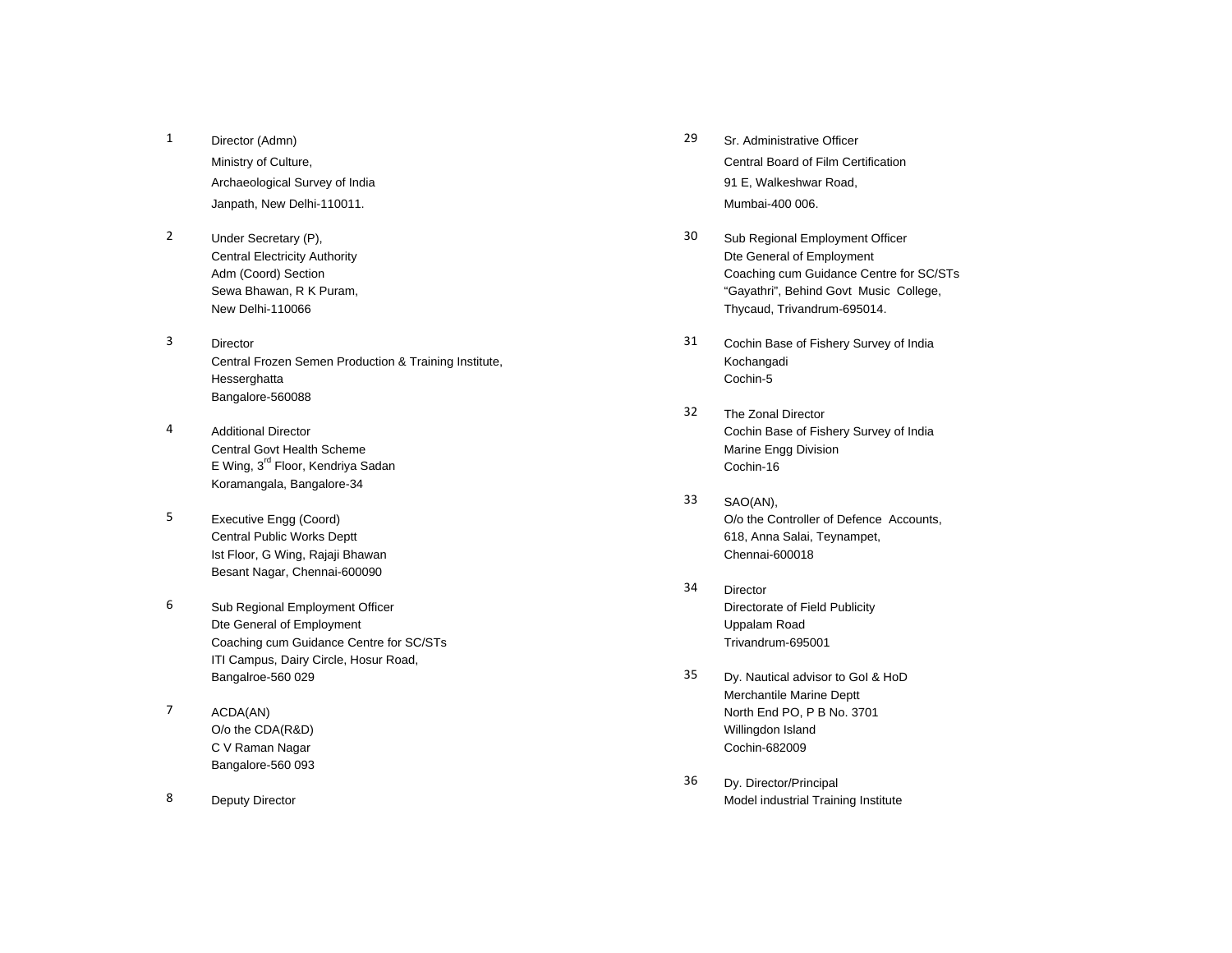- 1 Director (Admn) 29 Sr. Administrative Officer Janpath, New Delhi-110011. **Mumbai-400 006.** Mumbai-400 006.
- 
- 3 Director 31 Cochin Base of Fishery Survey of India Central Frozen Semen Production & Training Institute, The Contral Contral Trochangadi Hesserghatta Cochin-5 Bangalore-560088
- Central Govt Health Scheme Marine Engg Division Marine Engg Division E Wing, 3<sup>rd</sup> Floor, Kendriya Sadan Cochin-16 Koramangala, Bangalore-34
- Ist Floor, G Wing, Rajaji Bhawan Chennai-600018 Besant Nagar, Chennai-600090
- 6 Sub Regional Employment Officer Directorate of Field Publicity Dte General of Employment **Department** Contact Contact Contact Contact Contact Contact Contact Contact Contact Contact Contact Contact Contact Contact Contact Contact Contact Contact Contact Contact Contact Contact Contact Coaching cum Guidance Centre for SC/STs Trivandrum-695001 ITI Campus, Dairy Circle, Hosur Road, Bangalroe-560 029 35 Dy. Nautical advisor to GoI & HoD
- C V Raman Nagar Cochin-682009 Bangalore-560 093
- 
- Ministry of Culture, Central Board of Film Certification Archaeological Survey of India 91 E, Walkeshwar Road,
- 2 Under Secretary (P), 30 Sub Regional Employment Officer Central Electricity Authority **Department Contral Central Electricity Authority** Dte General of Employment Adm (Coord) Section Construction Coaching cum Guidance Centre for SC/STs Sewa Bhawan, R K Puram, "Gayathri", Behind Govt Music College, New Delhi-110066 **The Contract of Contract Contract Contract Contract Contract Contract Contract Contract Contract Contract Contract Contract Contract Contract Contract Contract Contract Contract Contract Contract Contract** 
	-
- 32 The Zonal Director Additional Director **Additional Director** Cochin Base of Fishery Survey of India
- 33 SAO(AN), 5 Executive Engg (Coord) O/o the Controller of Defence Accounts, Central Public Works Deptt 618, Anna Salai, Teynampet,
	- 34 Director
- Merchantile Marine Deptt 7 ACDA(AN) ACDA(AN) ACDA(AN) ACCDA(AN) ACCDA(AN) ACCDA(AN) ACCDA(AN) ACCDA(AN) ACCDA(AN) ACCDA(AN) ACCDA(AN) ACCDA(AN) ACCDA(AN) ACCDA(AN) ACCDA(AN) ACCDA(AN) ACCDA(AN) ACCDA(AN) ACCDA(AN) ACCDA(AN) ACCDA(AN) ACCDA(AN) ACC O/o the CDA(R&D) Willingdon Island
- 36 Dy. Director/Principal 8 Deputy Director **Model industrial Training Institute** Model industrial Training Institute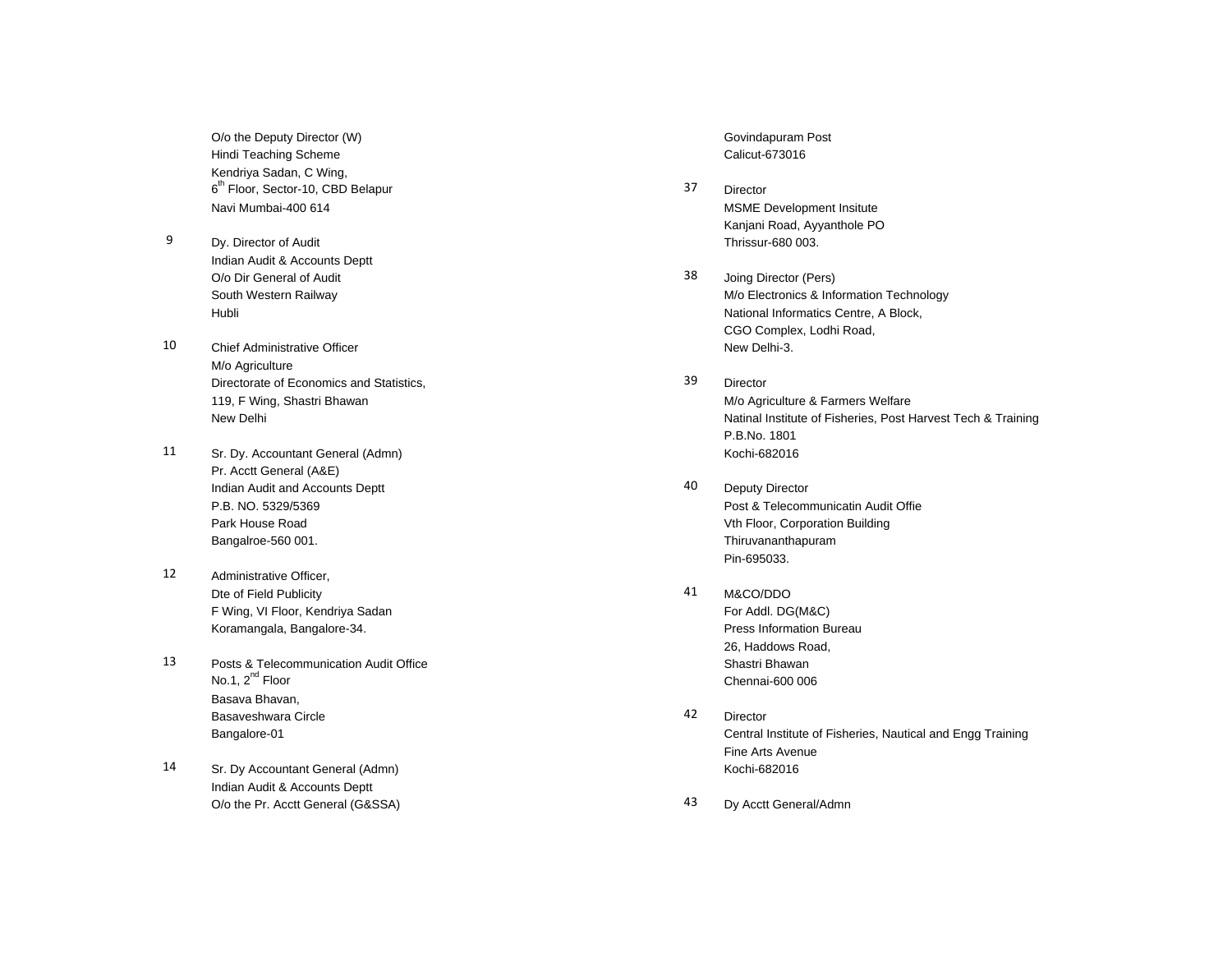O/o the Deputy Director (W) Govindapuram Post Hindi Teaching Scheme Calicut-673016 Kendriya Sadan, C Wing, 6<sup>th</sup> Floor, Sector-10, CBD Belapur 37 Director

- example. Dy. Director of Audit National Communication of Audit Thrissur-680 003. Indian Audit & Accounts Deptt O/o Dir General of Audit 38 Joing Director (Pers)
- 10 Chief Administrative Officer New Delhi-3. M/o Agriculture Directorate of Economics and Statistics, 39 Director
- 11 Sr. Dy. Accountant General (Admn) **Example 2018** Special Administration of the State State State State State State State State State State State State State State State State State State State State State State State St Pr. Acctt General (A&E) Indian Audit and Accounts Deptt 40 Deputy Director Bangalroe-560 001. Thiruvananthapuram
- 12 Administrative Officer, Dte of Field Publicity 41 M&CO/DDO F Wing, VI Floor, Kendriya Sadan For Addi. DG(M&C) Koramangala, Bangalore-34. Press Information Bureau Company and Press Information Bureau Company and Press Information Bureau
- 13 Posts & Telecommunication Audit Office<br>No.1. 2<sup>nd</sup> Floor Shastri Bhawan<br>Chennai-600 00 Basava Bhavan, Basaveshwara Circle 42 Director
- 14 Sr. Dy Accountant General (Admn) **Example 2016** Sr. Dy Accountant General (Admn) Indian Audit & Accounts Deptt O/o the Pr. Acctt General (G&SSA) 43 Dy Acctt General/Admn

- Navi Mumbai-400 614 MSME Development Insitute Kanjani Road, Ayyanthole PO
- South Western Railway **M/o Electronics & Information Technology M/o Electronics & Information Technology** Hubli National Informatics Centre, A Block, CGO Complex, Lodhi Road,
- 119, F Wing, Shastri Bhawan M/o Agriculture & Farmers Welfare New Delhi Natinal Institute of Fisheries, Post Harvest Tech & Training P.B.No. 1801
- P.B. NO. 5329/5369 Post & Telecommunicatin Audit Offie Park House Road Vth Floor, Corporation Building Pin-695033.
	- 26, Haddows Road, Chennai-600 006
- Bangalore-01 Central Institute of Fisheries, Nautical and Engg Training Fine Arts Avenue
	-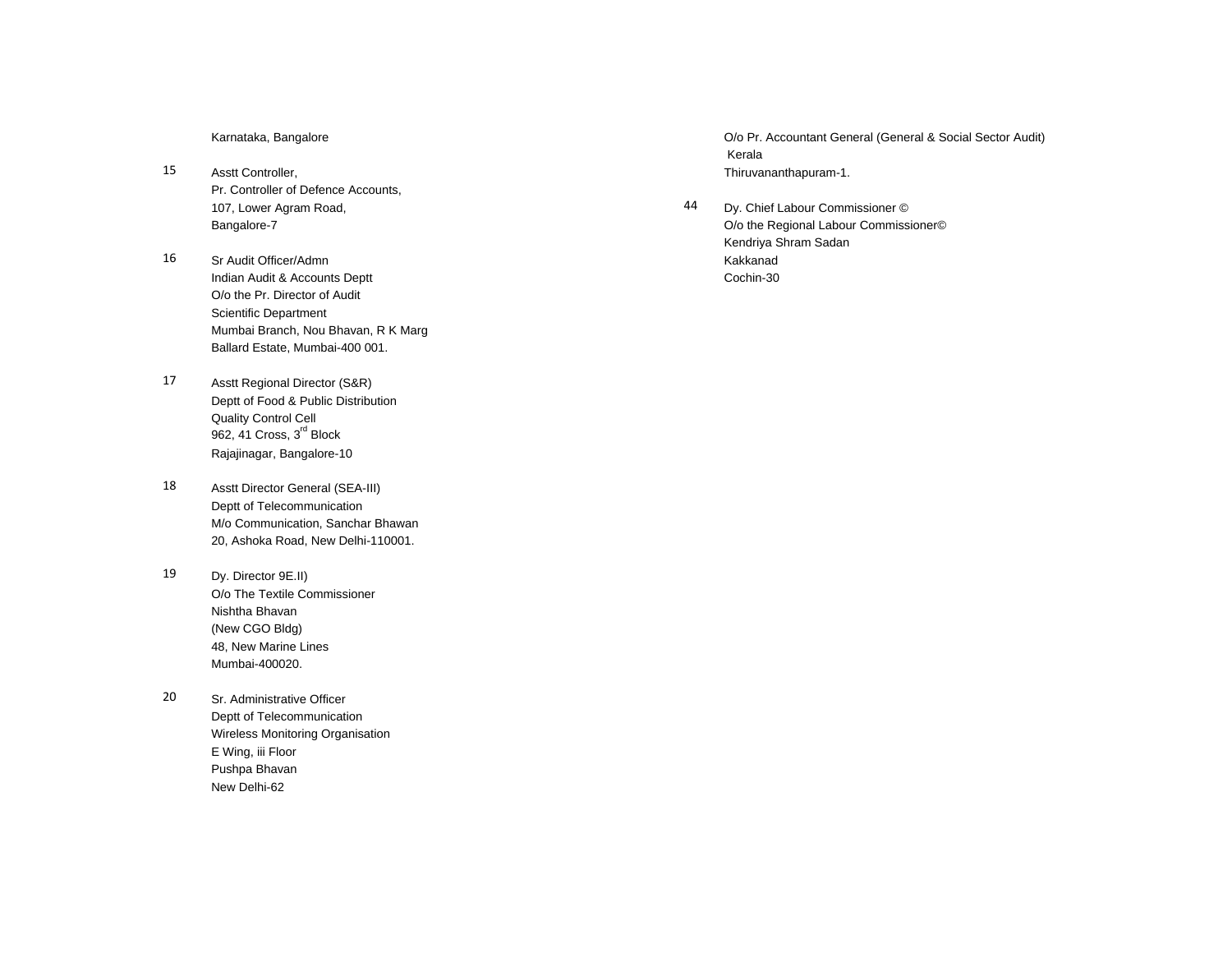- 15 Asstt Controller, **Asstt Controller, Controller, Controller**, 2012 12:30 Asstt Controller, 2012 12:30 Asstt Controller, 2013 Pr. Controller of Defence Accounts,
- 16 Sr Audit Officer/Admn Kakkanad Sr Audit Officer/Admn Kakkanad Kakkanad Kakkanad Kakkanad Kakkanad Kakkanad **Indian Audit & Accounts Deptt** Cochin-30 O/o the Pr. Director of Audit Scientific Department Mumbai Branch, Nou Bhavan, R K Marg Ballard Estate, Mumbai-400 001.
- 17 Asstt Regional Director (S&R) Deptt of Food & Public Distribution Quality Control Cell 962, 41 Cross, 3<sup>rd</sup> Block Rajajinagar, Bangalore-10
- 18 Asstt Director General (SEA-III) Deptt of Telecommunication M/o Communication, Sanchar Bhawan 20, Ashoka Road, New Delhi-110001.
- 19 Dy. Director 9E.II) O/o The Textile Commissioner Nishtha Bhavan (New CGO Bldg) 48, New Marine Lines Mumbai-400020.
- 20 Sr. Administrative Officer Deptt of Telecommunication Wireless Monitoring Organisation E Wing, iii Floor Pushpa Bhavan New Delhi-62

Karnataka, Bangalore **Carnataka, Bangalore Carnataka, Bangalore** O/o Pr. Accountant General (General & Social Sector Audit) Kerala

107, Lower Agram Road, 44 Dy. Chief Labour Commissioner © Bangalore-7 **Commissioner** Commissioner<sup>©</sup> Commissioner© Kendriya Shram Sadan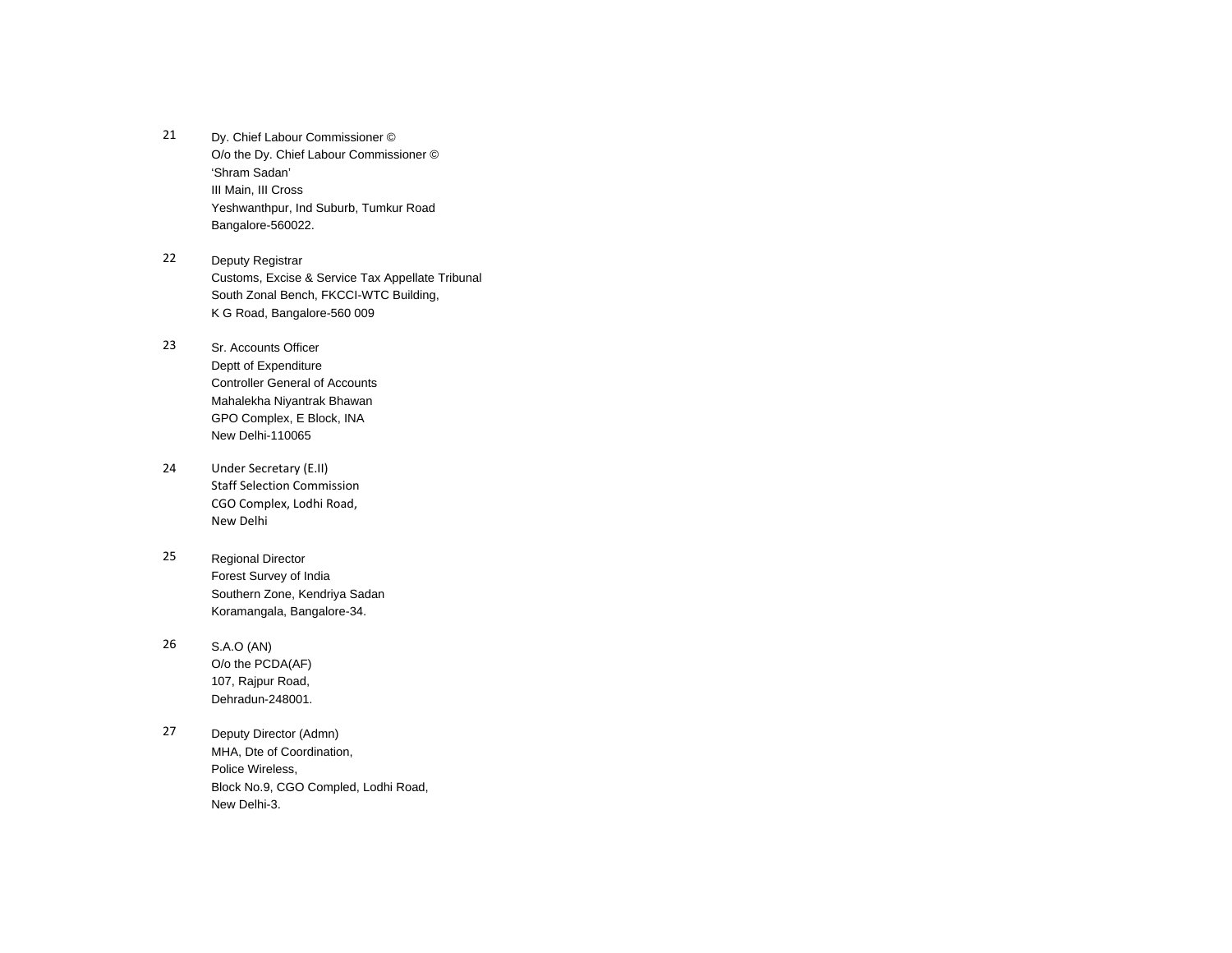- 21 Dy. Chief Labour Commissioner © O/o the Dy. Chief Labour Commissioner © 'Shram Sadan' III Main, III Cross Yeshwanthpur, Ind Suburb, Tumkur Road Bangalore-560022.
- 22 Deputy Registrar Customs, Excise & Service Tax Appellate Tribunal South Zonal Bench, FKCCI-WTC Building, K G Road, Bangalore-560 009
- 23 Sr. Accounts Officer Deptt of Expenditure Controller General of Accounts Mahalekha Niyantrak Bhawan GPO Complex, E Block, INA New Delhi-110065
- 24 Under Secretary (E.II) Staff Selection Commission CGO Complex, Lodhi Road, New Delhi
- 25 Regional Director Forest Survey of India Southern Zone, Kendriya Sadan Koramangala, Bangalore-34.
- 26 S.A.O (AN) O/o the PCDA(AF) 107, Rajpur Road, Dehradun-248001.
- 27 Deputy Director (Admn) MHA, Dte of Coordination, Police Wireless, Block No.9, CGO Compled, Lodhi Road, New Delhi-3.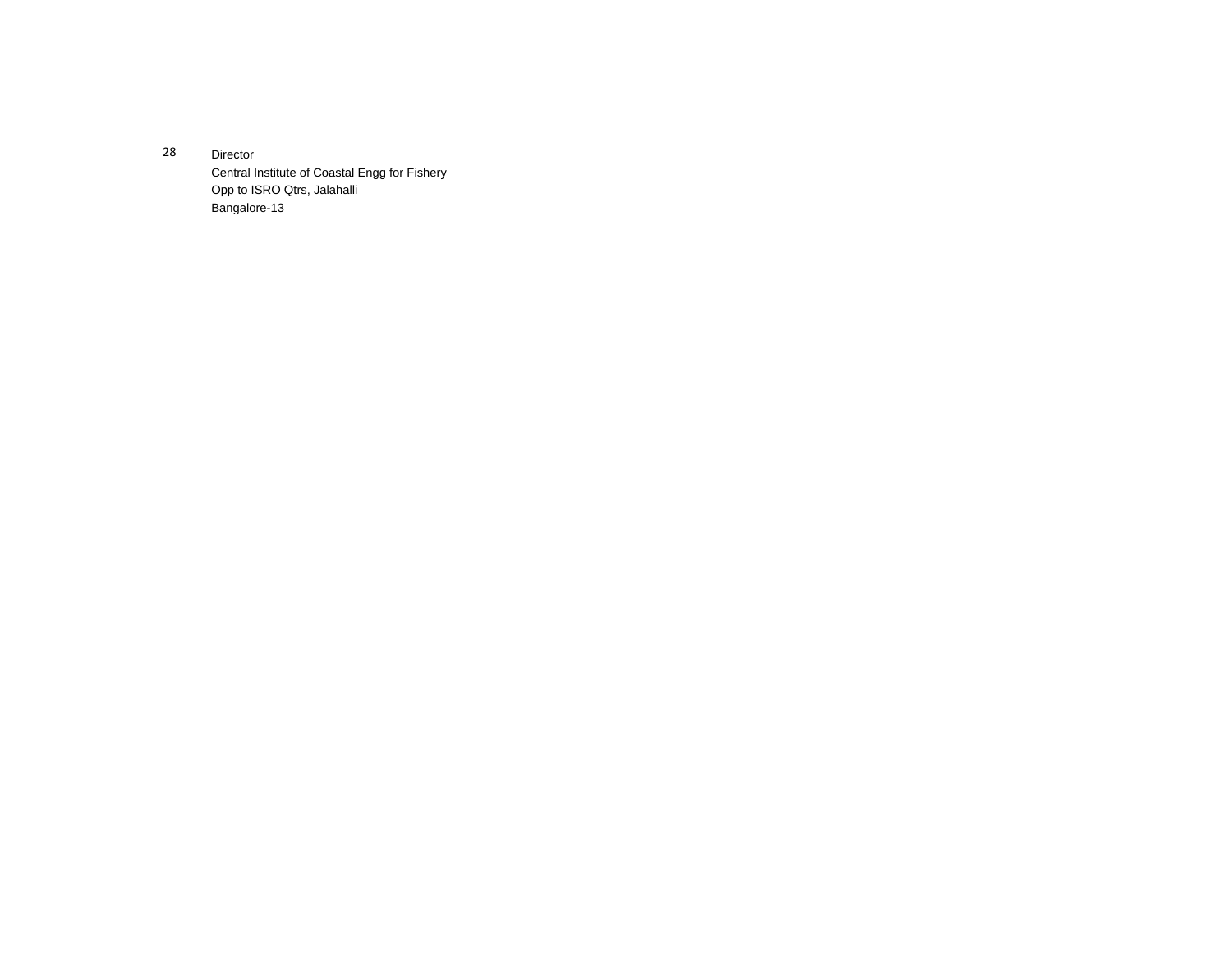28 Director Central Institute of Coastal Engg for Fishery Opp to ISRO Qtrs, Jalahalli Bangalore-13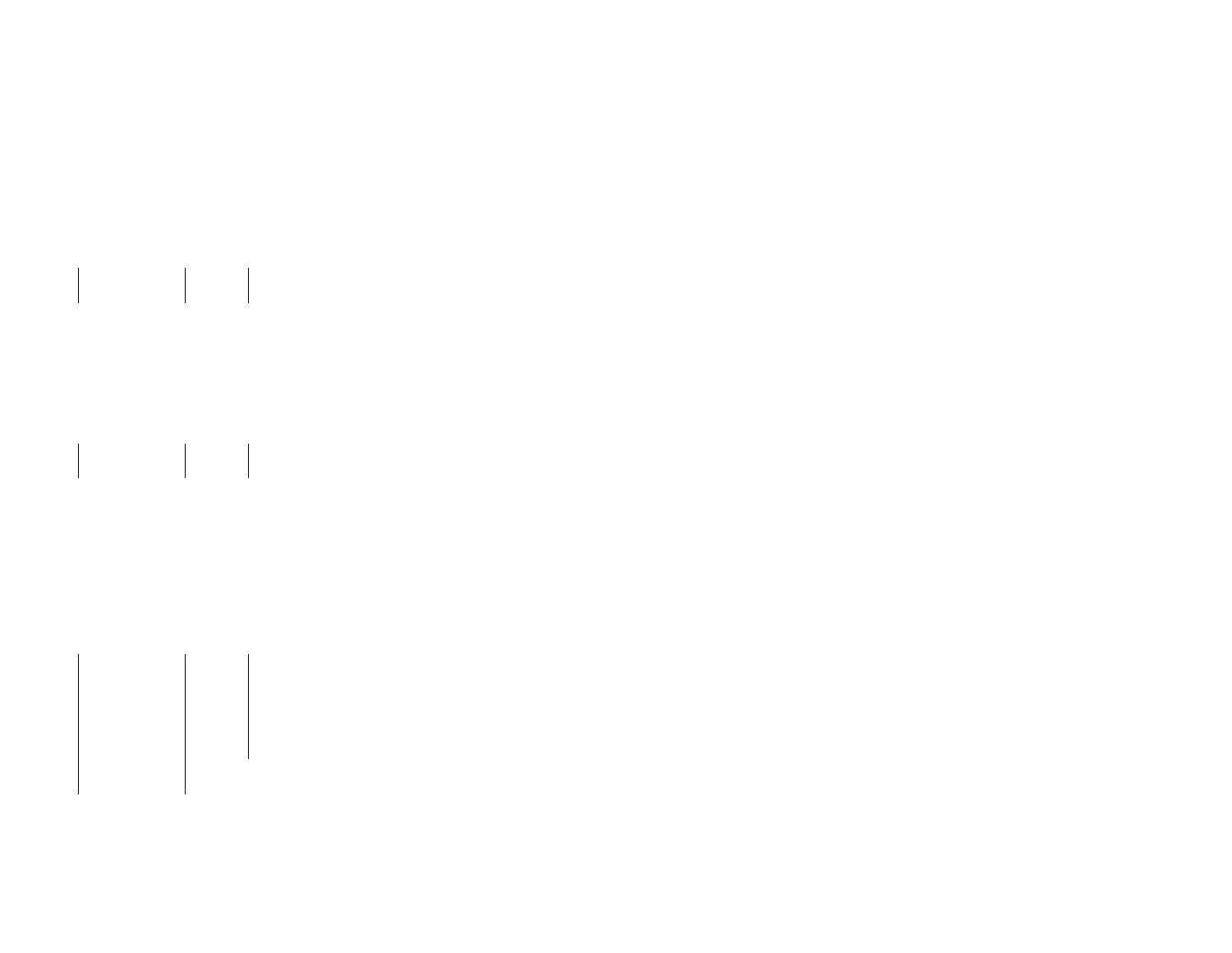$\begin{array}{c} 1 \end{array} \qquad \qquad \begin{array}{c} 1 \end{array} \qquad \begin{array}{c} 1 \end{array} \qquad \begin{array}{c} 1 \end{array}$ 

 $\Gamma$  and  $\Gamma$  and  $\Gamma$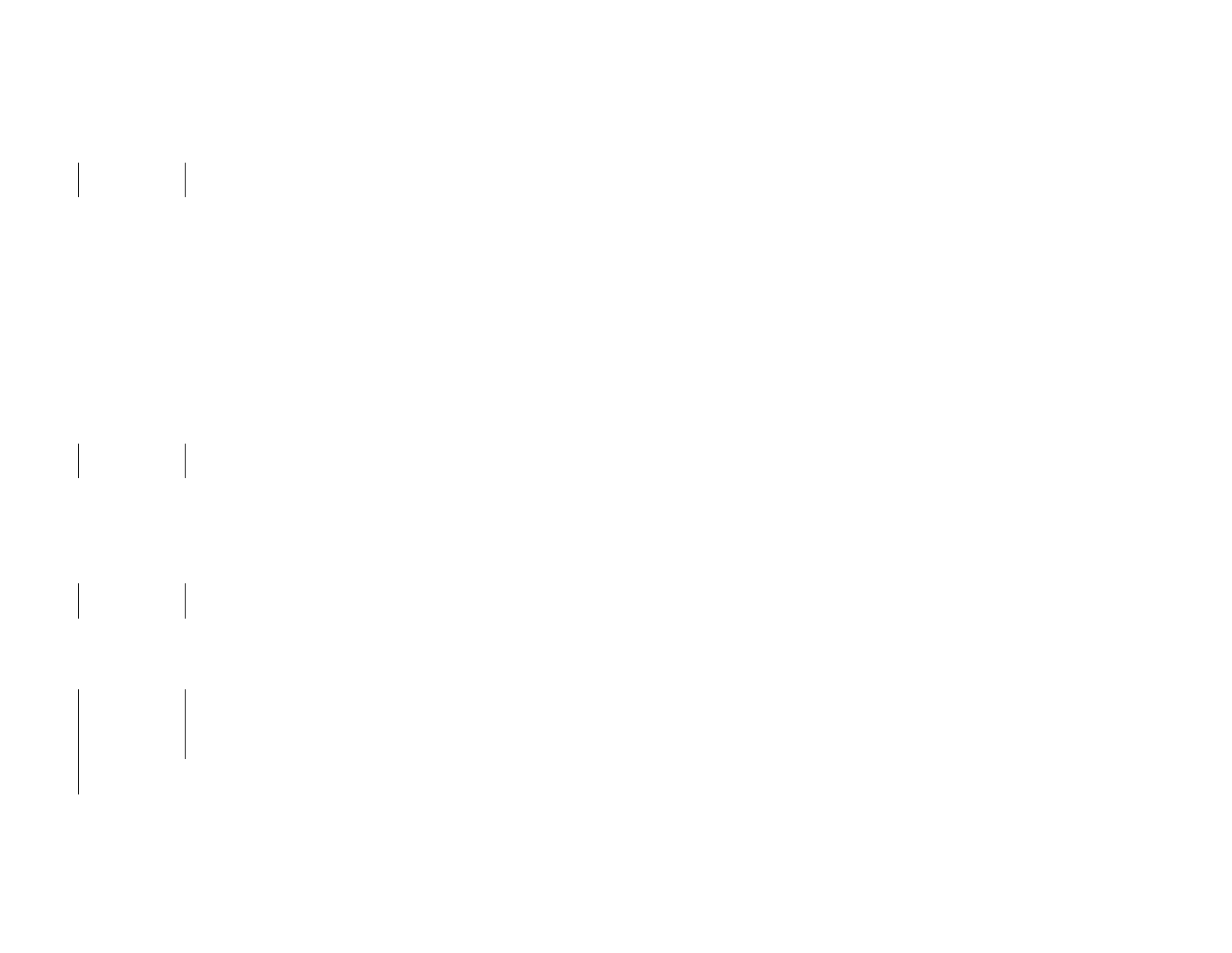$\mathbf{1}=\mathbf{1}=\mathbf{1}=\mathbf{1}=\mathbf{1}=\mathbf{1}=\mathbf{1}=\mathbf{1}=\mathbf{1}=\mathbf{1}=\mathbf{1}=\mathbf{1}=\mathbf{1}=\mathbf{1}=\mathbf{1}=\mathbf{1}=\mathbf{1}=\mathbf{1}=\mathbf{1}=\mathbf{1}=\mathbf{1}=\mathbf{1}=\mathbf{1}=\mathbf{1}=\mathbf{1}=\mathbf{1}=\mathbf{1}=\mathbf{1}=\mathbf{1}=\mathbf{1}=\mathbf{1}=\mathbf{1}=\mathbf{1}=\mathbf{1}=\mathbf{1}=\mathbf{1}=\mathbf{$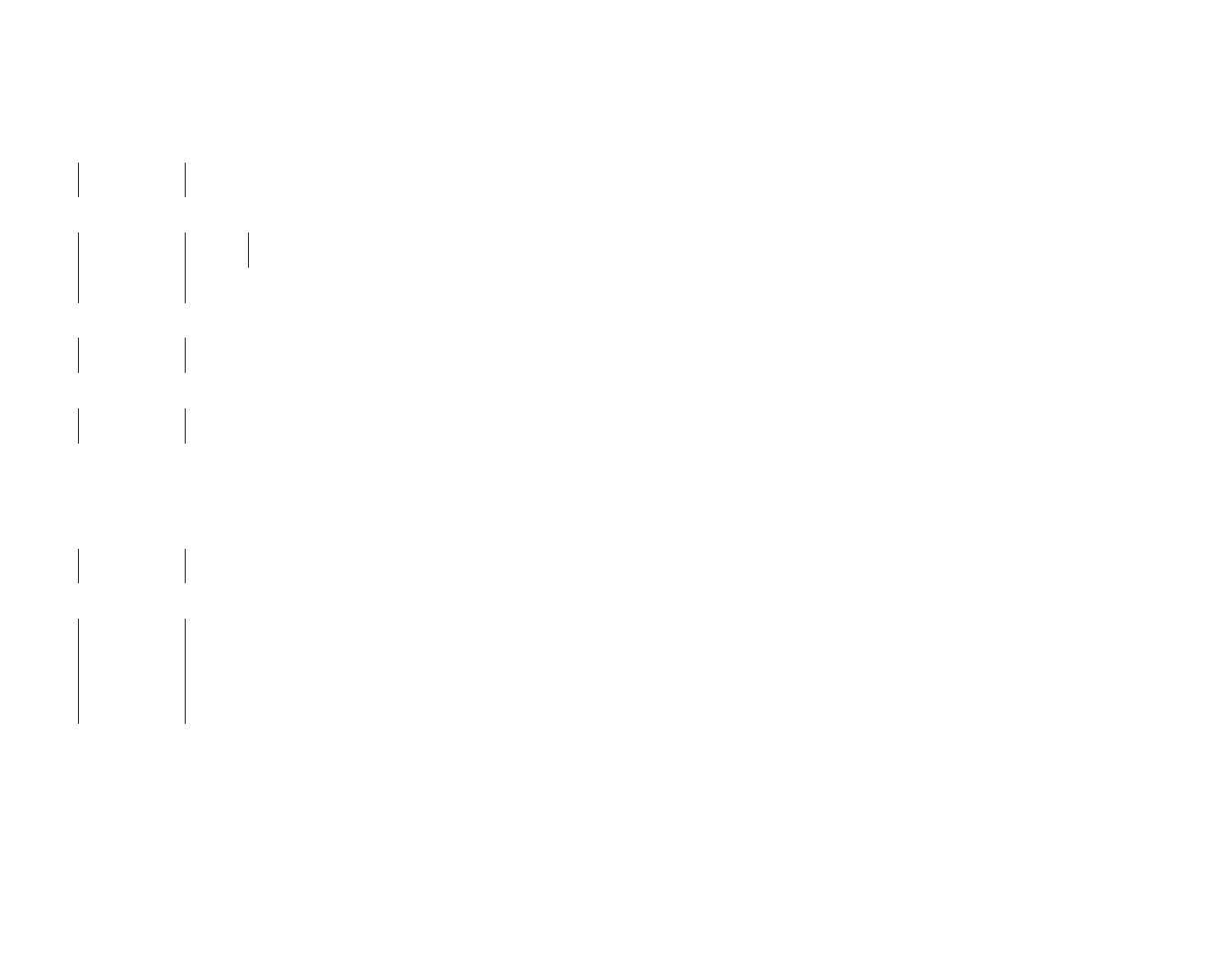$\mathbb{R}^n$  . The set of  $\mathbb{R}^n$  $\begin{bmatrix} 1 & 1 & 1 \\ 1 & 1 & 1 \\ 1 & 1 & 1 \end{bmatrix}$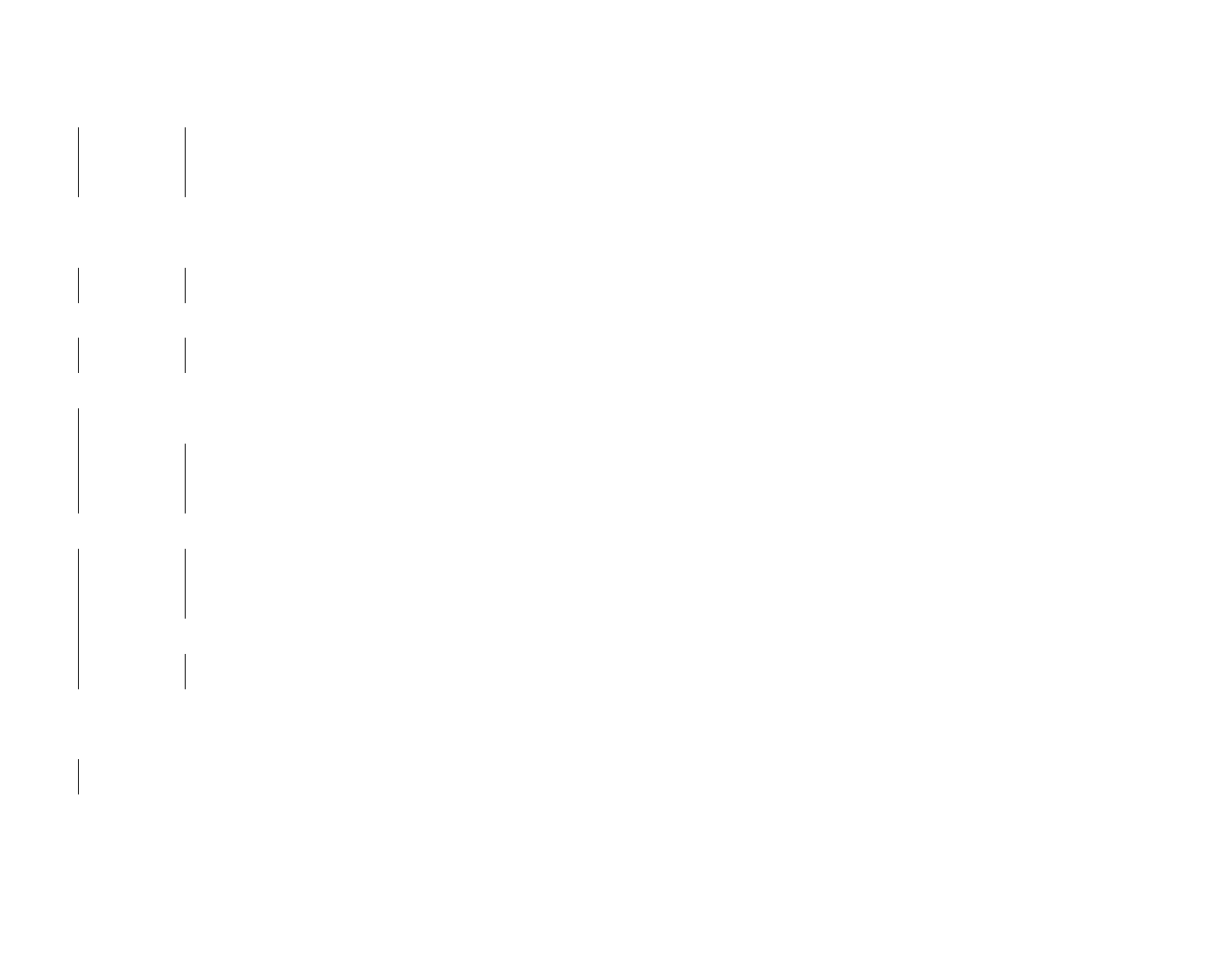$\|\cdot\|_{\mathcal{F}}$  .  $\|\cdot\|_{\mathcal{F}}$  $\begin{bmatrix} 1 & 0 & 0 \\ 0 & 0 & 0 \\ 0 & 0 & 0 \\ 0 & 0 & 0 \\ 0 & 0 & 0 \\ 0 & 0 & 0 \\ 0 & 0 & 0 \\ 0 & 0 & 0 \\ 0 & 0 & 0 & 0 \\ 0 & 0 & 0 & 0 \\ 0 & 0 & 0 & 0 \\ 0 & 0 & 0 & 0 \\ 0 & 0 & 0 & 0 & 0 \\ 0 & 0 & 0 & 0 & 0 \\ 0 & 0 & 0 & 0 & 0 \\ 0 & 0 & 0 & 0 & 0 & 0 \\ 0 & 0 & 0 & 0 & 0 & 0 \\ 0 & 0 & 0 & 0 &$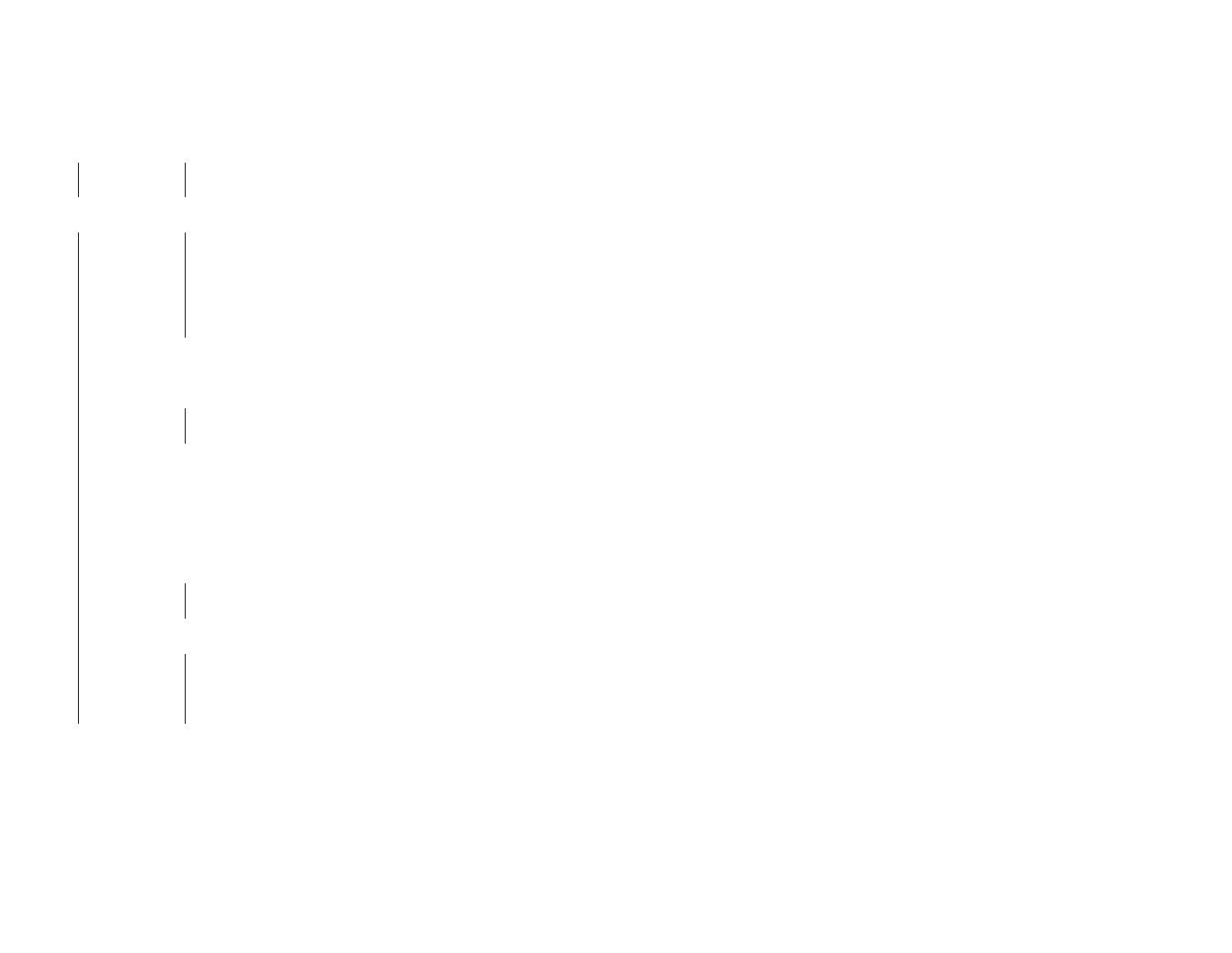$\mathbb{R}^n \times \mathbb{R}^n$  .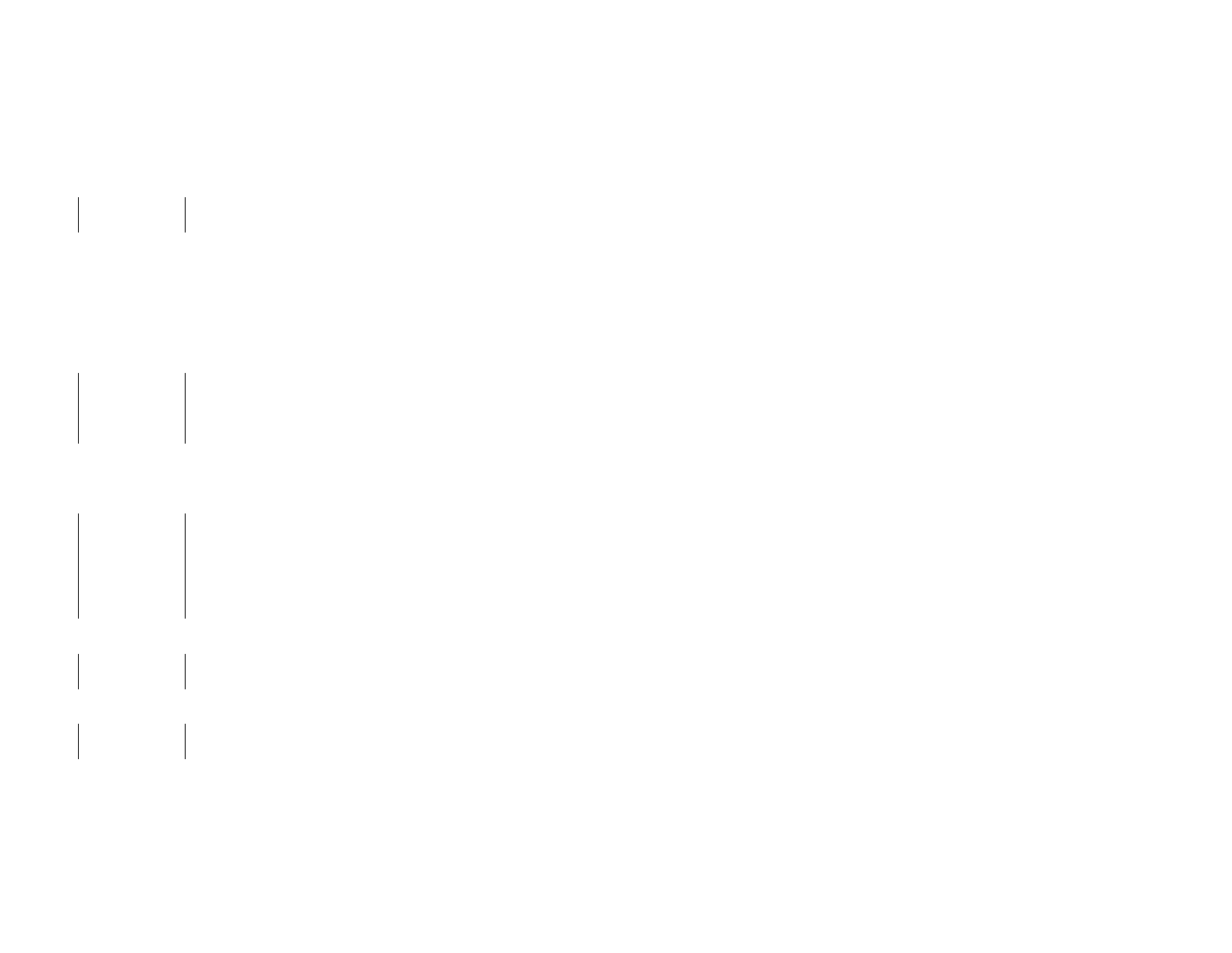$\mathbb{R}^n \times \mathbb{R}^n$  $\mathbb{R}^{\mathbb{Z}}$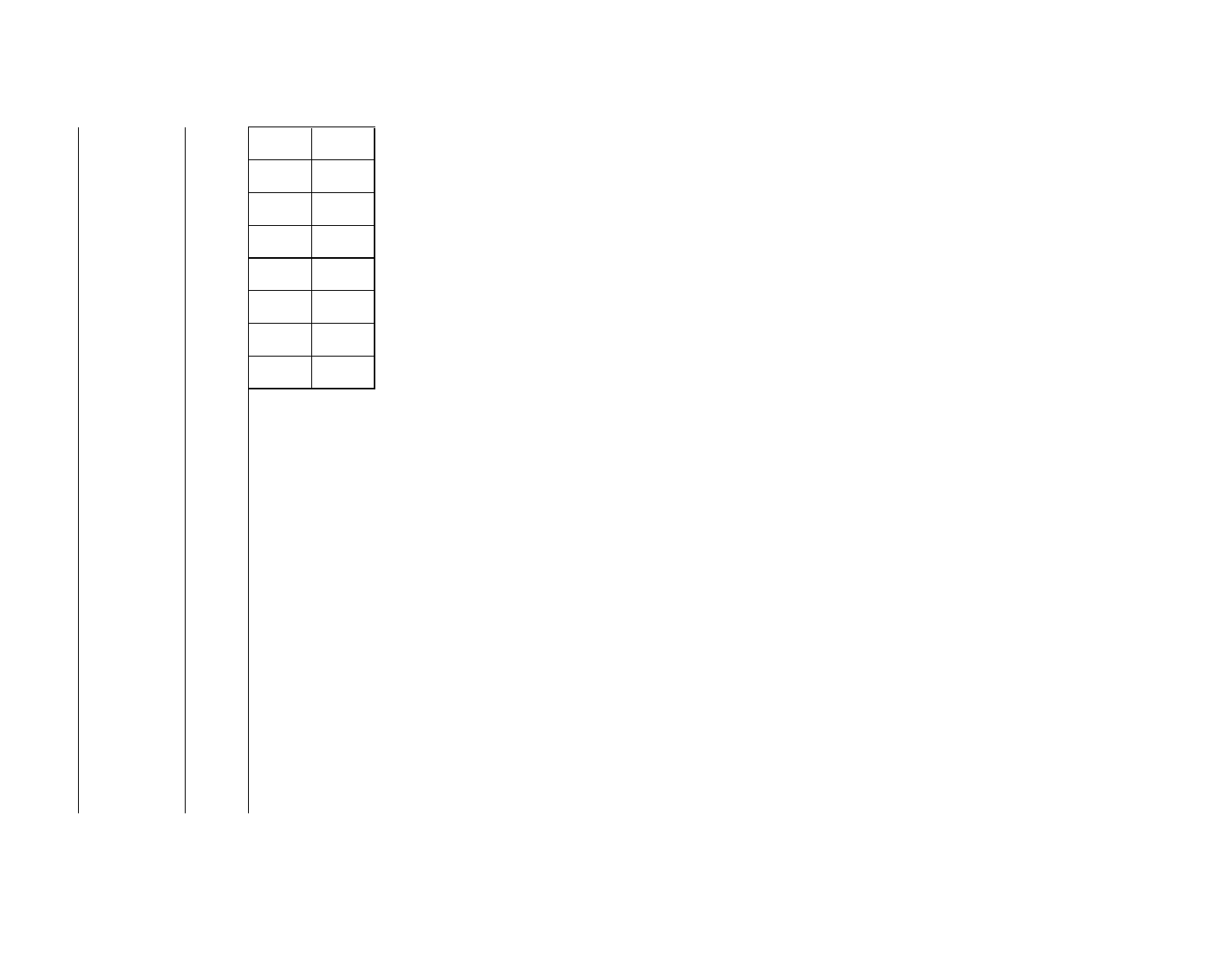